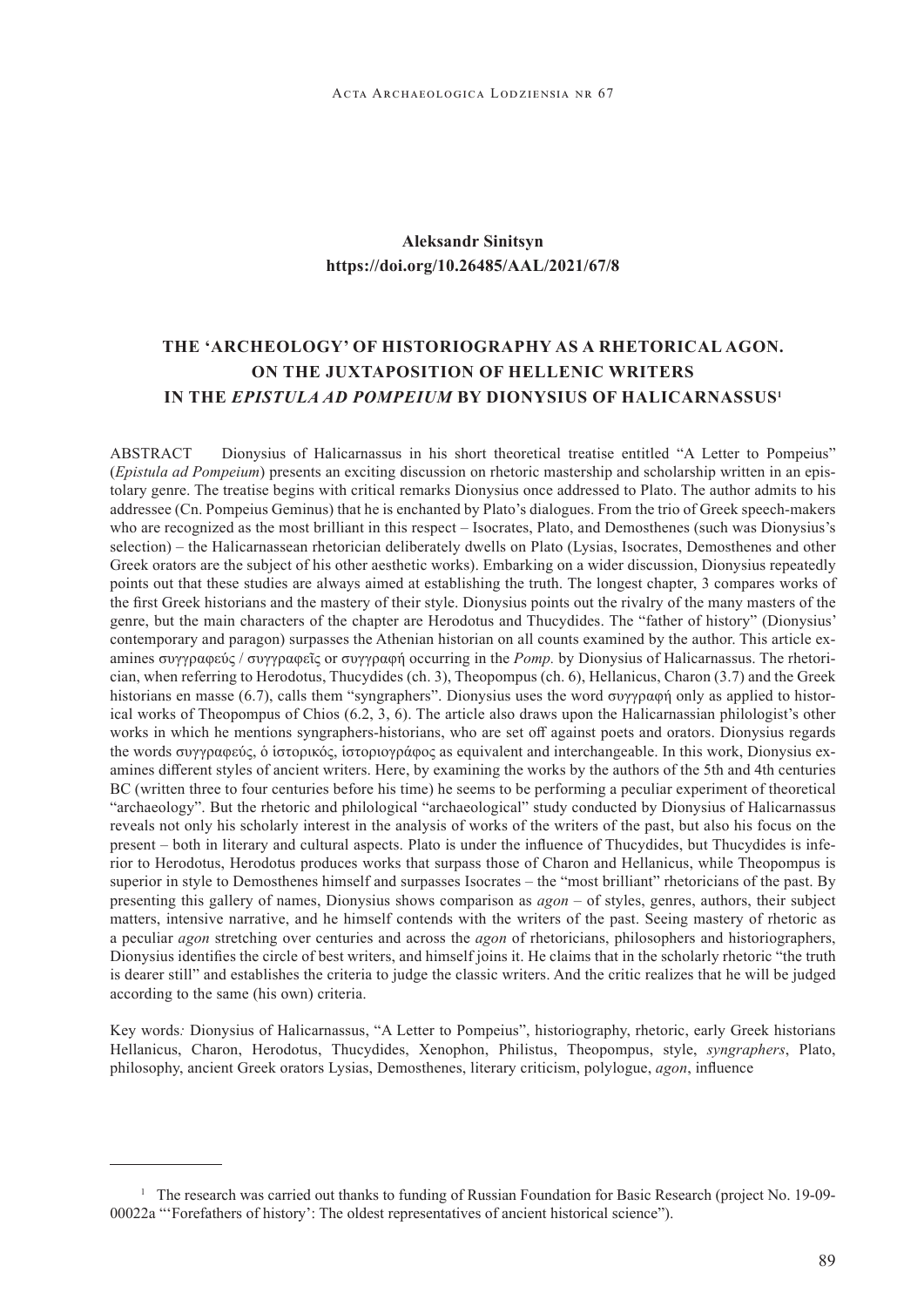### **Aleksandr Sinitsyn https://doi.org/10.26485/AAL/2021/67/8**

# **THE 'ARCHEOLOGY' OF HISTORIOGRAPHY AS A RHETORICAL AGON. ON THE JUXTAPOSITION OF HELLENIC WRITERS IN THE** *EPISTULA AD POMPEIUM* **BY DIONYSIUS OF HALICARNASSUS<sup>1</sup>**

ABSTRACT Dionysius of Halicarnassus in his short theoretical treatise entitled "A Letter to Pompeius" (*Epistula ad Pompeium*) presents an exciting discussion on rhetoric mastership and scholarship written in an epistolary genre. The treatise begins with critical remarks Dionysius once addressed to Plato. The author admits to his addressee (Cn. Pompeius Geminus) that he is enchanted by Plato's dialogues. From the trio of Greek speech-makers who are recognized as the most brilliant in this respect – Isocrates, Plato, and Demosthenes (such was Dionysius's selection) – the Halicarnassean rhetorician deliberately dwells on Plato (Lysias, Isocrates, Demosthenes and other Greek orators are the subject of his other aesthetic works). Embarking on a wider discussion, Dionysius repeatedly points out that these studies are always aimed at establishing the truth. The longest chapter, 3 compares works of the first Greek historians and the mastery of their style. Dionysius points out the rivalry of the many masters of the genre, but the main characters of the chapter are Herodotus and Thucydides. The "father of history" (Dionysius' contemporary and paragon) surpasses the Athenian historian on all counts examined by the author. This article examines συγγραφεύς / συγγραφεῖς or συγγραφή occurring in the *Pomp.* by Dionysius of Halicarnassus. The rhetorician, when referring to Herodotus, Thucydides (ch. 3), Theopompus (ch. 6), Hellanicus, Charon (3.7) and the Greek historians en masse (6.7), calls them "syngraphers". Dionysius uses the word συγγραφή only as applied to historical works of Theopompus of Chios (6.2, 3, 6). The article also draws upon the Halicarnassian philologist's other works in which he mentions syngraphers-historians, who are set off against poets and orators. Dionysius regards the words συγγραφεύς, ὁ ἱστορικός, ἱστοριογράφος as equivalent and interchangeable. In this work, Dionysius examines different styles of ancient writers. Here, by examining the works by the authors of the 5th and 4th centuries BC (written three to four centuries before his time) he seems to be performing a peculiar experiment of theoretical "archaeology". But the rhetoric and philological "archaeological" study conducted by Dionysius of Halicarnassus reveals not only his scholarly interest in the analysis of works of the writers of the past, but also his focus on the present – both in literary and cultural aspects. Plato is under the influence of Thucydides, but Thucydides is inferior to Herodotus, Herodotus produces works that surpass those of Charon and Hellanicus, while Theopompus is superior in style to Demosthenes himself and surpasses Isocrates – the "most brilliant" rhetoricians of the past. By presenting this gallery of names, Dionysius shows comparison as *agon* – of styles, genres, authors, their subject matters, intensive narrative, and he himself contends with the writers of the past. Seeing mastery of rhetoric as a peculiar *agon* stretching over centuries and across the *agon* of rhetoricians, philosophers and historiographers, Dionysius identifies the circle of best writers, and himself joins it. He claims that in the scholarly rhetoric "the truth is dearer still" and establishes the criteria to judge the classic writers. And the critic realizes that he will be judged according to the same (his own) criteria.

Key words*:* Dionysius of Halicarnassus, "A Letter to Pompeius", historiography, rhetoric, early Greek historians Hellanicus, Charon, Herodotus, Thucydides, Xenophon, Philistus, Theopompus, style, *syngraphers*, Plato, philosophy, ancient Greek orators Lysias, Demosthenes, literary criticism, polylogue, *agon*, influence

<sup>&</sup>lt;sup>1</sup> The research was carried out thanks to funding of Russian Foundation for Basic Research (project No. 19-09-00022а "'Forefathers of history': The oldest representatives of ancient historical science").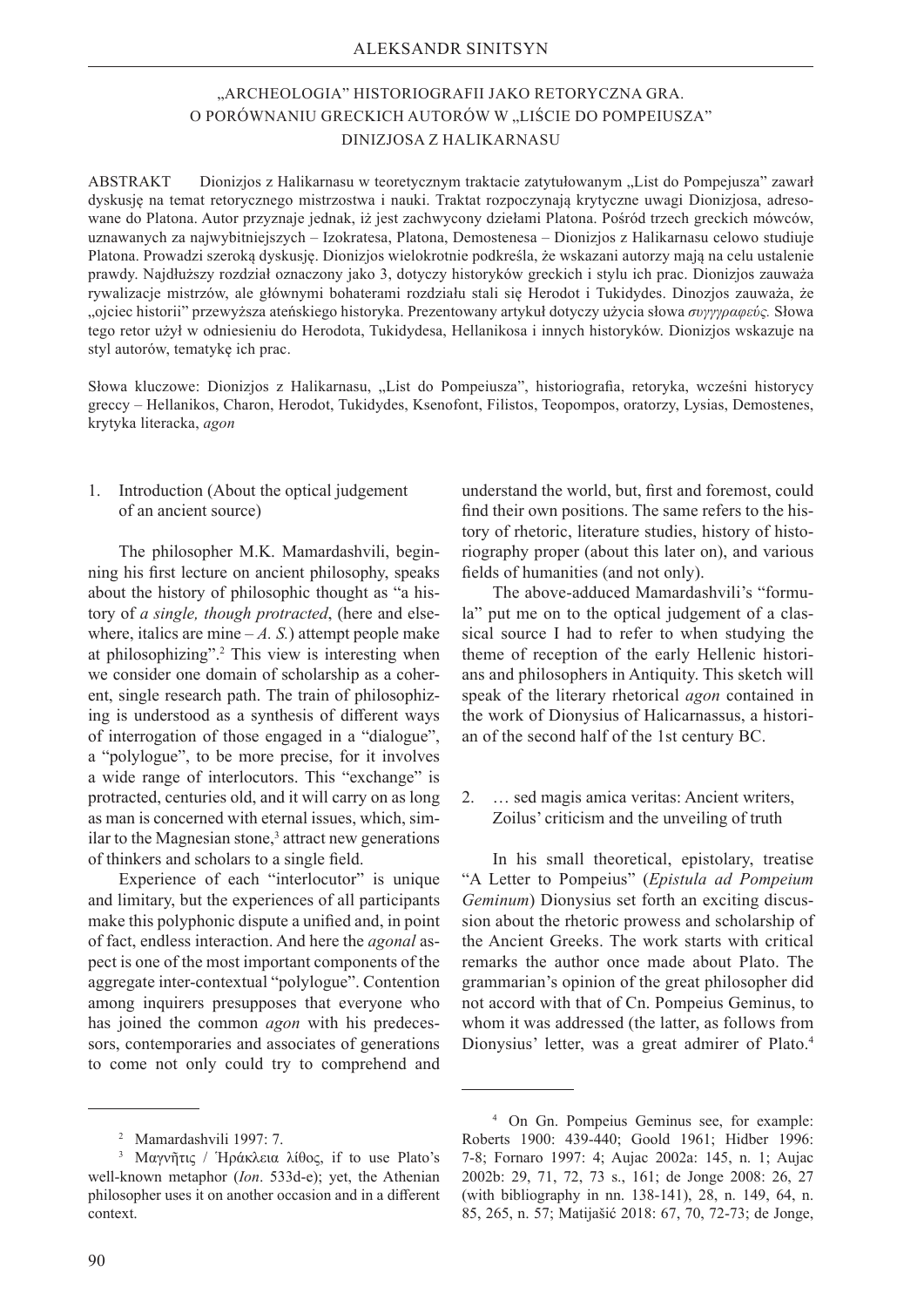## "ARCHEOLOGIA" HISTORIOGRAFII JAKO RETORYCZNA GRA. O PORÓWNANIU GRECKICH AUTORÓW W "LIŚCIE DO POMPEIUSZA" DINIZJOSA Z HALIKARNASU

ABSTRAKT Dionizjos z Halikarnasu w teoretycznym traktacie zatytułowanym "List do Pompejusza" zawarł dyskusję na temat retorycznego mistrzostwa i nauki. Traktat rozpoczynają krytyczne uwagi Dionizjosa, adresowane do Platona. Autor przyznaje jednak, iż jest zachwycony dziełami Platona. Pośród trzech greckich mówców, uznawanych za najwybitniejszych – Izokratesa, Platona, Demostenesa – Dionizjos z Halikarnasu celowo studiuje Platona. Prowadzi szeroką dyskusję. Dionizjos wielokrotnie podkreśla, że wskazani autorzy mają na celu ustalenie prawdy. Najdłuższy rozdział oznaczony jako 3, dotyczy historyków greckich i stylu ich prac. Dionizjos zauważa rywalizacje mistrzów, ale głównymi bohaterami rozdziału stali się Herodot i Tukidydes. Dinozjos zauważa, że "ojciec historii" przewyższa ateńskiego historyka. Prezentowany artykuł dotyczy użycia słowa *συγγγραφεύς.* Słowa tego retor użył w odniesieniu do Herodota, Tukidydesa, Hellanikosa i innych historyków. Dionizjos wskazuje na styl autorów, tematykę ich prac.

Słowa kluczowe: Dionizjos z Halikarnasu, "List do Pompeiusza", historiografia, retoryka, wcześni historycy greccy – Hellanikos, Charon, Herodot, Tukidydes, Ksenofont, Filistos, Teopompos, oratorzy, Lysias, Demostenes, krytyka literacka, *agon*

#### 1. Introduction (About the optical judgement of an ancient source)

The philosopher M.K. Mamardashvili, beginning his first lecture on ancient philosophy, speaks about the history of philosophic thought as "a history of *a single, though protracted*, (here and elsewhere, italics are mine  $-A$ . S.) attempt people make at philosophizing".2 This view is interesting when we consider one domain of scholarship as a coherent, single research path. The train of philosophizing is understood as a synthesis of different ways of interrogation of those engaged in a "dialogue", a "polylogue", to be more precise, for it involves a wide range of interlocutors. This "exchange" is protracted, centuries old, and it will carry on as long as man is concerned with eternal issues, which, similar to the Magnesian stone,<sup>3</sup> attract new generations of thinkers and scholars to a single field.

Experience of each "interlocutor" is unique and limitary, but the experiences of all participants make this polyphonic dispute a unified and, in point of fact, endless interaction. And here the *agonal* aspect is one of the most important components of the aggregate inter-contextual "polylogue". Contention among inquirers presupposes that everyone who has joined the common *agon* with his predecessors, contemporaries and associates of generations to come not only could try to comprehend and

understand the world, but, first and foremost, could find their own positions. The same refers to the history of rhetoric, literature studies, history of historiography proper (about this later on), and various fields of humanities (and not only).

The above-adduced Mamardashvili's "formula" put me on to the optical judgement of a classical source I had to refer to when studying the theme of reception of the early Hellenic historians and philosophers in Antiquity. This sketch will speak of the literary rhetorical *agon* contained in the work of Dionysius of Halicarnassus, a historian of the second half of the 1st century BC.

2. … sed magis amica veritas: Ancient writers, Zoilus' criticism and the unveiling of truth

In his small theoretical, epistolary, treatise "A Letter to Pompeius" (*Epistula ad Pompeium Geminum*) Dionysius set forth an exciting discussion about the rhetoric prowess and scholarship of the Ancient Greeks. The work starts with critical remarks the author once made about Plato. The grammarian's opinion of the great philosopher did not accord with that of Cn. Pompeius Geminus, to whom it was addressed (the latter, as follows from Dionysius' letter, was a great admirer of Plato.4

<sup>2</sup>    Mamardashvili 1997: 7.

<sup>3</sup>    Μαγνῆτις / Ἡράκλεια λίθος, if to use Plato's well-known metaphor (*Ion*. 533d-e); yet, the Athenian philosopher uses it on another occasion and in a different context.

<sup>4</sup>    On Gn. Pompeius Geminus see, for example: Roberts 1900: 439-440; Goold 1961; Hidber 1996: 7-8; Fornaro 1997: 4; Aujac 2002a: 145, n. 1; Aujac 2002b: 29, 71, 72, 73 s., 161; de Jonge 2008: 26, 27 (with bibliography in nn. 138-141), 28, n. 149, 64, n. 85, 265, n. 57; Matijašić 2018: 67, 70, 72-73; de Jonge,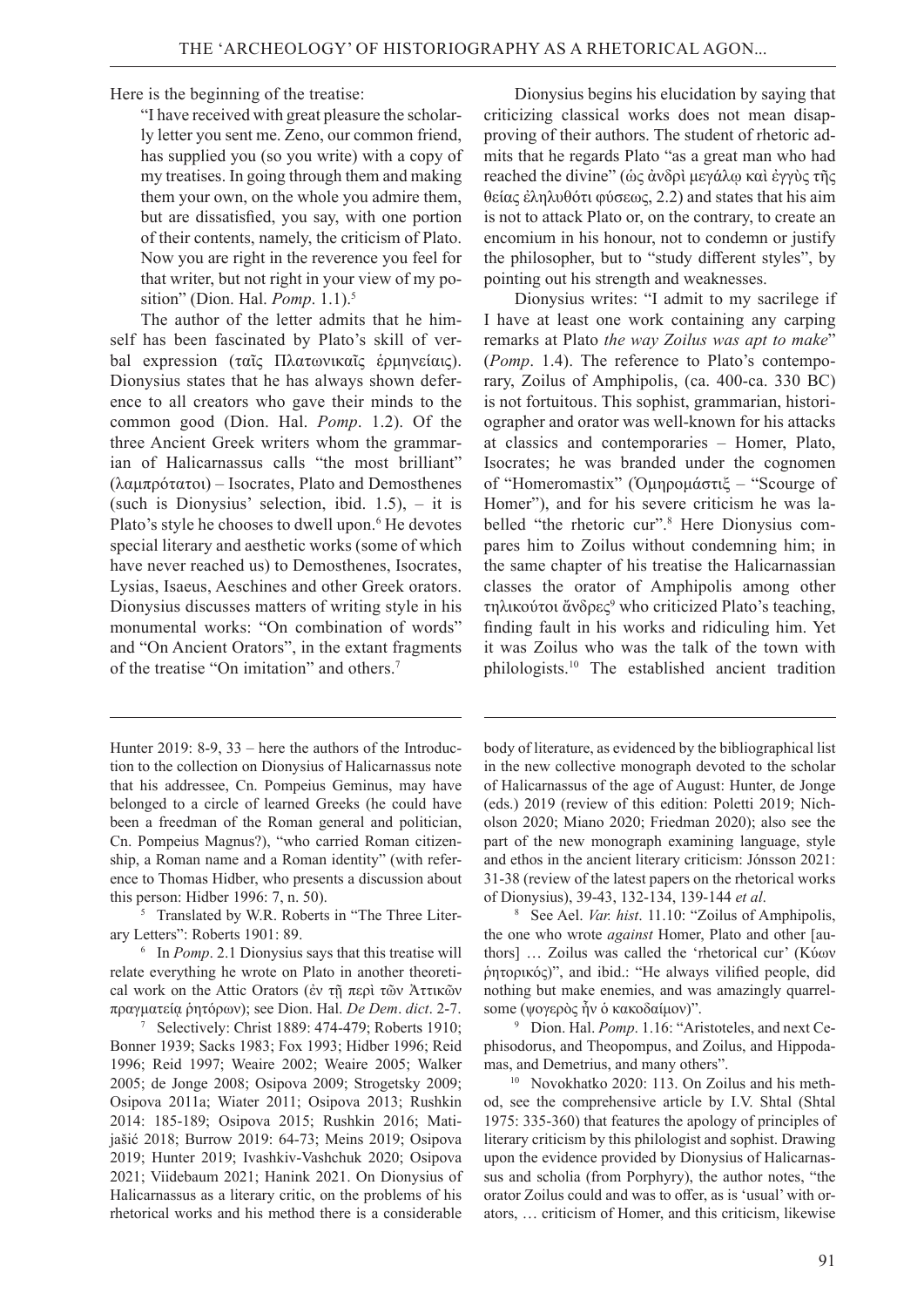Here is the beginning of the treatise:

"I have received with great pleasure the scholarly letter you sent me. Zeno, our common friend, has supplied you (so you write) with a copy of my treatises. In going through them and making them your own, on the whole you admire them, but are dissatisfied, you say, with one portion of their contents, namely, the criticism of Plato. Now you are right in the reverence you feel for that writer, but not right in your view of my position" (Dion. Hal. *Pomp*. 1.1).5

The author of the letter admits that he himself has been fascinated by Plato's skill of verbal expression (ταῖς Πλατωνικαῖς ἑρμηνείαις). Dionysius states that he has always shown deference to all creators who gave their minds to the common good (Dion. Hal. *Pomp*. 1.2). Of the three Ancient Greek writers whom the grammarian of Halicarnassus calls "the most brilliant" (λαμπρότατοι) – Isocrates, Plato and Demosthenes (such is Dionysius' selection, ibid. 1.5), – it is Plato's style he chooses to dwell upon.<sup>6</sup> He devotes special literary and aesthetic works (some of which have never reached us) to Demosthenes, Isocrates, Lysias, Isaeus, Aeschines and other Greek orators. Dionysius discusses matters of writing style in his monumental works: "On combination of words" and "On Ancient Orators", in the extant fragments of the treatise "On imitation" and others.7

5    Translated by W.R. Roberts in "The Three Literary Letters": Roberts 1901: 89.

6    In *Pomp*. 2.1 Dionysius says that this treatise will relate everything he wrote on Plato in another theoretical work on the Attic Orators (ἐν τῇ περὶ τῶν Ἀττικῶν πραγματείᾳ ῥητόρων); see Dion. Hal. *De Dem*. *dict*. 2-7.

7    Selectively: Christ 1889: 474-479; Roberts 1910; Bonner 1939; Sacks 1983; Fox 1993; Hidber 1996; Reid 1996; Reid 1997; Weaire 2002; Weaire 2005; Walker 2005; de Jonge 2008; Osipova 2009; Strogetsky 2009; Osipova 2011a; Wiater 2011; Osipova 2013; Rushkin 2014: 185-189; Osipova 2015; Rushkin 2016; Matijašić 2018; Burrow 2019: 64-73; Meins 2019; Osipova 2019; Hunter 2019; Ivashkiv-Vashchuk 2020; Osipova 2021; Viidebaum 2021; Hanink 2021. On Dionysius of Halicarnassus as a literary critic, on the problems of his rhetorical works and his method there is a considerable

Dionysius begins his elucidation by saying that criticizing classical works does not mean disapproving of their authors. The student of rhetoric admits that he regards Plato "as a great man who had reached the divine" (ὡς ἀνδρὶ μεγάλῳ καὶ ἐγγὺς τῆς θείας ἐληλυθότι φύσεως, 2.2) and states that his aim is not to attack Plato or, on the contrary, to create an encomium in his honour, not to condemn or justify the philosopher, but to "study different styles", by pointing out his strength and weaknesses.

Dionysius writes: "I admit to my sacrilege if I have at least one work containing any carping remarks at Plato *the way Zoilus was apt to make*" (*Pomp*. 1.4). The reference to Plato's contemporary, Zoilus of Amphipolis, (ca. 400-ca. 330 BC) is not fortuitous. This sophist, grammarian, historiographer and orator was well-known for his attacks at classics and contemporaries – Homer, Plato, Isocrates; he was branded under the cognomen of "Homeromastix" (Ὁμηρομάστιξ – "Scourge of Homer"), and for his severe criticism he was labelled "the rhetoric cur".<sup>8</sup> Here Dionysius compares him to Zoilus without condemning him; in the same chapter of his treatise the Halicarnassian classes the orator of Amphipolis among other τηλικούτοι ἄνδρες9 who criticized Plato's teaching, finding fault in his works and ridiculing him. Yet it was Zoilus who was the talk of the town with philologists.10 The established ancient tradition

body of literature, as evidenced by the bibliographical list in the new collective monograph devoted to the scholar of Halicarnassus of the age of August: Hunter, de Jonge (eds.) 2019 (review of this edition: Poletti 2019; Nicholson 2020; Miano 2020; Friedman 2020); also see the part of the new monograph examining language, style and ethos in the ancient literary criticism: Jónsson 2021: 31-38 (review of the latest papers on the rhetorical works of Dionysius), 39-43, 132-134, 139-144 *et al*. 8

   See Ael. *Var. hist*. 11.10: "Zoilus of Amphipolis, the one who wrote *against* Homer, Plato and other [authors] … Zoilus was called the 'rhetorical cur' (Κύων ῥητορικός)", and ibid.: "He always vilified people, did nothing but make enemies, and was amazingly quarrelsome (ψογερὸς ἦν ὁ κακοδαίμον)".

9    Dion. Hal. *Pomp*. 1.16: "Aristoteles, and next Cephisodorus, and Theopompus, and Zoilus, and Hippodamas, and Demetrius, and many others".

10   Novokhatko 2020: 113. On Zoilus and his method, see the comprehensive article by I.V. Shtal (Shtal 1975: 335-360) that features the apology of principles of literary criticism by this philologist and sophist. Drawing upon the evidence provided by Dionysius of Halicarnassus and scholia (from Porphyry), the author notes, "the orator Zoilus could and was to offer, as is 'usual' with orators, … criticism of Homer, and this criticism, likewise

Hunter 2019: 8-9, 33 – here the authors of the Introduction to the collection on Dionysius of Halicarnassus note that his addressee, Cn. Pompeius Geminus, may have belonged to a circle of learned Greeks (he could have been a freedman of the Roman general and politician, Cn. Pompeius Magnus?), "who carried Roman citizenship, a Roman name and a Roman identity" (with reference to Thomas Hidber, who presents a discussion about this person: Hidber 1996: 7, n. 50).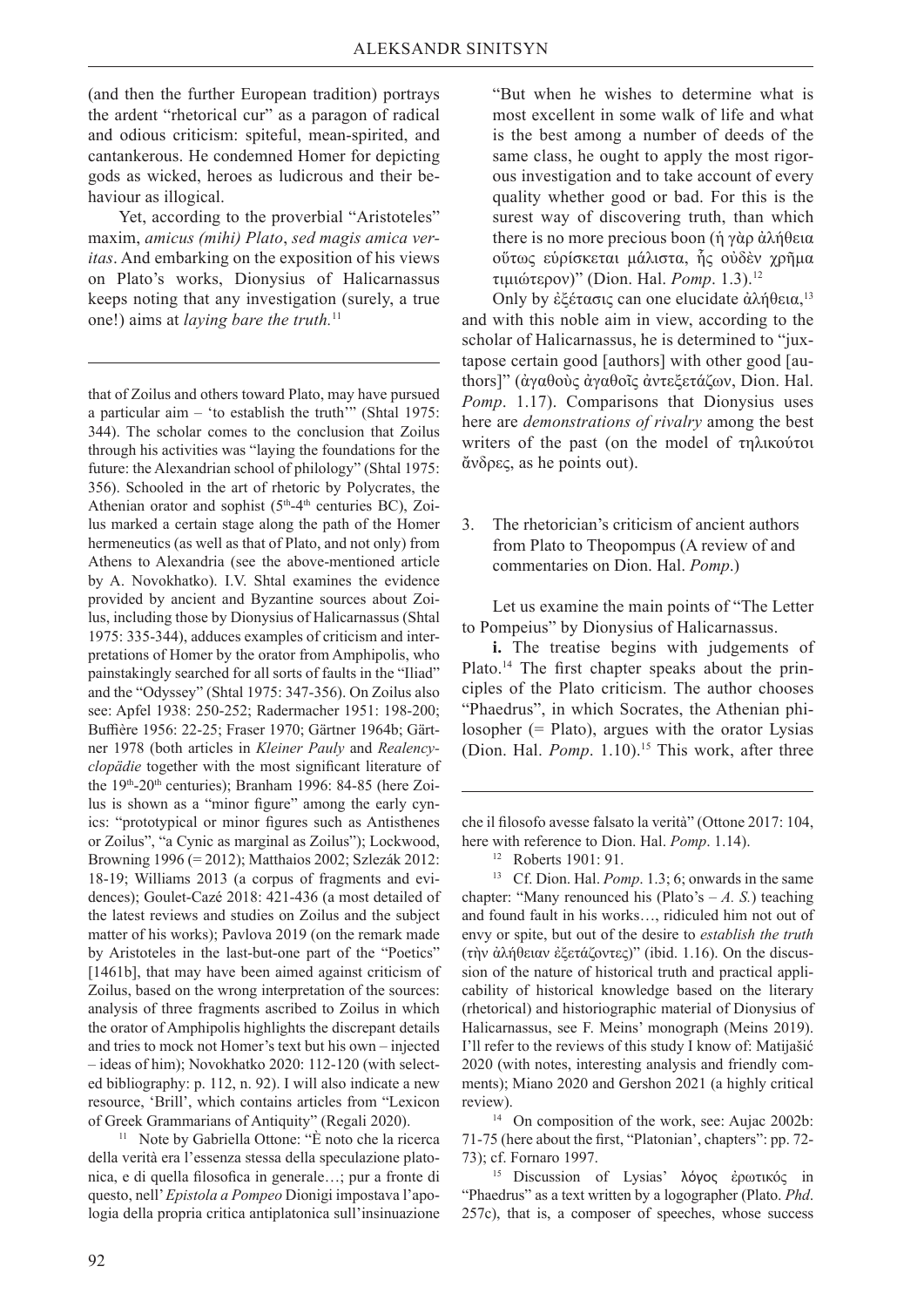(and then the further European tradition) portrays the ardent "rhetorical cur" as a paragon of radical and odious criticism: spiteful, mean-spirited, and cantankerous. He condemned Homer for depicting gods as wicked, heroes as ludicrous and their behaviour as illogical.

Yet, according to the proverbial "Aristoteles" maxim, *amicus (mihi) Plato*, *sed magis amica veritas*. And embarking on the exposition of his views on Plato's works, Dionysius of Halicarnassus keeps noting that any investigation (surely, a true one!) aims at *laying bare the truth.*<sup>11</sup>

that of Zoilus and others toward Plato, may have pursued a particular aim  $-$  'to establish the truth'" (Shtal 1975: 344). The scholar comes to the conclusion that Zoilus through his activities was "laying the foundations for the future: the Alexandrian school of philology" (Shtal 1975: 356). Schooled in the art of rhetoric by Polycrates, the Athenian orator and sophist ( $5<sup>th</sup>-4<sup>th</sup>$  centuries BC), Zoilus marked a certain stage along the path of the Homer hermeneutics (as well as that of Plato, and not only) from Athens to Alexandria (see the above-mentioned article by A. Novokhatko). I.V. Shtal examines the evidence provided by ancient and Byzantine sources about Zoilus, including those by Dionysius of Halicarnassus (Shtal 1975: 335-344), adduces examples of criticism and interpretations of Homer by the orator from Amphipolis, who painstakingly searched for all sorts of faults in the "Iliad" and the "Odyssey" (Shtal 1975: 347-356). On Zoilus also see: Apfel 1938: 250-252; Radermacher 1951: 198-200; Buffière 1956: 22-25; Fraser 1970; Gärtner 1964b; Gärtner 1978 (both articles in *Kleiner Pauly* and *Realencyclopädie* together with the most significant literature of the 19<sup>th</sup>-20<sup>th</sup> centuries); Branham 1996: 84-85 (here Zoilus is shown as a "minor figure" among the early cynics: "prototypical or minor figures such as Antisthenes or Zoilus", "a Cynic as marginal as Zoilus"); Lockwood, Browning 1996 (= 2012); Matthaios 2002; Szlezák 2012: 18-19; Williams 2013 (a corpus of fragments and evidences); Goulet-Cazé 2018: 421-436 (a most detailed of the latest reviews and studies on Zoilus and the subject matter of his works); Pavlova 2019 (on the remark made by Aristoteles in the last-but-one part of the "Poetics" [1461b], that may have been aimed against criticism of Zoilus, based on the wrong interpretation of the sources: analysis of three fragments ascribed to Zoilus in which the orator of Amphipolis highlights the discrepant details and tries to mock not Homer's text but his own – injected – ideas of him); Novokhatko 2020: 112-120 (with selected bibliography: р. 112, n. 92). I will also indicate a new resource, 'Brill', which contains articles from "Lexicon of Greek Grammarians of Antiquity" (Regali 2020). 11   Note by Gabriella Ottone: "È noto che la ricerca

della verità era l'essenza stessa della speculazione platonica, e di quella filosofica in generale…; pur a fronte di questo, nell' *Epistola a Pompeo* Dionigi impostava l'apologia della propria critica antiplatonica sull'insinuazione "But when he wishes to determine what is most excellent in some walk of life and what is the best among a number of deeds of the same class, he ought to apply the most rigorous investigation and to take account of every quality whether good or bad. For this is the surest way of discovering truth, than which there is no more precious boon (ἡ γὰρ ἀλήθεια οὕτως εὑρίσκεται μάλιστα, ἧς οὐδὲν χρῆμα τιμιώτερον)" (Dion. Hal. *Pomp*. 1.3).12

Only by ἐξέτασις can one elucidate ἀλήθεια,<sup>13</sup> and with this noble aim in view, according to the scholar of Halicarnassus, he is determined to "juxtapose certain good [authors] with other good [authors]" (άγαθούς άγαθοῖς άντεξετάζων, Dion. Hal. *Pomp*. 1.17). Comparisons that Dionysius uses here are *demonstrations of rivalry* among the best writers of the past (on the model of τηλικούτοι ἄνδρες, as he points out).

3. The rhetorician's criticism of ancient authors from Plato to Theopompus (A review of and commentaries on Dion. Hal. *Pomp*.)

Let us examine the main points of "The Letter to Pompeius" by Dionysius of Halicarnassus.

**i.** The treatise begins with judgements of Plato.<sup>14</sup> The first chapter speaks about the principles of the Plato criticism. The author chooses "Phaedrus", in which Socrates, the Athenian philosopher (= Plato), argues with the orator Lysias (Dion. Hal. *Pomp*. 1.10).<sup>15</sup> This work, after three

che il filosofo avesse falsato la verità" (Ottone 2017: 104, here with reference to Dion. Hal. *Pomp*. 1.14).

13   Cf. Dion. Hal. *Pomp*. 1.3; 6; onwards in the same chapter: "Many renounced his (Plato's  $-A$ , S.) teaching and found fault in his works…, ridiculed him not out of envy or spite, but out of the desire to *establish the truth* (τὴν ἀλήθειαν ἐξετάζοντες)" (ibid. 1.16). On the discussion of the nature of historical truth and practical applicability of historical knowledge based on the literary (rhetorical) and historiographic material of Dionysius of Halicarnassus, see F. Meins' monograph (Meins 2019). I'll refer to the reviews of this study I know of: Matijašić 2020 (with notes, interesting analysis and friendly comments); Miano 2020 and Gershon 2021 (a highly critical review).

14   On composition of the work, see: Aujac 2002b: 71-75 (here about the first, "Platonian', chapters": pр. 72- 73); cf. Fornaro 1997.

15   Discussion of Lysias' λόγος ἐρωτικός in "Phaedrus" as a text written by a logographer (Plato. *Phd*. 257с), that is, a composer of speeches, whose success

<sup>12</sup>Roberts 1901: 91.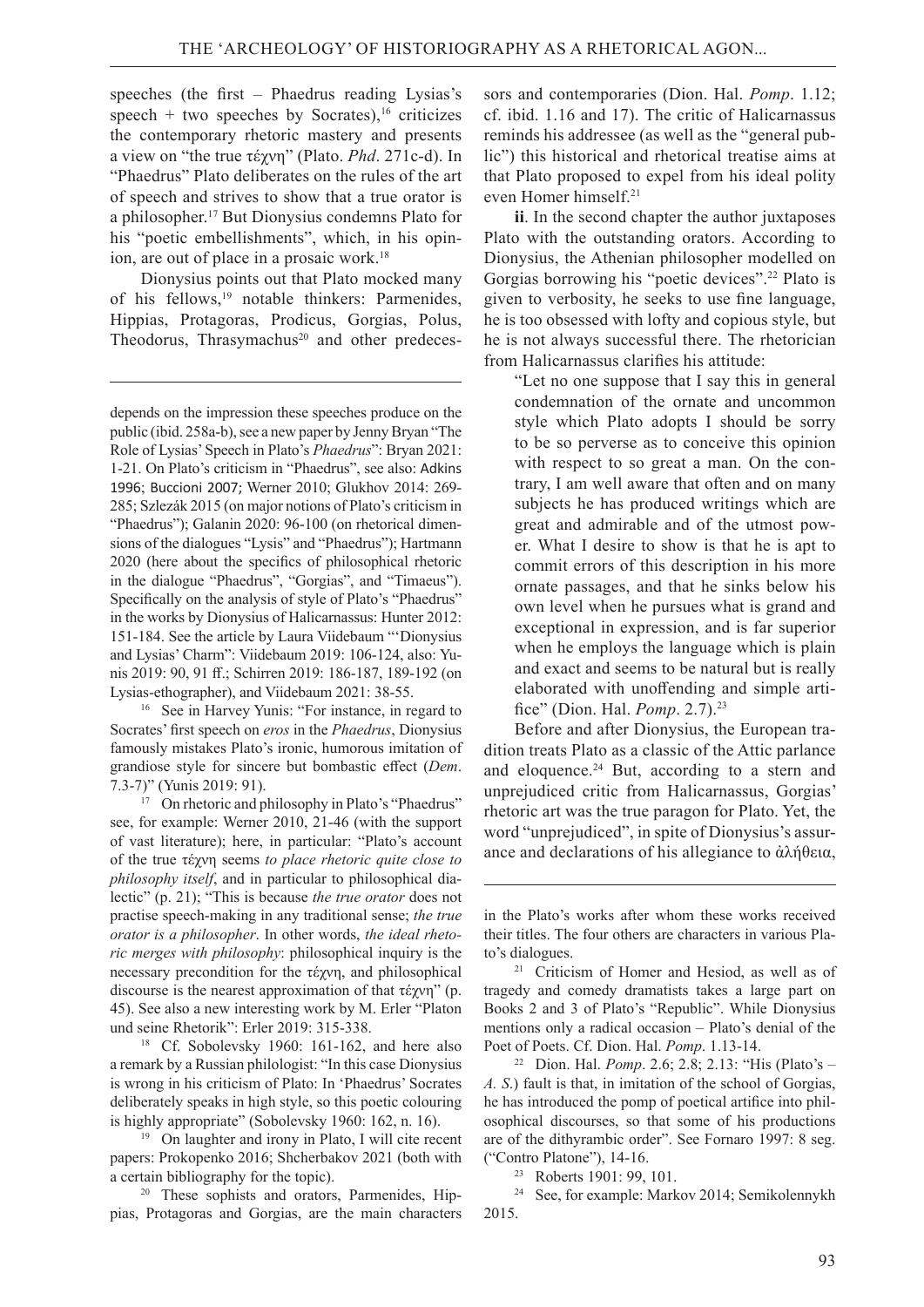speeches (the first – Phaedrus reading Lysias's speech + two speeches by Socrates),<sup>16</sup> criticizes the contemporary rhetoric mastery and presents a view on "the true τέχνη" (Plato. *Phd*. 271c-d). In "Phaedrus" Plato deliberates on the rules of the art of speech and strives to show that a true orator is a philosopher.17 But Dionysius condemns Plato for his "poetic embellishments", which, in his opinion, are out of place in a prosaic work.<sup>18</sup>

Dionysius points out that Plato mocked many of his fellows,<sup>19</sup> notable thinkers: Parmenides, Hippias, Protagoras, Prodicus, Gorgias, Polus, Theodorus, Thrasymachus<sup>20</sup> and other predeces-

16   See in Harvey Yunis: "For instance, in regard to Socrates' first speech on *eros* in the *Phaedrus*, Dionysius famously mistakes Plato's ironic, humorous imitation of grandiose style for sincere but bombastic effect (*Dem*. 7.3-7)" (Yunis 2019: 91).

17   On rhetoric and philosophy in Plato's "Phaedrus" see, for example: Werner 2010, 21-46 (with the support of vast literature); here, in particular: "Plato's account of the true τέχνη seems *to place rhetoric quite close to philosophy itself*, and in particular to philosophical dialectic" (р. 21); "This is because *the true orator* does not practise speech-making in any traditional sense; *the true orator is a philosopher*. In other words, *the ideal rhetoric merges with philosophy*: philosophical inquiry is the necessary precondition for the τέχνη, and philosophical discourse is the nearest approximation of that τέχνη" (р. 45). See also a new interesting work by M. Erler "Platon und seine Rhetorik": Erler 2019: 315-338.

18   Cf. Sobolevsky 1960: 161-162, and here also a remark by a Russian philologist: "In this case Dionysius is wrong in his criticism of Plato: In 'Phaedrus' Socrates deliberately speaks in high style, so this poetic colouring is highly appropriate" (Sobolevsky 1960: 162, n. 16).

19   On laughter and irony in Plato, I will cite recent papers: Prokopenko 2016; Shcherbakov 2021 (both with a certain bibliography for the topic).

20   These sophists and orators, Parmenides, Hippias, Protagoras and Gorgias, are the main characters sors and contemporaries (Dion. Hal. *Pomp*. 1.12; cf. ibid. 1.16 and 17). The critic of Halicarnassus reminds his addressee (as well as the "general public") this historical and rhetorical treatise aims at that Plato proposed to expel from his ideal polity even Homer himself.21

**ii**. In the second chapter the author juxtaposes Plato with the outstanding orators. According to Dionysius, the Athenian philosopher modelled on Gorgias borrowing his "poetic devices".22 Plato is given to verbosity, he seeks to use fine language, he is too obsessed with lofty and copious style, but he is not always successful there. The rhetorician from Halicarnassus clarifies his attitude:

"Let no one suppose that I say this in general condemnation of the ornate and uncommon style which Plato adopts I should be sorry to be so perverse as to conceive this opinion with respect to so great a man. On the contrary, I am well aware that often and on many subjects he has produced writings which are great and admirable and of the utmost power. What I desire to show is that he is apt to commit errors of this description in his more ornate passages, and that he sinks below his own level when he pursues what is grand and exceptional in expression, and is far superior when he employs the language which is plain and exact and seems to be natural but is really elaborated with unoffending and simple artifice" (Dion. Hal. *Pomp*. 2.7).23

Before and after Dionysius, the European tradition treats Plato as a classic of the Attic parlance and eloquence. $24$  But, according to a stern and unprejudiced critic from Halicarnassus, Gorgias' rhetoric art was the true paragon for Plato. Yet, the word "unprejudiced", in spite of Dionysius's assurance and declarations of his allegiance to ἀλήθεια,

22   Dion. Hal. *Pomp*. 2.6; 2.8; 2.13: "His (Plato's – *A. S*.) fault is that, in imitation of the school of Gorgias, he has introduced the pomp of poetical artifice into philosophical discourses, so that some of his productions are of the dithyrambic order". See Fornaro 1997: 8 seg. ("Contro Platone"), 14-16.

23   Roberts 1901: 99, 101.

24   See, for example: Markov 2014; Semikolennykh 2015.

depends on the impression these speeches produce on the public (ibid. 258a-b), see a new paper by Jenny Bryan "The Role of Lysias' Speech in Plato's *Phaedrus*": Bryan 2021: 1-21. On Plato's criticism in "Phaedrus", see also: Adkins 1996; Buccioni 2007; Werner 2010; Glukhov 2014: 269- 285; Szlezák 2015 (on major notions of Plato's criticism in "Phaedrus"); Galanin 2020: 96-100 (on rhetorical dimensions of the dialogues "Lysis" and "Phaedrus"); Hartmann 2020 (here about the specifics of philosophical rhetoric in the dialogue "Phaedrus", "Gorgias", and "Timaeus"). Specifically on the analysis of style of Plato's "Phaedrus" in the works by Dionysius of Halicarnassus: Hunter 2012: 151-184. See the article by Laura Viidebaum "'Dionysius and Lysias' Charm": Viidebaum 2019: 106-124, also: Yunis 2019: 90, 91 ff.; Schirren 2019: 186-187, 189-192 (on Lysias-ethographer), and Viidebaum 2021: 38-55.

in the Plato's works after whom these works received their titles. The four others are characters in various Plato's dialogues.

<sup>21</sup>Criticism of Homer and Hesiod, as well as of tragedy and comedy dramatists takes a large part on Books 2 and 3 of Plato's "Republic". While Dionysius mentions only a radical occasion – Plato's denial of the Poet of Poets. Cf. Dion. Hal. *Pomp*. 1.13-14.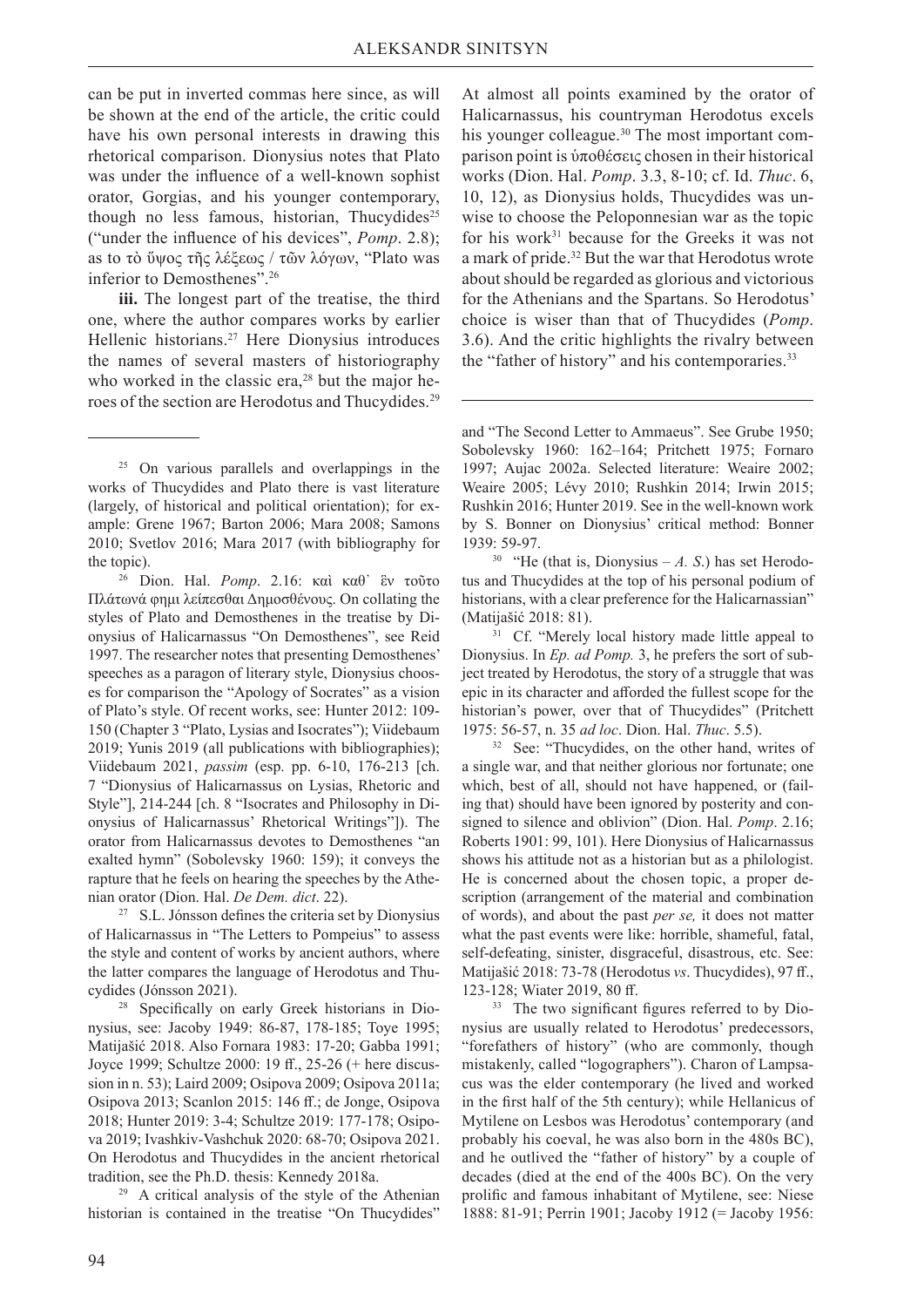can be put in inverted commas here since, as will be shown at the end of the article, the critic could have his own personal interests in drawing this rhetorical comparison. Dionysius notes that Plato was under the influence of a well-known sophist orator, Gorgias, and his younger contemporary, though no less famous, historian, Thucydides<sup>25</sup> ("under the influence of his devices", *Pomp*. 2.8); as to τὸ ὕψος τῆς λέξεως / τῶν λόγων, "Plato was inferior to Demosthenes".26

**iii.** The longest part of the treatise, the third one, where the author compares works by earlier Hellenic historians.<sup>27</sup> Here Dionysius introduces the names of several masters of historiography who worked in the classic era, $28$  but the major heroes of the section are Herodotus and Thucydides.29

<sup>26</sup> Dion. Hal. *Pomp.* 2.16: καὶ καθ' ἓν τοῦτο Πλάτωνά φημι λείπεσθαι Δημοσθένους. On collating the styles of Plato and Demosthenes in the treatise by Dionysius of Halicarnassus "On Demosthenes", see Reid 1997. The researcher notes that presenting Demosthenes' speeches as a paragon of literary style, Dionysius chooses for comparison the "Apology of Socrates" as a vision of Plato's style. Of recent works, see: Hunter 2012: 109- 150 (Chapter 3 "Plato, Lysias and Isocrates"); Viidebaum 2019; Yunis 2019 (all publications with bibliographies); Viidebaum 2021, *passim* (esp. pp. 6-10, 176-213 [ch. 7 "Dionysius of Halicarnassus on Lysias, Rhetoric and Style"], 214-244 [ch. 8 "Isocrates and Philosophy in Dionysius of Halicarnassus' Rhetorical Writings"]). The orator from Halicarnassus devotes to Demosthenes "an exalted hymn" (Sobolevsky 1960: 159); it conveys the rapture that he feels on hearing the speeches by the Athenian orator (Dion. Hal. *De Dem. dict*. 22).

27   S.L. Jónsson defines the criteria set by Dionysius of Halicarnassus in "The Letters to Pompeius" to assess the style and content of works by ancient authors, where the latter compares the language of Herodotus and Thucydides (Jónsson 2021). 28   Specifically on early Greek historians in Dio-

nysius, see: Jacoby 1949: 86-87, 178-185; Toye 1995; Matijašić 2018. Also Fornara 1983: 17-20; Gabba 1991; Joyce 1999; Schultze 2000: 19 ff., 25-26 (+ here discussion in n. 53); Laird 2009; Osipova 2009; Osipova 2011а; Osipova 2013; Scanlon 2015: 146 ff.; de Jonge, Osipova 2018; Hunter 2019: 3-4; Schultze 2019: 177-178; Osipova 2019; Ivashkiv-Vashchuk 2020: 68-70; Osipova 2021. On Herodotus and Thucydides in the ancient rhetorical tradition, see the Ph.D. thesis: Kennedy 2018a.

29   A critical analysis of the style of the Athenian historian is contained in the treatise "On Thucydides"

At almost all points examined by the orator of Halicarnassus, his countryman Herodotus excels his younger colleague.<sup>30</sup> The most important comparison point is ὑποθέσεις chosen in their historical works (Dion. Hal. *Pomp*. 3.3, 8-10; cf. Id. *Thuc*. 6, 10, 12), as Dionysius holds, Thucydides was unwise to choose the Peloponnesian war as the topic for his work<sup>31</sup> because for the Greeks it was not a mark of pride.32 But the war that Herodotus wrote about should be regarded as glorious and victorious for the Athenians and the Spartans. So Herodotus' choice is wiser than that of Thucydides (*Pomp*. 3.6). And the critic highlights the rivalry between the "father of history" and his contemporaries.<sup>33</sup>

and "The Second Letter to Ammaeus". See Grube 1950; Sobolevsky 1960: 162–164; Pritchett 1975; Fornaro 1997; Aujac 2002a. Selected literature: Weaire 2002; Weaire 2005; Lévy 2010; Rushkin 2014; Irwin 2015; Rushkin 2016; Hunter 2019. See in the well-known work by S. Bonner on Dionysius' critical method: Bonner 1939: 59-97.<br><sup>30</sup> "He (that is, Dionysius – A. S.) has set Herodo-

tus and Thucydides at the top of his personal podium of historians, with a clear preference for the Halicarnassian" (Matijašić 2018: 81). 31   Cf. "Merely local history made little appeal to

Dionysius. In *Ep. ad Pomp.* 3, he prefers the sort of subject treated by Herodotus, the story of a struggle that was epic in its character and afforded the fullest scope for the historian's power, over that of Thucydides" (Pritchett 1975: 56-57, n. 35 *ad loc*. Dion. Hal. *Thuc*. 5.5).

32   See: "Thucydides, on the other hand, writes of a single war, and that neither glorious nor fortunate; one which, best of all, should not have happened, or (failing that) should have been ignored by posterity and consigned to silence and oblivion" (Dion. Hal. *Pomp*. 2.16; Roberts 1901: 99, 101). Here Dionysius of Halicarnassus shows his attitude not as a historian but as a philologist. He is concerned about the chosen topic, a proper description (arrangement of the material and combination of words), and about the past *per se,* it does not matter what the past events were like: horrible, shameful, fatal, self-defeating, sinister, disgraceful, disastrous, etc. See: Matijašić 2018: 73-78 (Herodotus *vs*. Thucydides), 97 ff., 123-128; Wiater 2019, 80 ff.

33   The two significant figures referred to by Dionysius are usually related to Herodotus' predecessors, "forefathers of history" (who are commonly, though mistakenly, called "logographers"). Charon of Lampsacus was the elder contemporary (he lived and worked in the first half of the 5th century); while Hellanicus of Mytilene on Lesbos was Herodotus' contemporary (and probably his coeval, he was also born in the 480s BC), and he outlived the "father of history" by a couple of decades (died at the end of the 400s BC). On the very prolific and famous inhabitant of Mytilene, see: Niese 1888: 81-91; Perrin 1901; Jacoby 1912 (= Jacoby 1956:

<sup>25</sup>On various parallels and overlappings in the works of Thucydides and Plato there is vast literature (largely, of historical and political orientation); for example: Grene 1967; Barton 2006; Mara 2008; Samons 2010; Svetlov 2016; Mara 2017 (with bibliography for the topic).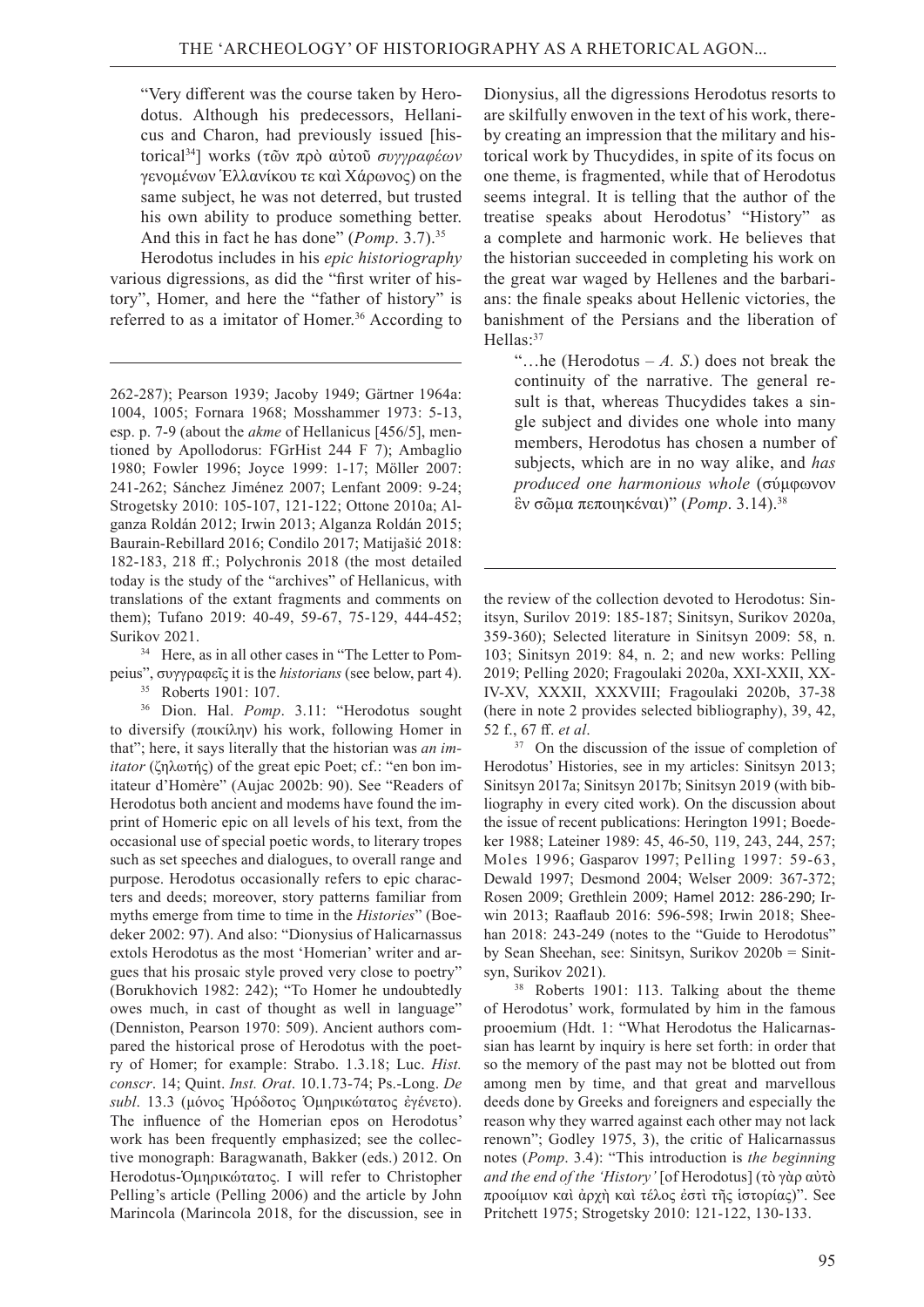"Very different was the course taken by Herodotus. Although his predecessors, Hellanicus and Charon, had previously issued [historical34] works (τῶν πρὸ αὐτοῦ *συγγραφέων* γενομένων Ἑλλανίκου τε καὶ Χάρωνος) on the same subject, he was not deterred, but trusted his own ability to produce something better. And this in fact he has done" (*Pomp*. 3.7).35

Herodotus includes in his *epic historiography*  various digressions, as did the "first writer of history", Homer, and here the "father of history" is referred to as a imitator of Homer.<sup>36</sup> According to

262-287); Pearson 1939; Jacoby 1949; Gärtner 1964а: 1004, 1005; Fornara 1968; Mosshammer 1973: 5-13, esp. р. 7-9 (about the *akme* of Hellanicus [456/5], mentioned by Apollodorus: FGrHist 244 F 7); Ambaglio 1980; Fowler 1996; Joyce 1999: 1-17; Möller 2007: 241-262; Sánchez Jiménez 2007; Lenfant 2009: 9-24; Strogetsky 2010: 105-107, 121-122; Ottone 2010a; Alganza Roldán 2012; Irwin 2013; Alganza Roldán 2015; Baurain-Rebillard 2016; Condilo 2017; Matijašić 2018: 182-183, 218 ff.; Polychronis 2018 (the most detailed today is the study of the "archives" of Hellanicus, with translations of the extant fragments and comments on them); Tufano 2019: 40-49, 59-67, 75-129, 444-452;

Surikov 2021.<br><sup>34</sup> Here, as in all other cases in "The Letter to Pompeius", συγγραφεῖς it is the *historians* (see below, part 4).

35   Roberts 1901: 107.

36   Dion. Hal. *Pomp*. 3.11: "Herodotus sought to diversify (ποικίλην) his work, following Homer in that"; here, it says literally that the historian was *an imitator* (ζηλωτής) of the great epic Poet; cf.: "en bon imitateur d'Homère" (Aujac 2002b: 90). See "Readers of Herodotus both ancient and modems have found the imprint of Homeric epic on all levels of his text, from the occasional use of special poetic words, to literary tropes such as set speeches and dialogues, to overall range and purpose. Herodotus occasionally refers to epic characters and deeds; moreover, story patterns familiar from myths emerge from time to time in the *Histories*" (Boedeker 2002: 97). And also: "Dionysius of Halicarnassus extols Herodotus as the most 'Homerian' writer and argues that his prosaic style proved very close to poetry" (Borukhovich 1982: 242); "To Homer he undoubtedly owes much, in cast of thought as well in language" (Denniston, Pearson 1970: 509). Ancient authors compared the historical prose of Herodotus with the poetry of Homer; for example: Strabo. 1.3.18; Luc. *Hist. conscr*. 14; Quint. *Inst. Orat*. 10.1.73-74; Ps.-Long. *De subl*. 13.3 (μόνος Ἡρόδοτος Ὁμηρικώτατος ἐγένετο). The influence of the Homerian epos on Herodotus' work has been frequently emphasized; see the collective monograph: Baragwanath, Bakker (eds.) 2012. On Herodotus-Ὁμηρικώτατος. I will refer to Christopher Pelling's article (Pelling 2006) and the article by John Marincola (Marincola 2018, for the discussion, see in

Dionysius, all the digressions Herodotus resorts to are skilfully enwoven in the text of his work, thereby creating an impression that the military and historical work by Thucydides, in spite of its focus on one theme, is fragmented, while that of Herodotus seems integral. It is telling that the author of the treatise speaks about Herodotus' "History" as a complete and harmonic work. He believes that the historian succeeded in completing his work on the great war waged by Hellenes and the barbarians: the finale speaks about Hellenic victories, the banishment of the Persians and the liberation of Hellas:<sup>37</sup>

"…he (Herodotus – *A. S*.) does not break the continuity of the narrative. The general result is that, whereas Thucydides takes a single subject and divides one whole into many members, Herodotus has chosen a number of subjects, which are in no way alike, and *has produced one harmonious whole* (σύμφωνον ἓν σῶμα πεποιηκέναι)" (*Pomp*. 3.14).38

the review of the collection devoted to Herodotus: Sinitsyn, Surilov 2019: 185-187; Sinitsyn, Surikov 2020a, 359-360); Selected literature in Sinitsyn 2009: 58, n. 103; Sinitsyn 2019: 84, n. 2; and new works: Pelling 2019; Pelling 2020; Fragoulaki 2020а, XXI-XXII, XX-IV-XV, XXXII, XXXVIII; Fragoulaki 2020b, 37-38 (here in note 2 provides selected bibliography), 39, 42, 52 f., 67 ff. *et al*.

37   On the discussion of the issue of completion of Herodotus' Histories, see in my articles: Sinitsyn 2013; Sinitsyn 2017а; Sinitsyn 2017b; Sinitsyn 2019 (with bibliography in every cited work). On the discussion about the issue of recent publications: Herington 1991; Boedeker 1988; Lateiner 1989: 45, 46-50, 119, 243, 244, 257; Moles 1996; Gasparov 1997; Pelling 1997: 59-63, Dewald 1997; Desmond 2004; Welser 2009: 367-372; Rosen 2009; Grethlein 2009; Hamel 2012: 286-290; Irwin 2013; Raaflaub 2016: 596-598; Irwin 2018; Sheehan 2018: 243-249 (notes to the "Guide to Herodotus" by Sean Sheehan, see: Sinitsyn, Surikov 2020b = Sinitsyn, Surikov 2021).

38   Roberts 1901: 113. Talking about the theme of Herodotus' work, formulated by him in the famous prooemium (Hdt. 1: "What Herodotus the Halicarnassian has learnt by inquiry is here set forth: in order that so the memory of the past may not be blotted out from among men by time, and that great and marvellous deeds done by Greeks and foreigners and especially the reason why they warred against each other may not lack renown"; Godley 1975, 3), the critic of Halicarnassus notes (*Pomp*. 3.4): "This introduction is *the beginning and the end of the 'History'* [of Herodotus] (τὸ γὰρ αὐτὸ προοίμιον καὶ ἀρχὴ καὶ τέλος ἐστὶ τῆς ἱστορίας)". See Pritchett 1975; Strogetsky 2010: 121-122, 130-133.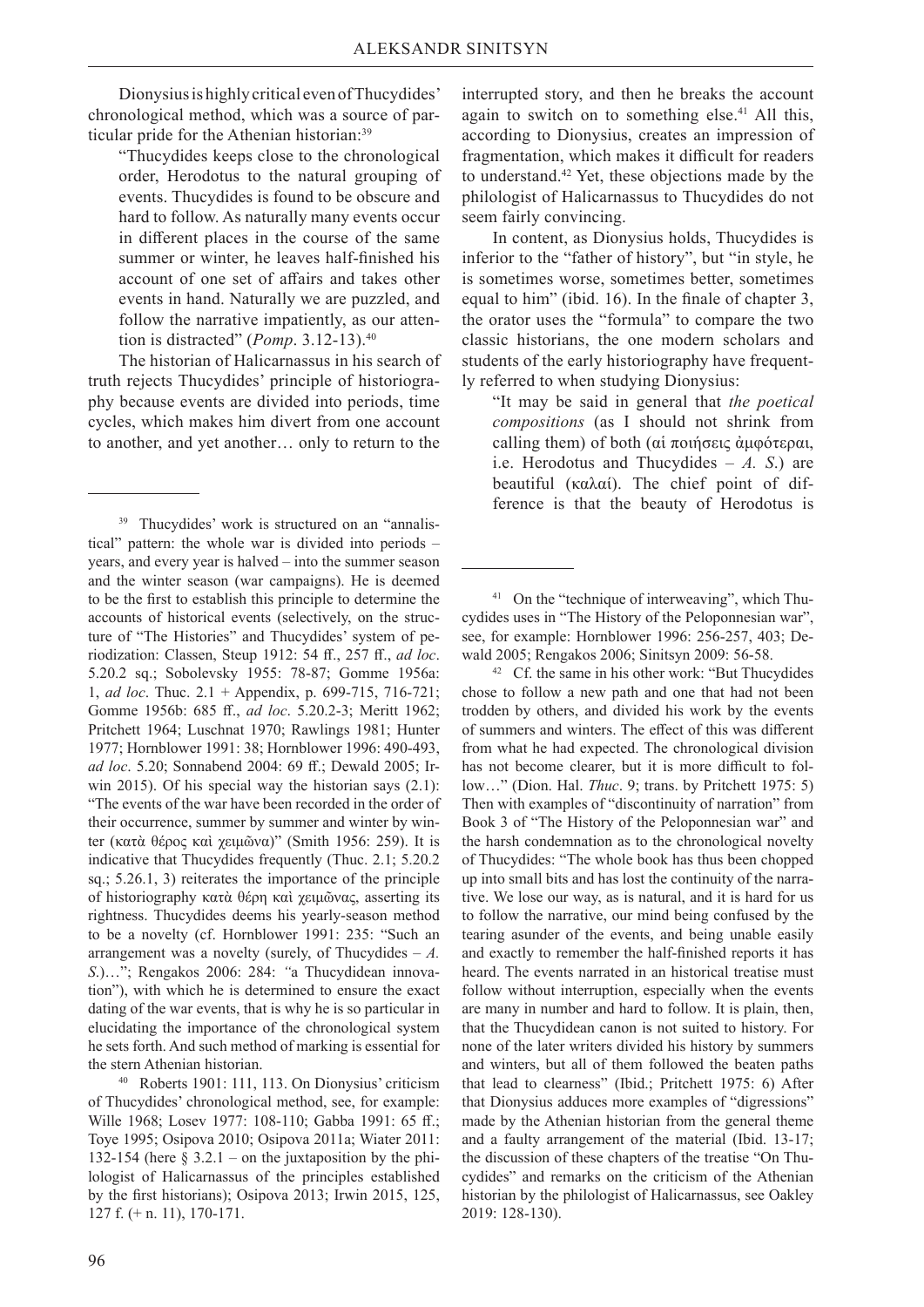Dionysius is highly critical even of Thucydides' chronological method, which was a source of particular pride for the Athenian historian:<sup>39</sup>

"Thucydides keeps close to the chronological order, Herodotus to the natural grouping of events. Thucydides is found to be obscure and hard to follow. As naturally many events occur in different places in the course of the same summer or winter, he leaves half-finished his account of one set of affairs and takes other events in hand. Naturally we are puzzled, and follow the narrative impatiently, as our attention is distracted" (*Pomp*. 3.12-13).40

The historian of Halicarnassus in his search of truth rejects Thucydides' principle of historiography because events are divided into periods, time cycles, which makes him divert from one account to another, and yet another… only to return to the

interrupted story, and then he breaks the account again to switch on to something else.<sup>41</sup> All this, according to Dionysius, creates an impression of fragmentation, which makes it difficult for readers to understand.42 Yet, these objections made by the philologist of Halicarnassus to Thucydides do not seem fairly convincing.

In content, as Dionysius holds, Thucydides is inferior to the "father of history", but "in style, he is sometimes worse, sometimes better, sometimes equal to him" (ibid. 16). In the finale of chapter 3, the orator uses the "formula" to compare the two classic historians, the one modern scholars and students of the early historiography have frequently referred to when studying Dionysius:

"It may be said in general that *the poetical compositions* (as I should not shrink from calling them) of both (αἱ ποιήσεις ἀμφότεραι, i.e. Herodotus and Thucydides – *A. S*.) are beautiful (καλαί). The chief point of difference is that the beauty of Herodotus is

41   On the "technique of interweaving", which Thucydides uses in "The History of the Peloponnesian war", see, for example: Hornblower 1996: 256-257, 403; Dewald 2005; Rengakos 2006; Sinitsyn 2009: 56-58.

42   Cf. the same in his other work: "But Thucydides chose to follow a new path and one that had not been trodden by others, and divided his work by the events of summers and winters. The effect of this was different from what he had expected. The chronological division has not become clearer, but it is more difficult to follow…" (Dion. Hal. *Thuc*. 9; trans. by Pritchett 1975: 5) Then with examples of "discontinuity of narration" from Book 3 of "The History of the Peloponnesian war" and the harsh condemnation as to the chronological novelty of Thucydides: "The whole book has thus been chopped up into small bits and has lost the continuity of the narrative. We lose our way, as is natural, and it is hard for us to follow the narrative, our mind being confused by the tearing asunder of the events, and being unable easily and exactly to remember the half-finished reports it has heard. The events narrated in an historical treatise must follow without interruption, especially when the events are many in number and hard to follow. It is plain, then, that the Thucydidean canon is not suited to history. For none of the later writers divided his history by summers and winters, but all of them followed the beaten paths that lead to clearness" (Ibid.; Pritchett 1975: 6) After that Dionysius adduces more examples of "digressions" made by the Athenian historian from the general theme and a faulty arrangement of the material (Ibid. 13-17; the discussion of these chapters of the treatise "On Thucydides" and remarks on the criticism of the Athenian historian by the philologist of Halicarnassus, see Oakley 2019: 128-130).

<sup>39</sup>Thucydides' work is structured on an "annalistical" pattern: the whole war is divided into periods – years, and every year is halved – into the summer season and the winter season (war campaigns). He is deemed to be the first to establish this principle to determine the accounts of historical events (selectively, on the structure of "The Histories" and Thucydides' system of periodization: Classen, Steup 1912: 54 ff., 257 ff., *ad loc*. 5.20.2 sq.; Sobolevsky 1955: 78-87; Gomme 1956a: 1, *ad loc*. Thuc. 2.1 + Appendix, p. 699-715, 716-721; Gomme 1956b: 685 ff., *ad loc*. 5.20.2-3; Meritt 1962; Pritchett 1964; Luschnat 1970; Rawlings 1981; Hunter 1977; Hornblower 1991: 38; Hornblower 1996: 490-493, *ad loc*. 5.20; Sonnabend 2004: 69 ff.; Dewald 2005; Irwin 2015). Of his special way the historian says (2.1): "The events of the war have been recorded in the order of their occurrence, summer by summer and winter by winter (κατὰ θέρος καὶ χειμῶνα)" (Smith 1956: 259). It is indicative that Thucydides frequently (Thuc. 2.1; 5.20.2 sq.; 5.26.1, 3) reiterates the importance of the principle of historiography κατὰ θέρη καὶ χειμῶνας, asserting its rightness. Thucydides deems his yearly-season method to be a novelty (сf. Hornblower 1991: 235: "Such an arrangement was a novelty (surely, of Thucydides – *А. S*.)…"; Rengakos 2006: 284: *"*a Thucydidean innovation"), with which he is determined to ensure the exact dating of the war events, that is why he is so particular in elucidating the importance of the chronological system he sets forth. And such method of marking is essential for the stern Athenian historian. 40   Roberts 1901: 111, 113. On Dionysius' criticism

of Thucydides' chronological method, see, for example: Wille 1968; Losev 1977: 108-110; Gabba 1991: 65 ff.; Toye 1995; Osipova 2010; Osipova 2011а; Wiater 2011: 132-154 (here  $\S 3.2.1$  – on the juxtaposition by the philologist of Halicarnassus of the principles established by the first historians); Osipova 2013; Irwin 2015, 125, 127 f. (+ n. 11), 170-171.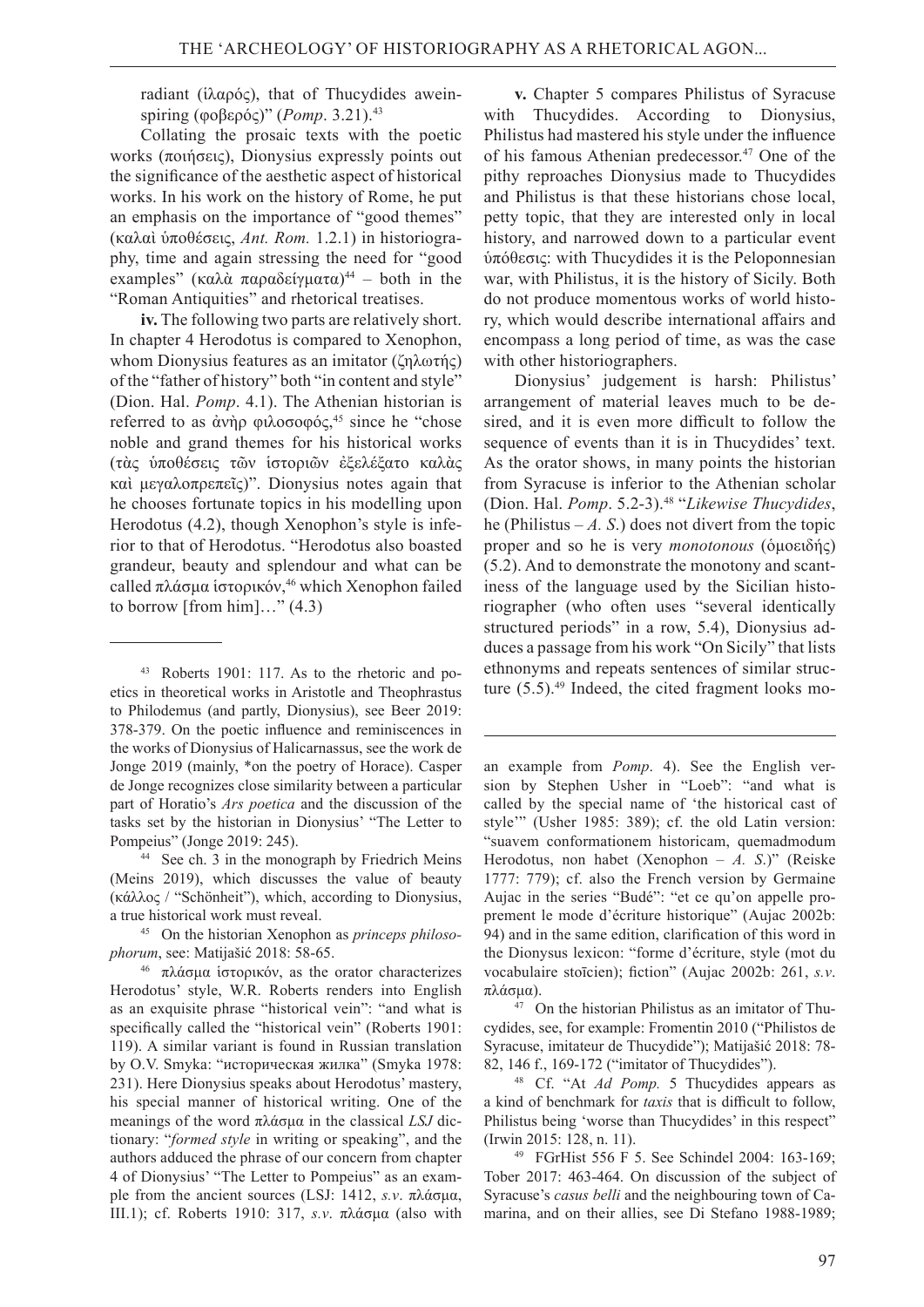radiant (ἱλαρός), that of Thucydides aweinspiring (φοβερός)" (*Pomp*. 3.21).43

Collating the prosaic texts with the poetic works (ποιήσεις), Dionysius expressly points out the significance of the aesthetic aspect of historical works. In his work on the history of Rome, he put an emphasis on the importance of "good themes" (καλαὶ ὑποθέσεις, *Ant. Rom.* 1.2.1) in historiography, time and again stressing the need for "good examples" (καλά παραδείγματα)<sup>44</sup> – both in the "Roman Antiquities" and rhetorical treatises.

**iv.** The following two parts are relatively short. In chapter 4 Herodotus is compared to Xenophon, whom Dionysius features as an imitator (ζηλωτής) of the "father of history" both "in content and style" (Dion. Hal. *Pomp*. 4.1). The Athenian historian is referred to as άνὴρ φιλοσοφός,<sup>45</sup> since he "chose noble and grand themes for his historical works (τὰς ὑποθέσεις τῶν ἱστοριῶν ἐξελέξατο καλὰς καὶ μεγαλοπρεπεῖς)". Dionysius notes again that he chooses fortunate topics in his modelling upon Herodotus (4.2), though Xenophon's style is inferior to that of Herodotus. "Herodotus also boasted grandeur, beauty and splendour and what can be called πλάσμα ίστορικόν,<sup>46</sup> which Xenophon failed to borrow [from him]..."  $(4.3)$ 

**v.** Chapter 5 compares Philistus of Syracuse with Thucydides. According to Dionysius, Philistus had mastered his style under the influence of his famous Athenian predecessor.<sup>47</sup> One of the pithy reproaches Dionysius made to Thucydides and Philistus is that these historians chose local, petty topic, that they are interested only in local history, and narrowed down to a particular event ὑπόθεσις: with Thucydides it is the Peloponnesian war, with Philistus, it is the history of Sicily. Both do not produce momentous works of world history, which would describe international affairs and encompass a long period of time, as was the case with other historiographers.

Dionysius' judgement is harsh: Philistus' arrangement of material leaves much to be desired, and it is even more difficult to follow the sequence of events than it is in Thucydides' text. As the orator shows, in many points the historian from Syracuse is inferior to the Athenian scholar (Dion. Hal. *Pomp*. 5.2-3).48 "*Likewise Thucydides*, he (Philistus  $-A$ . S.) does not divert from the topic proper and so he is very *monotonous* (ὁμοειδής) (5.2). And to demonstrate the monotony and scantiness of the language used by the Sicilian historiographer (who often uses "several identically structured periods" in a row, 5.4), Dionysius adduces a passage from his work "On Sicily" that lists ethnonyms and repeats sentences of similar structure  $(5.5)$ .<sup>49</sup> Indeed, the cited fragment looks mo-

<sup>43</sup>Roberts 1901: 117. As to the rhetoric and poetics in theoretical works in Aristotle and Theophrastus to Philodemus (and partly, Dionysius), see Beer 2019: 378-379. On the poetic influence and reminiscences in the works of Dionysius of Halicarnassus, see the work de Jonge 2019 (mainly, \*on the poetry of Horace). Casper de Jonge recognizes close similarity between a particular part of Horatio's *Ars poetica* and the discussion of the tasks set by the historian in Dionysius' "The Letter to

Pompeius" (Jonge 2019: 245).<br><sup>44</sup> See ch. 3 in the monograph by Friedrich Meins (Meins 2019), which discusses the value of beauty (κάλλος / "Schönheit"), which, according to Dionysius, a true historical work must reveal. 45   On the historian Xenophon as *princeps philoso-*

*phorum*, see: Matijašić 2018: 58-65.

<sup>46</sup>πλάσμα ἱστορικόν, as the orator characterizes Herodotus' style, W.R. Roberts renders into English as an exquisite phrase "historical vein": "and what is specifically called the "historical vein" (Roberts 1901: 119). A similar variant is found in Russian translation by O.V. Smyka: "историческая жилка" (Smyka 1978: 231). Here Dionysius speaks about Herodotus' mastery, his special manner of historical writing. One of the meanings of the word πλάσμα in the classical *LSJ* dictionary: "*formed style* in writing or speaking", and the authors adduced the phrase of our concern from chapter 4 of Dionysius' "The Letter to Pompeius" as an example from the ancient sources (LSJ: 1412, *s.v*. πλάσμα, III.1); cf. Roberts 1910: 317, *s.v*. πλάσμα (also with

an example from *Pomp*. 4). See the English version by Stephen Usher in "Loeb": "and what is called by the special name of 'the historical cast of style'" (Usher 1985: 389); cf. the old Latin version: "suavem conformationem historicam, quemadmodum Herodotus, non habet (Xenophon – *A. S*.)" (Reiske 1777: 779); cf. also the French version by Germaine Aujac in the series "Budé": "et ce qu'on appelle proprement le mode d'écriture historique" (Aujac 2002b: 94) and in the same edition, clarification of this word in the Dionysus lexicon: "forme d'écriture, style (mot du vocabulaire stoīcien); fiction" (Aujac 2002b: 261, *s.v*. πλάσμα).

<sup>47</sup>On the historian Philistus as an imitator of Thucydides, see, for example: Fromentin 2010 ("Philistos de Syracuse, imitateur de Thucydide"); Matijašić 2018: 78-

<sup>82, 146</sup> f., 169-172 ("imitator of Thucydides"). 48   Cf. "At *Ad Pomp.* 5 Thucydides appears as a kind of benchmark for *taxis* that is difficult to follow, Philistus being 'worse than Thucydides' in this respect" (Irwin 2015: 128, n. 11).

<sup>49</sup>FGrHist 556 F 5. See Schindel 2004: 163-169; Tober 2017: 463-464. On discussion of the subject of Syracuse's *casus belli* and the neighbouring town of Camarina, and on their allies, see Di Stefano 1988-1989;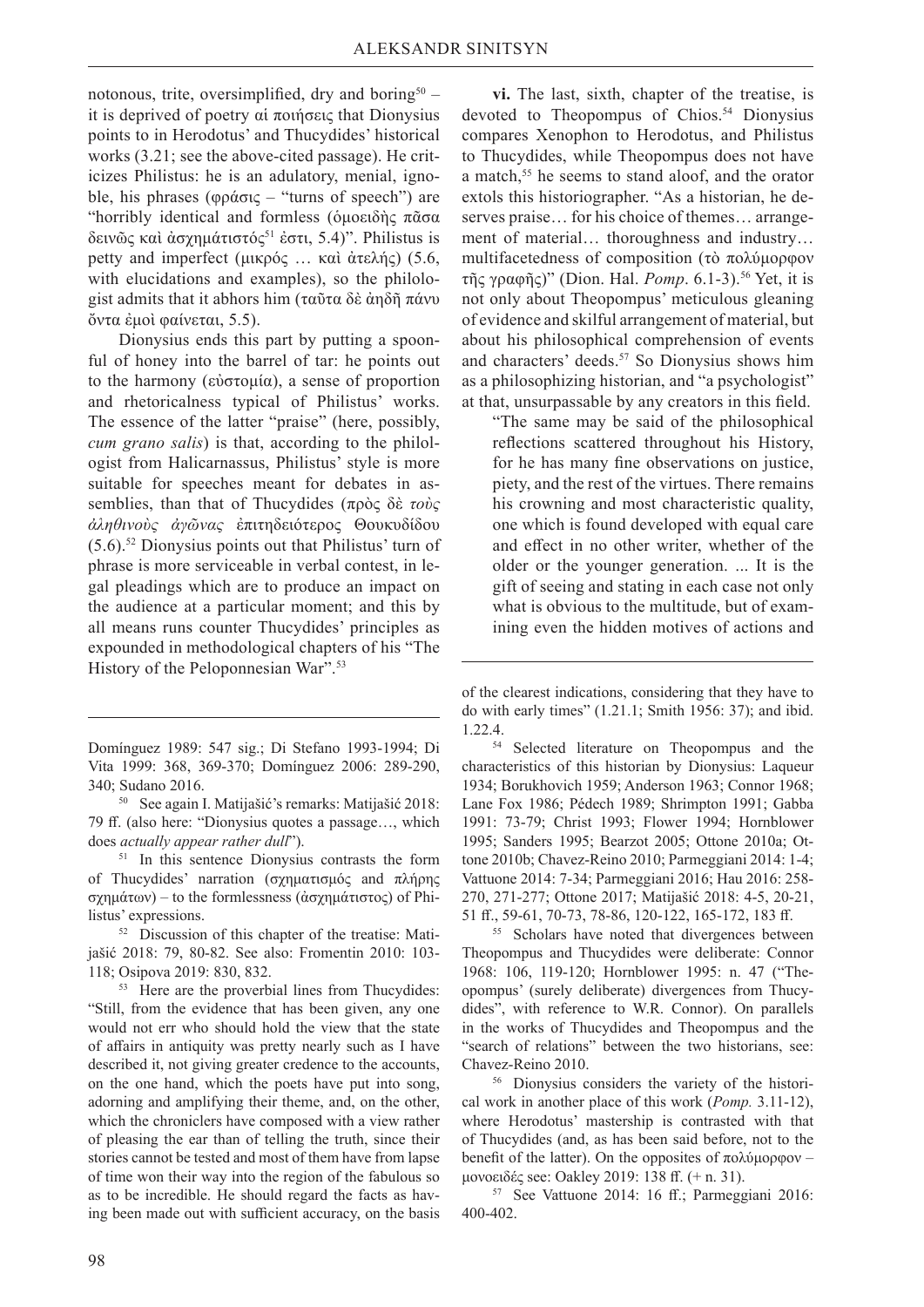notonous, trite, oversimplified, dry and boring<sup>50</sup> – it is deprived of poetry αἱ ποιήσεις that Dionysius points to in Herodotus' and Thucydides' historical works (3.21; see the above-cited passage). He criticizes Philistus: he is an adulatory, menial, ignoble, his phrases (φράσις – "turns of speech") are "horribly identical and formless (δμοειδής πᾶσα δεινῶς καὶ ἀσχημάτιστός<sup>51</sup> ἐστι, 5.4)". Philistus is petty and imperfect (μικρός … καὶ ἀτελής) (5.6, with elucidations and examples), so the philologist admits that it abhors him (ταῦτα δὲ ἀηδῆ πάνυ ὄντα ἐμοὶ φαίνεται, 5.5).

Dionysius ends this part by putting a spoonful of honey into the barrel of tar: he points out to the harmony (εὐστομία), a sense of proportion and rhetoricalness typical of Philistus' works. The essence of the latter "praise" (here, possibly, *cum grano salis*) is that, according to the philologist from Halicarnassus, Philistus' style is more suitable for speeches meant for debates in assemblies, than that of Thucydides (πρὸς δὲ *τοὺς ἀληθινοὺς ἀγῶνας* ἐπιτηδειότερος Θουκυδίδου (5.6).52 Dionysius points out that Philistus' turn of phrase is more serviceable in verbal contest, in legal pleadings which are to produce an impact on the audience at a particular moment; and this by all means runs counter Thucydides' principles as expounded in methodological chapters of his "The History of the Peloponnesian War".53

53   Here are the proverbial lines from Thucydides: "Still, from the evidence that has been given, any one would not err who should hold the view that the state of affairs in antiquity was pretty nearly such as I have described it, not giving greater credence to the accounts, on the one hand, which the poets have put into song, adorning and amplifying their theme, and, on the other, which the chroniclers have composed with a view rather of pleasing the ear than of telling the truth, since their stories cannot be tested and most of them have from lapse of time won their way into the region of the fabulous so as to be incredible. He should regard the facts as having been made out with sufficient accuracy, on the basis

**vi.** The last, sixth, chapter of the treatise, is devoted to Theopompus of Chios.<sup>54</sup> Dionysius compares Xenophon to Herodotus, and Philistus to Thucydides, while Theopompus does not have a match,<sup>55</sup> he seems to stand aloof, and the orator extols this historiographer. "As a historian, he deserves praise… for his choice of themes… arrangement of material… thoroughness and industry… multifacetedness of composition (τὸ πολύμορφον τῆς γραφῆς)" (Dion. Hal. *Pomp*. 6.1-3).56 Yet, it is not only about Theopompus' meticulous gleaning of evidence and skilful arrangement of material, but about his philosophical comprehension of events and characters' deeds.57 So Dionysius shows him as a philosophizing historian, and "a psychologist" at that, unsurpassable by any creators in this field.

"The same may be said of the philosophical reflections scattered throughout his History, for he has many fine observations on justice, piety, and the rest of the virtues. There remains his crowning and most characteristic quality, one which is found developed with equal care and effect in no other writer, whether of the older or the younger generation. ... It is the gift of seeing and stating in each case not only what is obvious to the multitude, but of examining even the hidden motives of actions and

54   Selected literature on Theopompus and the characteristics of this historian by Dionysius: Laqueur 1934; Borukhovich 1959; Anderson 1963; Connor 1968; Lane Fox 1986; Pédech 1989; Shrimpton 1991; Gabba 1991: 73-79; Christ 1993; Flower 1994; Hornblower 1995; Sanders 1995; Bearzot 2005; Ottone 2010a; Ottone 2010b; Chavez-Reino 2010; Parmeggiani 2014: 1-4; Vattuone 2014: 7-34; Parmeggiani 2016; Hau 2016: 258- 270, 271-277; Ottone 2017; Matijašić 2018: 4-5, 20-21, 51 ff., 59-61, 70-73, 78-86, 120-122, 165-172, 183 ff.

55   Scholars have noted that divergences between Theopompus and Thucydides were deliberate: Connor 1968: 106, 119-120; Hornblower 1995: n. 47 ("Theopompus' (surely deliberate) divergences from Thucydides", with reference to W.R. Connor). On parallels in the works of Thucydides and Theopompus and the "search of relations" between the two historians, see:

Chavez-Reino 2010. 56   Dionysius considers the variety of the historical work in another place of this work (*Pomp.* 3.11-12), where Herodotus' mastership is contrasted with that of Thucydides (and, as has been said before, not to the benefit of the latter). On the opposites of  $\pi$ ολύμορφον – μονοειδές see: Oakley 2019: 138 ff. (+ n. 31).

57   See Vattuone 2014: 16 ff.; Parmeggiani 2016: 400-402.

Domínguez 1989: 547 sig.; Di Stefano 1993-1994; Di Vita 1999: 368, 369-370; Domínguez 2006: 289-290, 340; Sudano 2016. 50   See again I. Matijašić's remarks: Matijašić 2018:

<sup>79</sup> ff. (also here: "Dionysius quotes a passage…, which does *actually appear rather dull*").

<sup>51</sup>In this sentence Dionysius contrasts the form of Thucydides' narration (σχηματισμός and πλήρης σχημάτων) – to the formlessness (ἀσχημάτιστος) of Philistus' expressions.

<sup>52</sup>Discussion of this chapter of the treatise: Matijašić 2018: 79, 80-82. See also: Fromentin 2010: 103- 118; Osipova 2019: 830, 832.

of the clearest indications, considering that they have to do with early times" (1.21.1; Smith 1956: 37); and ibid. 1.22.4.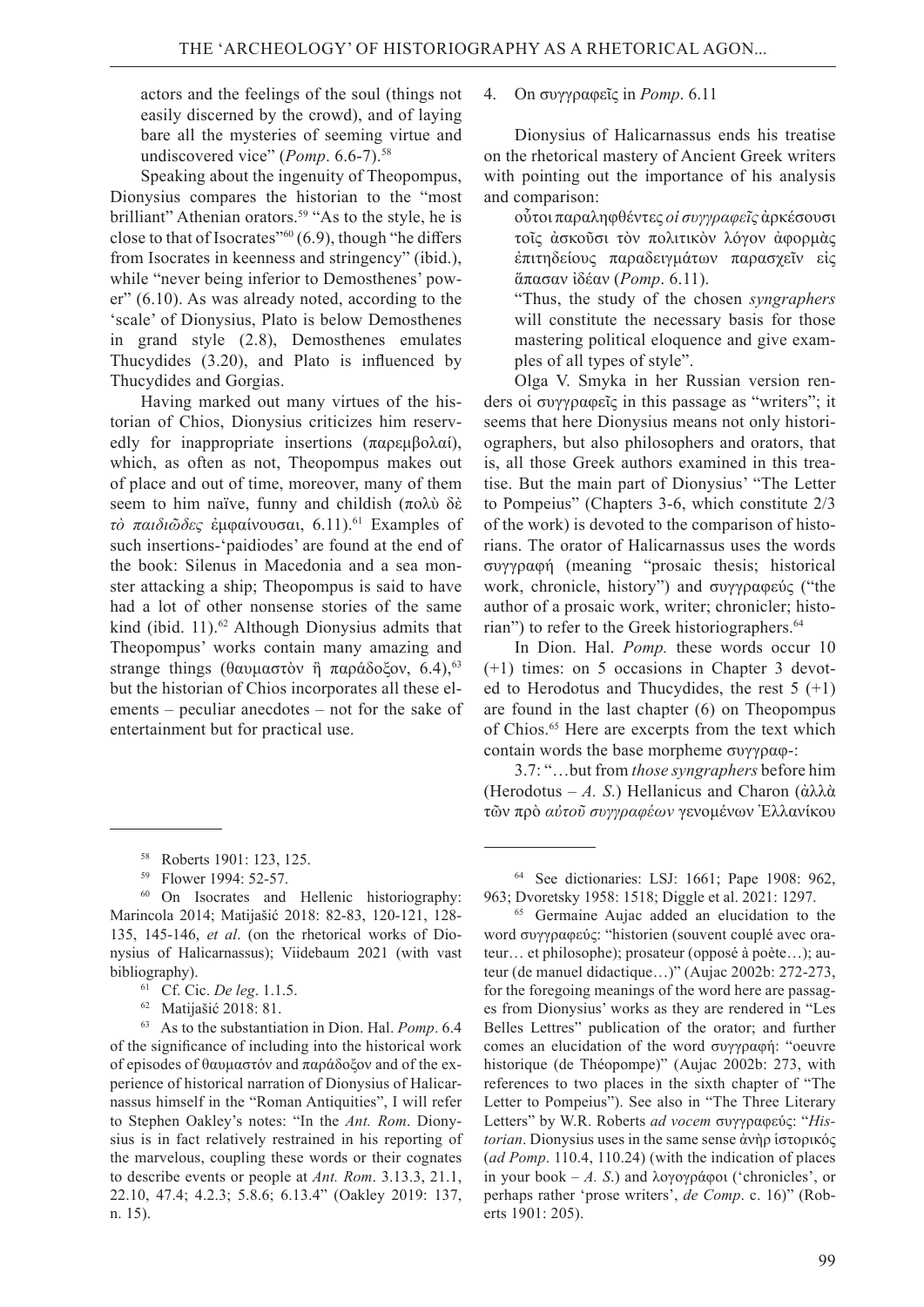actors and the feelings of the soul (things not easily discerned by the crowd), and of laying bare all the mysteries of seeming virtue and undiscovered vice" (*Pomp.* 6.6-7).<sup>58</sup>

Speaking about the ingenuity of Theopompus, Dionysius compares the historian to the "most brilliant" Athenian orators.<sup>59</sup> "As to the style, he is close to that of Isocrates" $(6.9)$ , though "he differs" from Isocrates in keenness and stringency" (ibid.), while "never being inferior to Demosthenes' power" (6.10). As was already noted, according to the 'scale' of Dionysius, Plato is below Demosthenes in grand style (2.8), Demosthenes emulates Thucydides (3.20), and Plato is influenced by Thucydides and Gorgias.

Having marked out many virtues of the historian of Chios, Dionysius criticizes him reservedly for inappropriate insertions (παρεμβολαί), which, as often as not, Theopompus makes out of place and out of time, moreover, many of them seem to him naïve, funny and childish (πολύ δέ *τὸ παιδιῶδες* ἐμφαίνουσαι, 6.11).61 Examples of such insertions-'paidiodes' are found at the end of the book: Silenus in Macedonia and a sea monster attacking a ship; Theopompus is said to have had a lot of other nonsense stories of the same kind (ibid. 11).<sup>62</sup> Although Dionysius admits that Theopompus' works contain many amazing and strange things (θαυμαστὸν ἢ παράδοξον, 6.4),<sup>63</sup> but the historian of Chios incorporates all these elements – peculiar anecdotes – not for the sake of entertainment but for practical use.

- 61   Cf. Cic. *De leg*. 1.1.5.
- 62   Matijašić 2018: 81.

63   As to the substantiation in Dion. Hal. *Pomp*. 6.4 of the significance of including into the historical work of episodes of θαυμαστόν and παράδοξον and of the experience of historical narration of Dionysius of Halicarnassus himself in the "Roman Antiquities", I will refer to Stephen Oakley's notes: "In the *Ant. Rom*. Dionysius is in fact relatively restrained in his reporting of the marvelous, coupling these words or their cognates to describe events or people at *Ant. Rom*. 3.13.3, 21.1, 22.10, 47.4; 4.2.3; 5.8.6; 6.13.4" (Oakley 2019: 137, n. 15).

#### 4. On συγγραφεῖς in *Pomp*. 6.11

Dionysius of Halicarnassus ends his treatise on the rhetorical mastery of Ancient Greek writers with pointing out the importance of his analysis and comparison:

οὗτοι παραληφθέντες *οἱ συγγραφεῖς* ἀρκέσουσι τοῖς ἀσκοῦσι τὸν πολιτικὸν λόγον ἀφορμὰς ἐπιτηδείους παραδειγμάτων παρασχεῖν εἰς ἅπασαν ἰδέαν (*Pomp*. 6.11).

"Thus, the study of the chosen *syngraphers* will constitute the necessary basis for those mastering political eloquence and give examples of all types of style".

Olga V. Smyka in her Russian version renders οἱ συγγραφεῖς in this passage as "writers"; it seems that here Dionysius means not only historiographers, but also philosophers and orators, that is, all those Greek authors examined in this treatise. But the main part of Dionysius' "The Letter to Pompeius" (Chapters 3-6, which constitute 2/3 of the work) is devoted to the comparison of historians. The orator of Halicarnassus uses the words συγγραφή (meaning "prosaic thesis; historical work, chronicle, history") and συγγραφεύς ("the author of a prosaic work, writer; chronicler; historian") to refer to the Greek historiographers.<sup>64</sup>

In Dion. Hal. *Pomp.* these words occur 10 (+1) times: on 5 occasions in Chapter 3 devoted to Herodotus and Thucydides, the rest  $5 (+1)$ are found in the last chapter (6) on Theopompus of Chios.<sup>65</sup> Here are excerpts from the text which contain words the base morpheme συγγραφ-:

3.7: "…but from *those syngraphers* before him (Herodotus – *A. S*.) Hellanicus and Charon (ἀλλὰ τῶν πρὸ *αὐτοῦ συγγραφέων* γενομένων Ἑλλανίκου

<sup>58</sup>Roberts 1901: 123, 125.

<sup>59</sup>Flower 1994: 52-57.

<sup>60</sup>On Isocrates and Hellenic historiography: Marincola 2014; Matijašić 2018: 82-83, 120-121, 128- 135, 145-146, *et al*. (on the rhetorical works of Dionysius of Halicarnassus); Viidebaum 2021 (with vast bibliography).

<sup>64</sup>See dictionaries: LSJ: 1661; Pape 1908: 962, 963; Dvoretsky 1958: 1518; Diggle et al. 2021: 1297.

<sup>65</sup>Germaine Aujac added an elucidation to the word συγγραφεύς: "historien (souvent couplé avec orateur… et philosophe); prosateur (opposé à poète…); auteur (de manuel didactique…)" (Aujac 2002b: 272-273, for the foregoing meanings of the word here are passages from Dionysius' works as they are rendered in "Les Belles Lettres" publication of the orator; and further comes an elucidation of the word συγγραφή: "oeuvre historique (de Théopompe)" (Aujac 2002b: 273, with references to two places in the sixth chapter of "The Letter to Pompeius"). See also in "The Three Literary Letters" by W.R. Roberts *ad vocem* συγγραφεύς: "*Historian*. Dionysius uses in the same sense ἀνὴρ ἱστορικός (*ad Pomp*. 110.4, 110.24) (with the indication of places in your book – *A. S*.) and λογογράφοι ('chronicles', or perhaps rather 'prose writers', *de Comp*. c. 16)" (Roberts 1901: 205).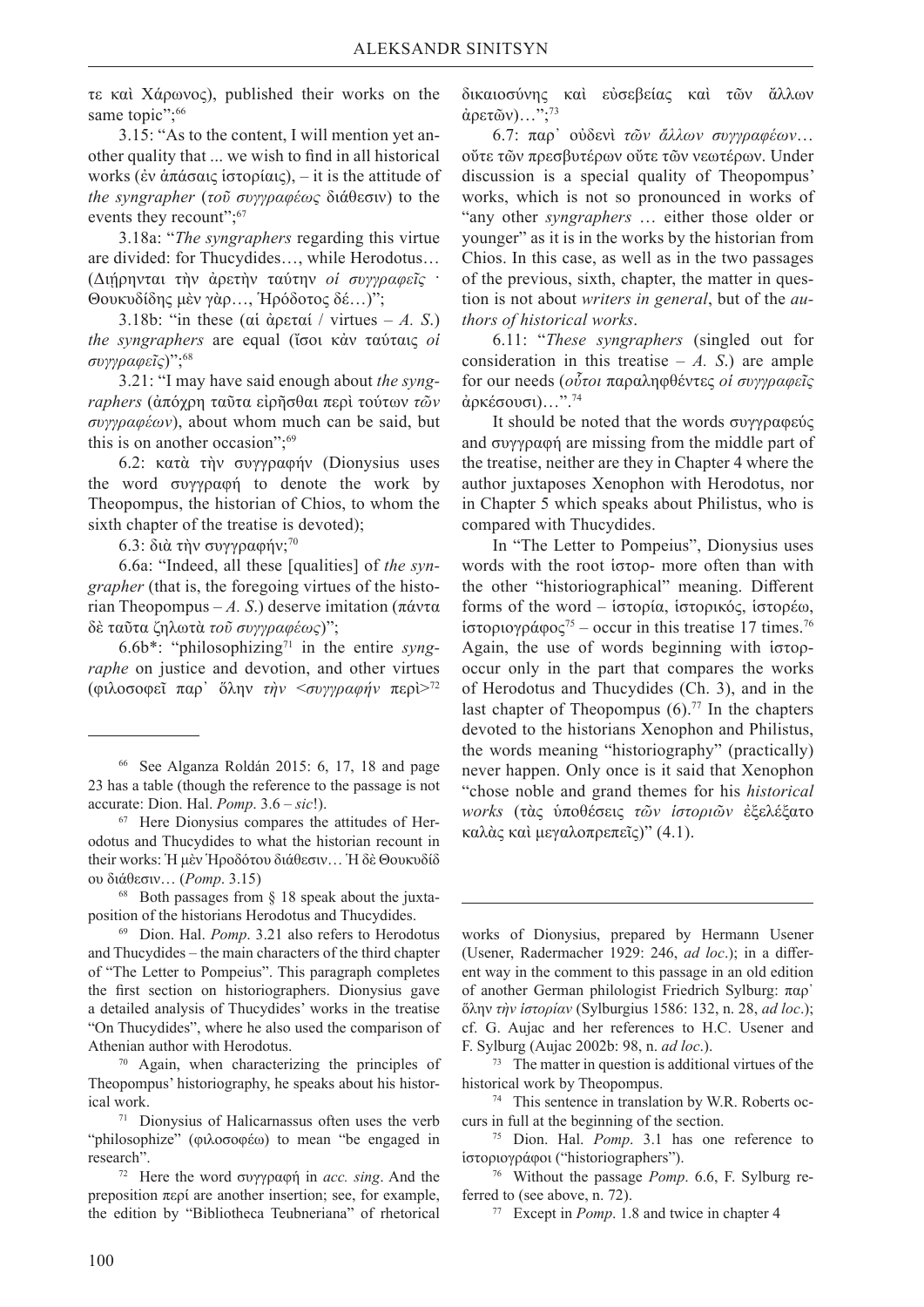τε καὶ Χάρωνος), published their works on the same topic":<sup>66</sup>

3.15: "As to the content, I will mention yet another quality that ... we wish to find in all historical works (ἐν ἀπάσαις ἱστορίαις), – it is the attitude of *the syngrapher* (*τοῦ συγγραφέως* διάθεσιν) to the events they recount": 67

3.18а: "*The syngraphers* regarding this virtue are divided: for Thucydides…, while Herodotus… (Διήρηνται την άρετην ταύτην *οί συγγραφεΐς* · Θουκυδίδης μὲν γὰρ…, Ἡρόδοτος δέ…)";

3.18b: "in these (αἱ ἀρεταί / virtues – *A. S*.) *the syngraphers* are equal (ἴσοι κἀν ταύταις *oἱ συγγραφεῖς*)";68

3.21: "I may have said enough about *the syngraphers* (ἀπόχρη ταῦτα εἰρῆσθαι περὶ τούτων *τῶν συγγραφέων*), about whom much can be said, but this is on another occasion";<sup>69</sup>

6.2: κατὰ τὴν συγγραφήν (Dionysius uses the word συγγραφή to denote the work by Theopompus, the historian of Chios, to whom the sixth chapter of the treatise is devoted);

 $6.3:$  διὰ τὴν συγγραφήν;<sup>70</sup>

6.6a: "Indeed, all these [qualities] of *the syngrapher* (that is, the foregoing virtues of the historian Theopompus – *A. S*.) deserve imitation (πάντα δὲ ταῦτα ζηλωτὰ *τοῦ συγγραφέως*)";

6.6b\*: "philosophizing71 in the entire *syngraphe* on justice and devotion, and other virtues (φιλοσοφεῖ παρ᾿ ὅλην *τὴν* <*συγγραφήν* περὶ>72

68   Both passages from § 18 speak about the juxtaposition of the historians Herodotus and Thucydides.

69   Dion. Hal. *Pomp*. 3.21 also refers to Herodotus and Thucydides – the main characters of the third chapter of "The Letter to Pompeius". This paragraph completes the first section on historiographers. Dionysius gave a detailed analysis of Thucydides' works in the treatise "On Thucydides", where he also used the comparison of Athenian author with Herodotus.

70   Again, when characterizing the principles of Theopompus' historiography, he speaks about his histor-

ical work. 71   Dionysius of Halicarnassus often uses the verb "philosophize" (φιλοσοφέω) to mean "be engaged in

research". 72   Here the word συγγραφή in *acc. sing*. And the preposition περί are another insertion; see, for example, the edition by "Bibliotheca Teubneriana" of rhetorical

δικαιοσύνης καὶ εὐσεβείας καὶ τῶν ἄλλων  $\dot{\alpha}$ ρετῶν)...":<sup>73</sup>

6.7: παρ᾿ οὐδενὶ *τῶν ἄλλων συγγραφέων*… οὔτε τῶν πρεσβυτέρων οὔτε τῶν νεωτέρων. Under discussion is a special quality of Theopompus' works, which is not so pronounced in works of "any other *syngraphers* … either those older or younger" as it is in the works by the historian from Chios. In this case, as well as in the two passages of the previous, sixth, chapter, the matter in question is not about *writers in general*, but of the *authors of historical works*.

6.11: "*These syngraphers* (singled out for consideration in this treatise  $- A$ . S.) are ample for our needs (*οὗτοι* παραληφθέντες *οἱ συγγραφεῖς*  ἀρκέσουσι)…".74

It should be noted that the words συγγραφεύς and συγγραφή are missing from the middle part of the treatise, neither are they in Chapter 4 where the author juxtaposes Xenophon with Herodotus, nor in Chapter 5 which speaks about Philistus, who is compared with Thucydides.

In "The Letter to Pompeius", Dionysius uses words with the root ἱστορ- more often than with the other "historiographical" meaning. Different forms of the word – ἱστορία, ἱστορικός, ἱστορέω, ἱστοριογράφος75 – occur in this treatise 17 times.76 Again, the use of words beginning with ἱστορoccur only in the part that compares the works of Herodotus and Thucydides (Ch. 3), and in the last chapter of Theopompus  $(6)$ .<sup>77</sup> In the chapters devoted to the historians Xenophon and Philistus, the words meaning "historiography" (practically) never happen. Only once is it said that Xenophon "chose noble and grand themes for his *historical works* (τὰς ὑποθέσεις *τῶν ἱστοριῶν* ἐξελέξατο καλὰς καὶ μεγαλοπρεπεῖς)" (4.1).

works of Dionysius, prepared by Hermann Usener (Usener, Radermacher 1929: 246, *ad loc*.); in a different way in the comment to this passage in an old edition of another German philologist Friedrich Sylburg: παρ᾿ ὅλην *τὴν ἱστορίαν* (Sylburgius 1586: 132, n. 28, *ad loc*.); cf. G. Aujac and her references to H.C. Usener and

<sup>F</sup>. Sylburg (Aujac 2002b: 98, n. *ad loc*.). 73   The matter in question is additional virtues of the historical work by Theopompus.

74   This sentence in translation by W.R. Roberts occurs in full at the beginning of the section.

76   Without the passage *Pomp*. 6.6, F. Sylburg referred to (see above, n. 72).

77   Except in *Pomp*. 1.8 and twice in chapter 4

<sup>66</sup>See Alganza Roldán 2015: 6, 17, 18 and page 23 has a table (though the reference to the passage is not accurate: Dion. Hal. *Pomp*. 3.6 – *sic*!).

<sup>67</sup>Here Dionysius compares the attitudes of Herodotus and Thucydides to what the historian recount in their works: Ἡ μὲν Ἡροδότου διάθεσιν… Ἡ δὲ Θουκυδίδ ου διάθεσιν… (*Pomp*. 3.15)

<sup>75</sup>Dion. Hal. *Pomp*. 3.1 has one reference to ἱστοριογράφοι ("historiographers").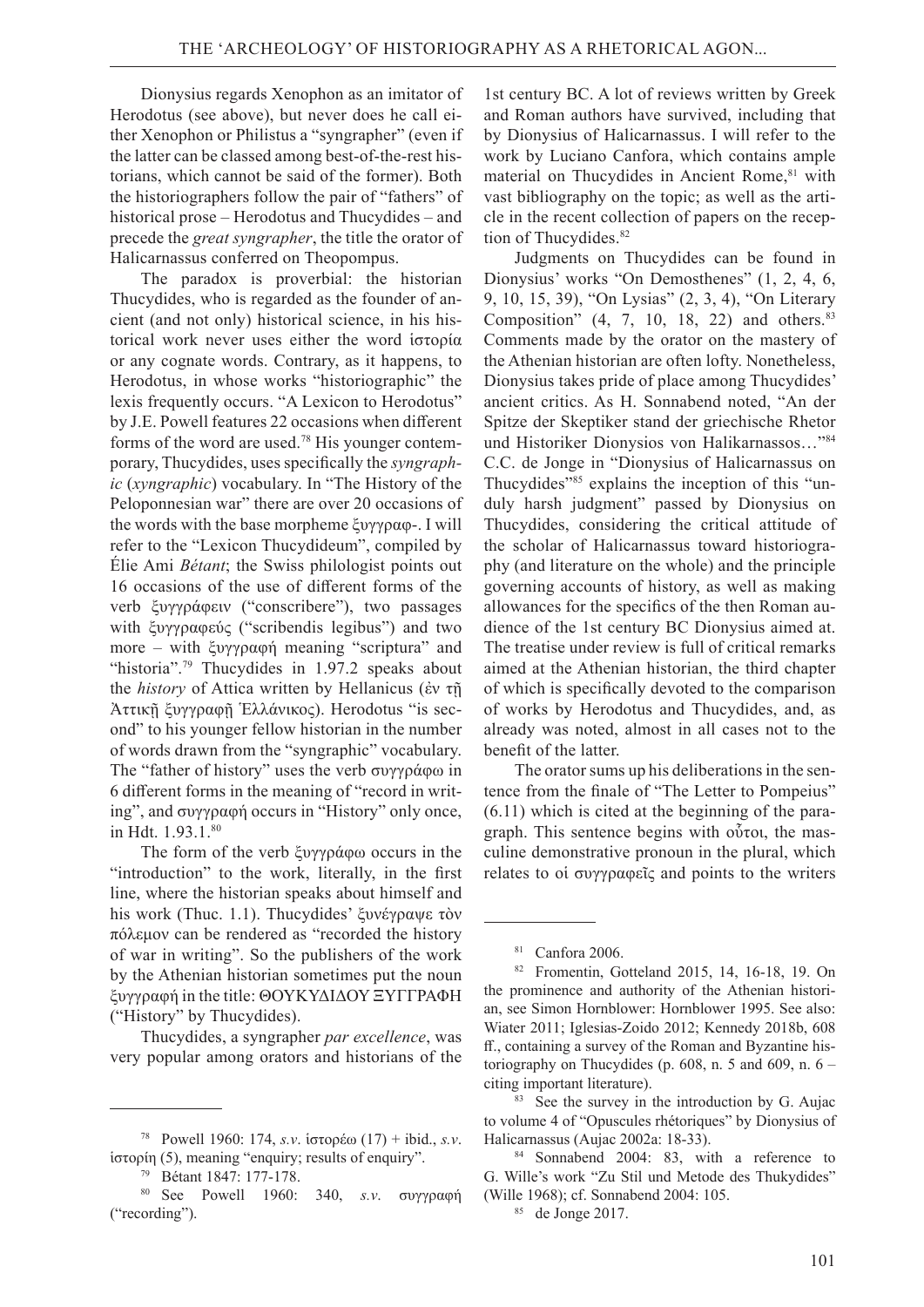Dionysius regards Xenophon as an imitator of Herodotus (see above), but never does he call either Xenophon or Philistus a "syngrapher" (even if the latter can be classed among best-of-the-rest historians, which cannot be said of the former). Both the historiographers follow the pair of "fathers" of historical prose – Herodotus and Thucydides – and precede the *great syngrapher*, the title the orator of Halicarnassus conferred on Theopompus.

The paradox is proverbial: the historian Thucydides, who is regarded as the founder of ancient (and not only) historical science, in his historical work never uses either the word ἱστορία or any cognate words. Contrary, as it happens, to Herodotus, in whose works "historiographic" the lexis frequently occurs. "A Lexicon to Herodotus" by J.E. Powell features 22 occasions when different forms of the word are used.78 His younger contemporary, Thucydides, uses specifically the *syngraphic* (*xyngraphic*) vocabulary. In "The History of the Peloponnesian war" there are over 20 occasions of the words with the base morpheme ξυγγραφ-. I will refer to the "Lexicon Thucydideum", compiled by Élie Ami *Bétant*; the Swiss philologist points out 16 occasions of the use of different forms of the verb ξυγγράφειν ("conscribere"), two passages with ξυγγραφεύς ("scribendis legibus") and two more – with ξυγγραφή meaning "scriptura" and "historia".<sup>79</sup> Thucydides in 1.97.2 speaks about the *history* of Attica written by Hellanicus (ἐν τῇ Ἀττικῇ ξυγγραφῇ Ἑλλάνικος). Herodotus "is second" to his younger fellow historian in the number of words drawn from the "syngraphic" vocabulary. The "father of history" uses the verb συγγράφω in 6 different forms in the meaning of "record in writing", and συγγραφή occurs in "History" only once, in Hdt. 1.93.1.80

The form of the verb ξυγγράφω occurs in the "introduction" to the work, literally, in the first line, where the historian speaks about himself and his work (Thuc. 1.1). Thucydides' ξυνέγραψε τὸν πόλεμον can be rendered as "recorded the history of war in writing". So the publishers of the work by the Athenian historian sometimes put the noun ξυγγραφή in the title: ΘΟΥΚΥΔΙΔΟΥ ΞΥΓΓΡΑΦΗ ("History" by Thucydides).

Thucydides, a syngrapher *par excellence*, was very popular among orators and historians of the

1st century BC. A lot of reviews written by Greek and Roman authors have survived, including that by Dionysius of Halicarnassus. I will refer to the work by Luciano Canfora, which contains ample material on Thucydides in Ancient Rome,<sup>81</sup> with vast bibliography on the topic; as well as the article in the recent collection of papers on the reception of Thucydides.<sup>82</sup>

Judgments on Thucydides can be found in Dionysius' works "On Demosthenes" (1, 2, 4, 6, 9, 10, 15, 39), "On Lysias" (2, 3, 4), "On Literary Composition"  $(4, 7, 10, 18, 22)$  and others.<sup>83</sup> Comments made by the orator on the mastery of the Athenian historian are often lofty. Nonetheless, Dionysius takes pride of place among Thucydides' ancient critics. As H. Sonnabend noted, "An der Spitze der Skeptiker stand der griechische Rhetor und Historiker Dionysios von Halikarnassos…"84 C.C. de Jonge in "Dionysius of Halicarnassus on Thucydides"85 explains the inception of this "unduly harsh judgment" passed by Dionysius on Thucydides, considering the critical attitude of the scholar of Halicarnassus toward historiography (and literature on the whole) and the principle governing accounts of history, as well as making allowances for the specifics of the then Roman audience of the 1st century BC Dionysius aimed at. The treatise under review is full of critical remarks aimed at the Athenian historian, the third chapter of which is specifically devoted to the comparison of works by Herodotus and Thucydides, and, as already was noted, almost in all cases not to the benefit of the latter.

The orator sums up his deliberations in the sentence from the finale of "The Letter to Pompeius" (6.11) which is cited at the beginning of the paragraph. This sentence begins with οὗτοι, the masculine demonstrative pronoun in the plural, which relates to οἱ συγγραφεῖς and points to the writers

<sup>78</sup>Powell 1960: 174, *s.v*. ἱστορέω (17) + ibid., *s.v*. ἱστορίη (5), meaning "enquiry; results of enquiry".

<sup>79</sup>Bétant 1847: 177-178.

<sup>80</sup>See Powell 1960: 340, *s.v*. συγγραφή ("recording").

<sup>81</sup>Canfora 2006.

<sup>82</sup>Fromentin, Gotteland 2015, 14, 16-18, 19. On the prominence and authority of the Athenian historian, see Simon Hornblower: Hornblower 1995. See also: Wiater 2011; Iglesias-Zoido 2012; Kennedy 2018b, 608 ff., containing a survey of the Roman and Byzantine historiography on Thucydides (p. 608, n. 5 and 609, n.  $6$ citing important literature).

<sup>83</sup>See the survey in the introduction by G. Aujac to volume 4 of "Opuscules rhétoriques" by Dionysius of Halicarnassus (Aujac 2002a: 18-33).

<sup>84</sup>Sonnabend 2004: 83, with a reference to G. Wille's work "Zu Stil und Metode des Thukydides" (Wille 1968); cf. Sonnabend 2004: 105.

<sup>85</sup>de Jonge 2017.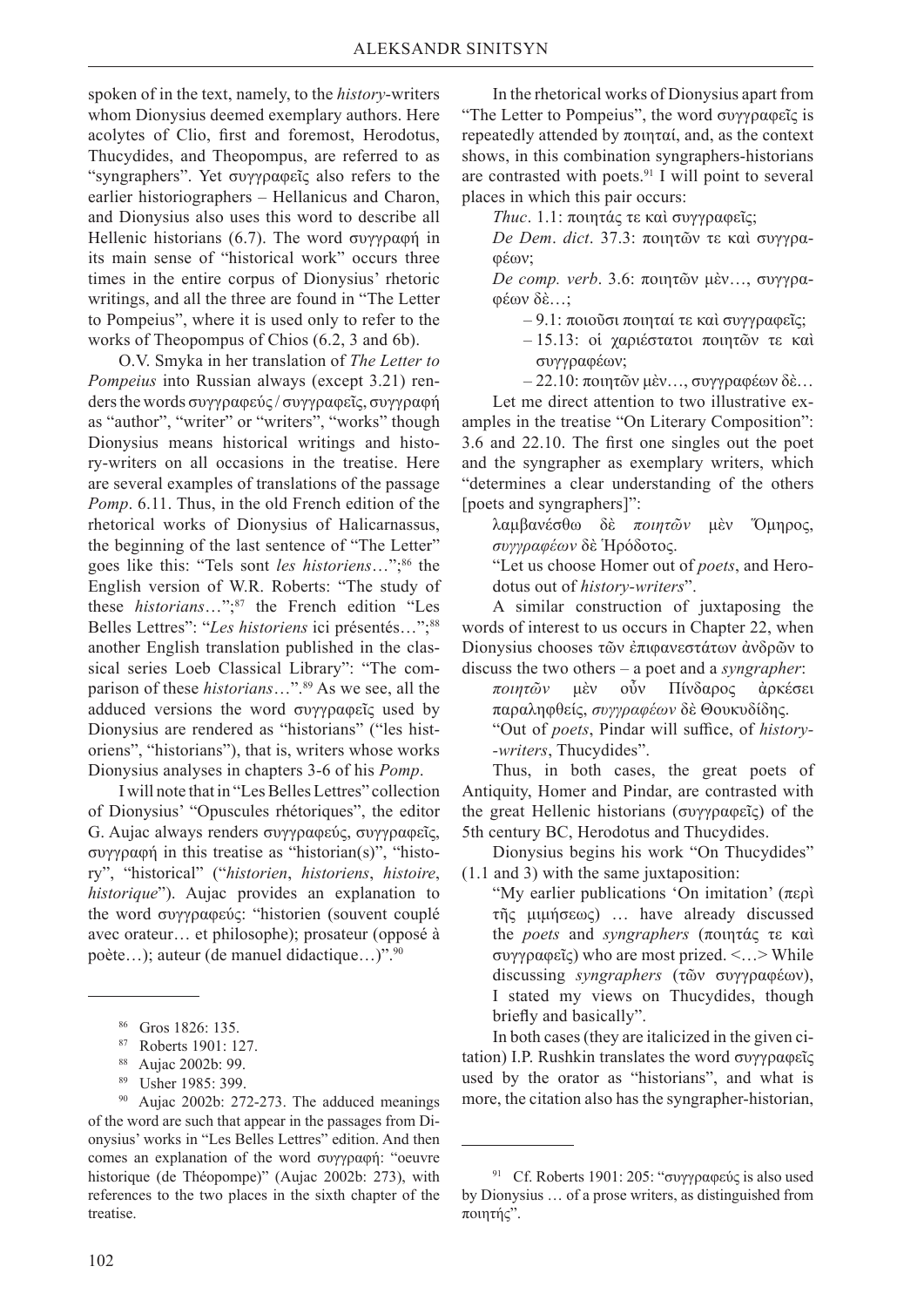spoken of in the text, namely, to the *history*-writers whom Dionysius deemed exemplary authors. Here acolytes of Clio, first and foremost, Herodotus, Thucydides, and Theopompus, are referred to as "syngraphers". Yet συγγραφεῖς also refers to the earlier historiographers – Hellanicus and Charon, and Dionysius also uses this word to describe all Hellenic historians (6.7). The word συγγραφή in its main sense of "historical work" occurs three times in the entire corpus of Dionysius' rhetoric writings, and all the three are found in "The Letter to Pompeius", where it is used only to refer to the works of Theopompus of Chios (6.2, 3 and 6b).

O.V. Smyka in her translation of *The Letter to Pompeius* into Russian always (except 3.21) renders the words συγγραφεύς / συγγραφεΐς, συγγραφή as "author", "writer" or "writers", "works" though Dionysius means historical writings and history-writers on all occasions in the treatise. Here are several examples of translations of the passage *Pomp*. 6.11. Thus, in the old French edition of the rhetorical works of Dionysius of Halicarnassus, the beginning of the last sentence of "The Letter" goes like this: "Tels sont *les historiens*…";86 the English version of W.R. Roberts: "The study of these *historians*…";87 the French edition "Les Belles Lettres": "Les historiens ici présentés...";<sup>88</sup> another English translation published in the classical series Loeb Classical Library": "The comparison of these *historians*…".89 As we see, all the adduced versions the word συγγραφεῖς used by Dionysius are rendered as "historians" ("les historiens", "historians"), that is, writers whose works Dionysius analyses in chapters 3-6 of his *Pomp*.

I will note that in "Les Belles Lettres" collection of Dionysius' "Opuscules rhétoriques", the editor G. Aujac always renders συγγραφεύς, συγγραφεῖς, συγγραφή in this treatise as "historian(s)", "history", "historical" ("*historien*, *historiens*, *histoire*, *historique*"). Aujac provides an explanation to the word συγγραφεύς: "historien (souvent couplé avec orateur… et philosophe); prosateur (opposé à poète…); auteur (de manuel didactique…)".90

In the rhetorical works of Dionysius apart from "The Letter to Pompeius", the word συγγραφεῖς is repeatedly attended by ποιηταί, and, as the context shows, in this combination syngraphers-historians are contrasted with poets.91 I will point to several places in which this pair occurs:

*Thuc*. 1.1: ποιητάς τε καὶ συγγραφεῖς;

*De Dem*. *dict*. 37.3: ποιητῶν τε καὶ συγγραφέων;

*De comp. verb*. 3.6: ποιητῶν μὲν…, συγγραφέων δὲ…;

– 9.1: ποιοῦσι ποιηταί τε καὶ συγγραφεῖς;

- 15.13: οἱ χαριέστατοι ποιητῶν τε καὶ συγγραφέων;
- 22.10: ποιητῶν μὲν…, συγγραφέων δὲ…

Let me direct attention to two illustrative examples in the treatise "On Literary Composition": 3.6 and 22.10. The first one singles out the poet and the syngrapher as exemplary writers, which "determines a clear understanding of the others [poets and syngraphers]":

λαμβανέσθω δὲ *ποιητῶν* μὲν Ὅμηρος, *συγγραφέων* δὲ Ἡρόδοτος.

"Let us choose Homer out of *poets*, and Herodotus out of *history-writers*".

A similar construction of juxtaposing the words of interest to us occurs in Chapter 22, when Dionysius chooses τῶν ἐπιφανεστάτων ἀνδρῶν to discuss the two others – a poet and a *syngrapher*:

*ποιητῶν* μὲν οὖν Πίνδαρος ἀρκέσει παραληφθείς, *συγγραφέων* δὲ Θουκυδίδης. "Out of *poets*, Pindar will suffice, of *history- -writers*, Thucydides".

Thus, in both cases, the great poets of Antiquity, Homer and Pindar, are contrasted with the great Hellenic historians (συγγραφεῖς) of the 5th century BC, Herodotus and Thucydides.

Dionysius begins his work "On Thucydides" (1.1 and 3) with the same juxtaposition:

"My earlier publications 'On imitation' (περὶ τῆς μιμήσεως) … have already discussed the *poets* and *syngraphers* (ποιητάς τε καὶ συγγραφεῖς) who are most prized. <…> While discussing *syngraphers* (τῶν συγγραφέων), I stated my views on Thucydides, though briefly and basically".

In both cases (they are italicized in the given citation) I.P. Rushkin translates the word συγγραφεῖς used by the orator as "historians", and what is more, the citation also has the syngrapher-historian,

<sup>86</sup>Gros 1826: 135.

<sup>87</sup>Roberts 1901: 127.

<sup>88</sup>Aujac 2002b: 99.

<sup>89</sup>Usher 1985: 399.

<sup>90</sup>Aujac 2002b: 272-273. The adduced meanings of the word are such that appear in the passages from Dionysius' works in "Les Belles Lettres" edition. And then comes an explanation of the word συγγραφή: "oeuvre historique (de Théopompe)" (Aujac 2002b: 273), with references to the two places in the sixth chapter of the treatise.

<sup>91</sup>Cf. Roberts 1901: 205: "συγγραφεύς is also used by Dionysius … of a prose writers, as distinguished from ποιητής".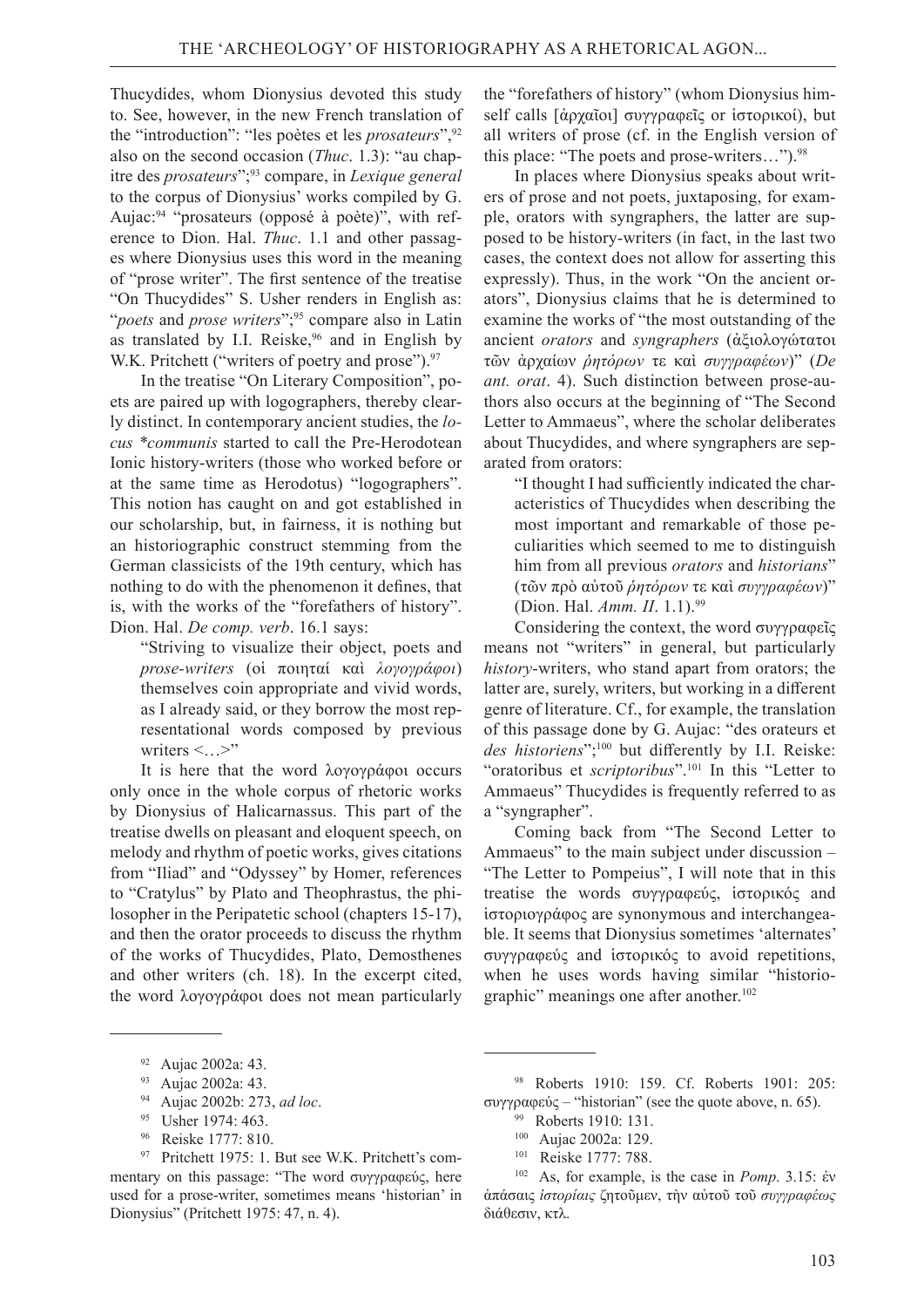Thucydides, whom Dionysius devoted this study to. See, however, in the new French translation of the "introduction": "les poètes et les *prosateurs*",92 also on the second occasion (*Thuc*. 1.3): "au chapitre des *prosateurs*";93 compare, in *Lexique general*  to the corpus of Dionysius' works compiled by G. Aujac:94 "prosateurs (opposé à poète)", with reference to Dion. Hal. *Thuc*. 1.1 and other passages where Dionysius uses this word in the meaning of "prose writer". The first sentence of the treatise "On Thucydides" S. Usher renders in English as: "*poets* and *prose writers*";<sup>95</sup> compare also in Latin as translated by I.I. Reiske, $96$  and in English by W.K. Pritchett ("writers of poetry and prose").<sup>97</sup>

In the treatise "On Literary Composition", poets are paired up with logographers, thereby clearly distinct. In contemporary ancient studies, the *locus \*communis* started to call the Pre-Herodotean Ionic history-writers (those who worked before or at the same time as Herodotus) "logographers". This notion has caught on and got established in our scholarship, but, in fairness, it is nothing but an historiographic construct stemming from the German classicists of the 19th century, which has nothing to do with the phenomenon it defines, that is, with the works of the "forefathers of history". Dion. Hal. *De comp. verb*. 16.1 says:

"Striving to visualize their object, poets and *prose-writers* (οἱ ποιηταί καὶ *λογογράφοι*) themselves coin appropriate and vivid words, as I already said, or they borrow the most representational words composed by previous writers  $\leq$ ... $>$ "

It is here that the word λογογράφοι occurs only once in the whole corpus of rhetoric works by Dionysius of Halicarnassus. This part of the treatise dwells on pleasant and eloquent speech, on melody and rhythm of poetic works, gives citations from "Iliad" and "Odyssey" by Homer, references to "Cratylus" by Plato and Theophrastus, the philosopher in the Peripatetic school (chapters 15-17), and then the orator proceeds to discuss the rhythm of the works of Thucydides, Plato, Demosthenes and other writers (ch. 18). In the excerpt cited, the word λογογράφοι does not mean particularly

96   Reiske 1777: 810.

the "forefathers of history" (whom Dionysius himself calls [ἀρχαῖοι] συγγραφεῖς or ἱστορικοί), but all writers of prose (cf. in the English version of this place: "The poets and prose-writers...").<sup>98</sup>

In places where Dionysius speaks about writers of prose and not poets, juxtaposing, for example, orators with syngraphers, the latter are supposed to be history-writers (in fact, in the last two cases, the context does not allow for asserting this expressly). Thus, in the work "On the ancient orators", Dionysius claims that he is determined to examine the works of "the most outstanding of the ancient *orators* and *syngraphers* (ἀξιολογώτατοι τῶν ἀρχαίων *ῥητόρων* τε καὶ *συγγραφέων*)" (*De ant. orat*. 4). Such distinction between prose-authors also occurs at the beginning of "The Second Letter to Ammaeus", where the scholar deliberates about Thucydides, and where syngraphers are separated from orators:

"I thought I had sufficiently indicated the characteristics of Thucydides when describing the most important and remarkable of those peculiarities which seemed to me to distinguish him from all previous *orators* and *historians*" (τῶν πρὸ αὐτοῦ *ῥητόρων* τε καὶ *συγγραφέων*)" (Dion. Hal. *Amm. II*. 1.1).99

Considering the context, the word συγγραφεῖς means not "writers" in general, but particularly *history*-writers, who stand apart from orators; the latter are, surely, writers, but working in a different genre of literature. Cf., for example, the translation of this passage done by G. Aujac: "des orateurs et des historiens";<sup>100</sup> but differently by I.I. Reiske: "oratoribus et *scriptoribus*".<sup>101</sup> In this "Letter to Ammaeus" Thucydides is frequently referred to as a "syngrapher".

Coming back from "The Second Letter to Ammaeus" to the main subject under discussion – "The Letter to Pompeius", I will note that in this treatise the words συγγραφεύς, ἱστορικός and ἱστοριογράφος are synonymous and interchangeable. It seems that Dionysius sometimes 'alternates' συγγραφεύς and ἱστορικός to avoid repetitions, when he uses words having similar "historiographic" meanings one after another.<sup>102</sup>

<sup>92</sup>Aujac 2002a: 43. 93   Aujac 2002a: 43. 94   Aujac 2002b: 273, *ad loc*. 95   Usher 1974: 463.

<sup>97</sup>Pritchett 1975: 1. But see W.K. Pritchett's commentary on this passage: "The word συγγραφεύς, here used for a prose-writer, sometimes means 'historian' in Dionysius" (Pritchett 1975: 47, n. 4).

<sup>98</sup>Roberts 1910: 159. Cf. Roberts 1901: 205: συγγραφεύς – "historian" (see the quote above, n. 65). 99   Roberts 1910: 131.

<sup>100</sup>Aujac 2002a: 129. 101   Reiske 1777: 788.

<sup>102</sup>As, for example, is the case in *Pomp*. 3.15: ἐν ἁπάσαις *ἱστορίαις* ζητοῦμεν, τὴν αὐτοῦ τοῦ *συγγραφέως* διάθεσιν, κτλ.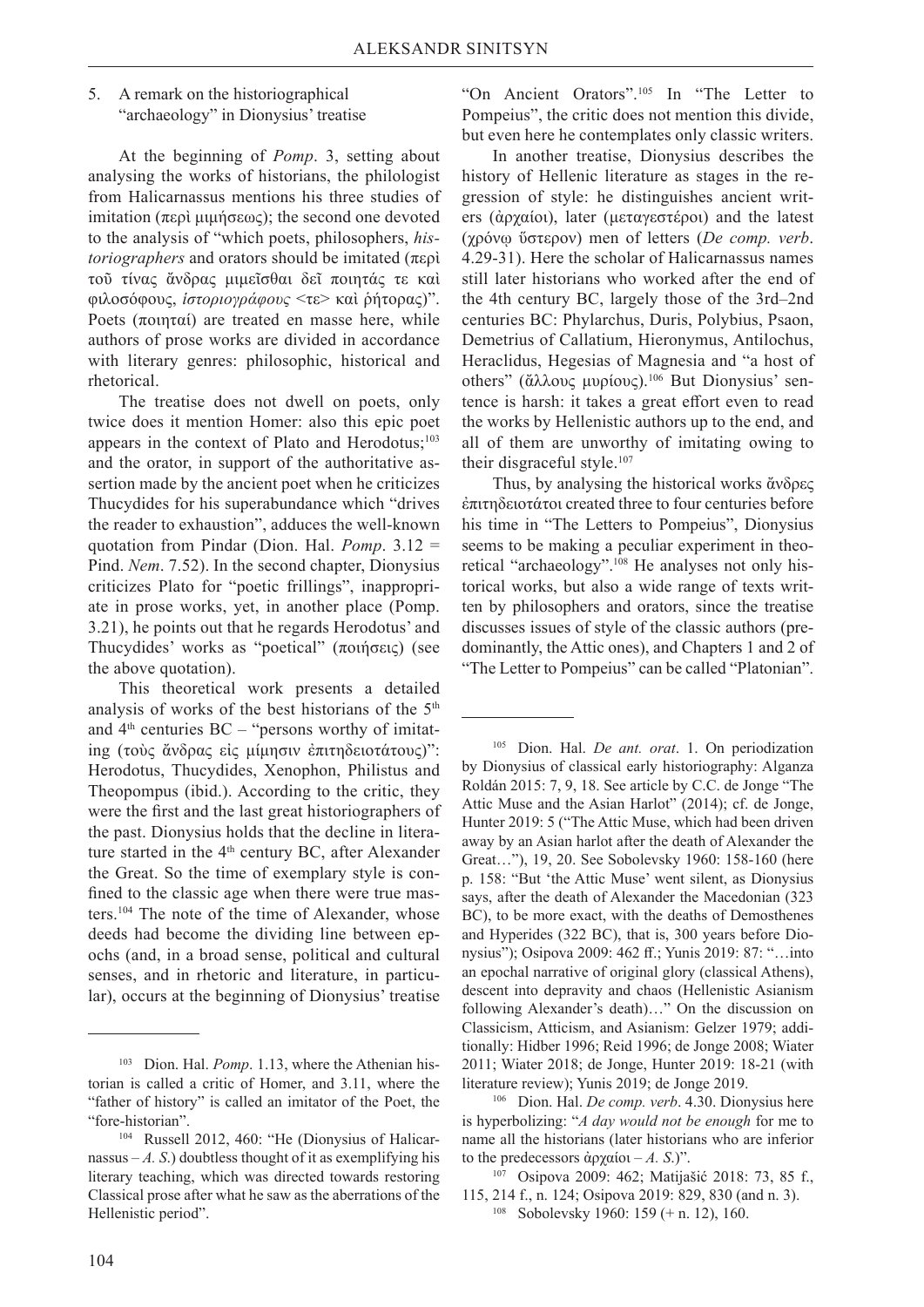### 5. A remark on the historiographical "archaeology" in Dionysius' treatise

At the beginning of *Pomp*. 3, setting about analysing the works of historians, the philologist from Halicarnassus mentions his three studies of imitation (περὶ μιμήσεως); the second one devoted to the analysis of "which poets, philosophers, *historiographers* and orators should be imitated (περὶ τοῦ τίνας ἄνδρας μιμεῖσθαι δεῖ ποιητάς τε καὶ φιλοσόφους, *ἱστοριογράφους* <τε> καὶ ῥήτορας)". Poets (ποιηταί) are treated en masse here, while authors of prose works are divided in accordance with literary genres: philosophic, historical and rhetorical.

The treatise does not dwell on poets, only twice does it mention Homer: also this epic poet appears in the context of Plato and Herodotus;<sup>103</sup> and the orator, in support of the authoritative assertion made by the ancient poet when he criticizes Thucydides for his superabundance which "drives the reader to exhaustion", adduces the well-known quotation from Pindar (Dion. Hal. *Pomp*. 3.12 = Pind. *Nem*. 7.52). In the second chapter, Dionysius criticizes Plato for "poetic frillings", inappropriate in prose works, yet, in another place (Pomp. 3.21), he points out that he regards Herodotus' and Thucydides' works as "poetical" (ποιήσεις) (see the above quotation).

This theoretical work presents a detailed analysis of works of the best historians of the  $5<sup>th</sup>$ and  $4<sup>th</sup>$  centuries BC – "persons worthy of imitating (τοὺς ἄνδρας εἰς μίμησιν ἐπιτηδειοτάτους)": Herodotus, Thucydides, Xenophon, Philistus and Theopompus (ibid.). According to the critic, they were the first and the last great historiographers of the past. Dionysius holds that the decline in literature started in the  $4<sup>th</sup>$  century BC, after Alexander the Great. So the time of exemplary style is confined to the classic age when there were true masters.104 The note of the time of Alexander, whose deeds had become the dividing line between epochs (and, in a broad sense, political and cultural senses, and in rhetoric and literature, in particular), occurs at the beginning of Dionysius' treatise

"On Ancient Orators".105 In "The Letter to Pompeius", the critic does not mention this divide, but even here he contemplates only classic writers.

In another treatise, Dionysius describes the history of Hellenic literature as stages in the regression of style: he distinguishes ancient writers (ἀρχαίοι), later (μεταγεστέροι) and the latest (χρόνῳ ὕστερον) men of letters (*De comp. verb*. 4.29-31). Here the scholar of Halicarnassus names still later historians who worked after the end of the 4th century BC, largely those of the 3rd–2nd centuries BC: Phylarchus, Duris, Polybius, Psaon, Demetrius of Callatium, Hieronymus, Antilochus, Heraclidus, Hegesias of Magnesia and "a host of others" (ἄλλους μυρίους).106 But Dionysius' sentence is harsh: it takes a great effort even to read the works by Hellenistic authors up to the end, and all of them are unworthy of imitating owing to their disgraceful style.<sup>107</sup>

Thus, by analysing the historical works ἄνδρες ἐπιτηδειοτάτοι created three to four centuries before his time in "The Letters to Pompeius", Dionysius seems to be making a peculiar experiment in theoretical "archaeology".<sup>108</sup> He analyses not only historical works, but also a wide range of texts written by philosophers and orators, since the treatise discusses issues of style of the classic authors (predominantly, the Attic ones), and Chapters 1 and 2 of "The Letter to Pompeius" can be called "Platonian".

105   Dion. Hal. *De ant. orat*. 1. On periodization by Dionysius of classical early historiography: Alganza Roldán 2015: 7, 9, 18. See article by C.C. de Jonge "The Attic Muse and the Asian Harlot" (2014); сf. de Jonge, Hunter 2019: 5 ("The Attic Muse, which had been driven away by an Asian harlot after the death of Alexander the Great…"), 19, 20. See Sobolevsky 1960: 158-160 (here p. 158: "But 'the Attic Muse' went silent, as Dionysius says, after the death of Alexander the Macedonian (323 BC), to be more exact, with the deaths of Demosthenes and Hyperides (322 ВС), that is, 300 years before Dionysius"); Osipova 2009: 462 ff.; Yunis 2019: 87: "…into an epochal narrative of original glory (classical Athens), descent into depravity and chaos (Hellenistic Asianism following Alexander's death)…" On the discussion on Classicism, Atticism, and Asianism: Gelzer 1979; additionally: Hidber 1996; Reid 1996; de Jonge 2008; Wiater 2011; Wiater 2018; de Jonge, Hunter 2019: 18-21 (with literature review); Yunis 2019; de Jonge 2019.

106   Dion. Hal. *De comp. verb*. 4.30. Dionysius here is hyperbolizing: "*A day would not be enough* for me to name all the historians (later historians who are inferior

<sup>103</sup>Dion. Hal. *Pomp*. 1.13, where the Athenian historian is called a critic of Homer, and 3.11, where the "father of history" is called an imitator of the Poet, the "fore-historian".

<sup>104</sup>Russell 2012, 460: "He (Dionysius of Halicarnassus  $-A$ . S.) doubtless thought of it as exemplifying his literary teaching, which was directed towards restoring Classical prose after what he saw as the aberrations of the Hellenistic period".

to the predecessors ἀρχαίοι – *A. S.*)".<br><sup>107</sup> Osipova 2009: 462; Matijašić 2018: 73, 85 f., 115, 214 f., n. 124; Osipova 2019: 829, 830 (and n. 3). 108   Sobolevsky 1960: 159 (+ n. 12), 160.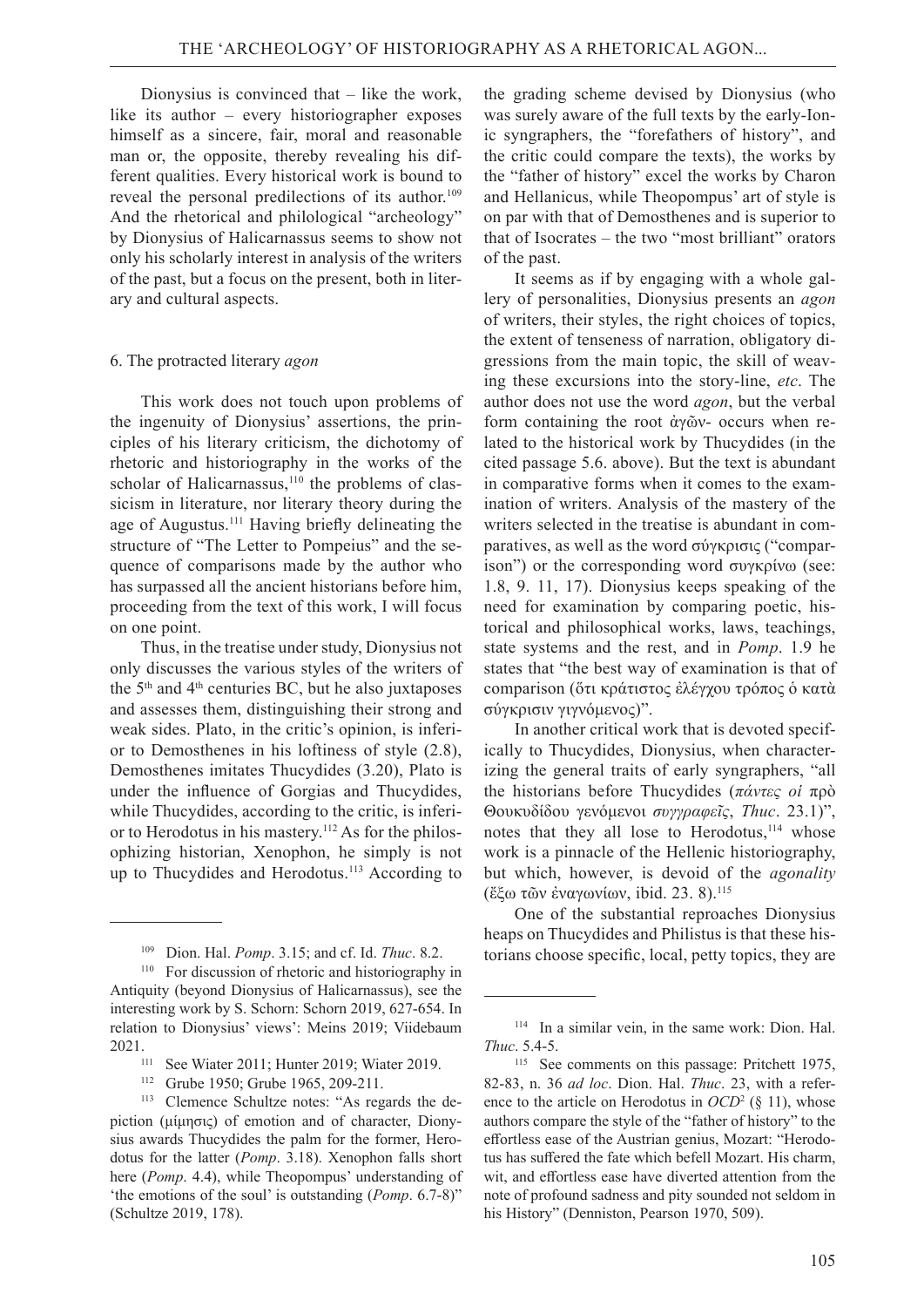Dionysius is convinced that – like the work, like its author – every historiographer exposes himself as a sincere, fair, moral and reasonable man or, the opposite, thereby revealing his different qualities. Every historical work is bound to reveal the personal predilections of its author.<sup>109</sup> And the rhetorical and philological "archeology" by Dionysius of Halicarnassus seems to show not only his scholarly interest in analysis of the writers of the past, but a focus on the present, both in literary and cultural aspects.

#### 6. The protracted literary *agon*

This work does not touch upon problems of the ingenuity of Dionysius' assertions, the principles of his literary criticism, the dichotomy of rhetoric and historiography in the works of the scholar of Halicarnassus, $110$  the problems of classicism in literature, nor literary theory during the age of Augustus.<sup>111</sup> Having briefly delineating the structure of "The Letter to Pompeius" and the sequence of comparisons made by the author who has surpassed all the ancient historians before him, proceeding from the text of this work, I will focus on one point.

Thus, in the treatise under study, Dionysius not only discusses the various styles of the writers of the  $5<sup>th</sup>$  and  $4<sup>th</sup>$  centuries BC, but he also juxtaposes and assesses them, distinguishing their strong and weak sides. Plato, in the critic's opinion, is inferior to Demosthenes in his loftiness of style (2.8), Demosthenes imitates Thucydides (3.20), Plato is under the influence of Gorgias and Thucydides, while Thucydides, according to the critic, is inferior to Herodotus in his mastery.112 As for the philosophizing historian, Xenophon, he simply is not up to Thucydides and Herodotus.<sup>113</sup> According to

the grading scheme devised by Dionysius (who was surely aware of the full texts by the early-Ionic syngraphers, the "forefathers of history", and the critic could compare the texts), the works by the "father of history" excel the works by Charon and Hellanicus, while Theopompus' art of style is on par with that of Demosthenes and is superior to that of Isocrates – the two "most brilliant" orators of the past.

It seems as if by engaging with a whole gallery of personalities, Dionysius presents an *agon* of writers, their styles, the right choices of topics, the extent of tenseness of narration, obligatory digressions from the main topic, the skill of weaving these excursions into the story-line, *etc*. The author does not use the word *agon*, but the verbal form containing the root ἀγῶν- occurs when related to the historical work by Thucydides (in the cited passage 5.6. above). But the text is abundant in comparative forms when it comes to the examination of writers. Analysis of the mastery of the writers selected in the treatise is abundant in comparatives, as well as the word σύγκρισις ("comparison") or the corresponding word συγκρίνω (see: 1.8, 9. 11, 17). Dionysius keeps speaking of the need for examination by comparing poetic, historical and philosophical works, laws, teachings, state systems and the rest, and in *Pomp*. 1.9 he states that "the best way of examination is that of comparison (ὅτι κράτιστος ἐλέγχου τρόπος ὁ κατὰ σύγκρισιν γιγνόμενος)".

In another critical work that is devoted specifically to Thucydides, Dionysius, when characterizing the general traits of early syngraphers, "all the historians before Thucydides (*πάντες οἱ* πρὸ Θουκυδίδου γενόμενοι *συγγραφεῖς*, *Thuc*. 23.1)", notes that they all lose to Herodotus,<sup>114</sup> whose work is a pinnacle of the Hellenic historiography, but which, however, is devoid of the *agonality* (ἔξω τῶν ἐναγωνίων, ibid. 23. 8).115

One of the substantial reproaches Dionysius heaps on Thucydides and Philistus is that these historians choose specific, local, petty topics, they are

<sup>109</sup>Dion. Hal. *Pomp*. 3.15; and cf. Id. *Thuc*. 8.2.

<sup>110</sup>For discussion of rhetoric and historiography in Antiquity (beyond Dionysius of Halicarnassus), see the interesting work by S. Schorn: Schorn 2019, 627-654. In relation to Dionysius' views': Meins 2019; Viidebaum

<sup>2021.&</sup>lt;br><sup>111</sup> See Wiater 2011; Hunter 2019; Wiater 2019.<br><sup>112</sup> Grube 1950: Grube 1965, 209-211

Grube 1950; Grube 1965, 209-211.

<sup>113</sup>Clemence Schultze notes: "As regards the depiction (μίμησις) of emotion and of character, Dionysius awards Thucydides the palm for the former, Herodotus for the latter (*Pomp*. 3.18). Xenophon falls short here (*Pomp*. 4.4), while Theopompus' understanding of 'the emotions of the soul' is outstanding (*Pomp*. 6.7-8)" (Schultze 2019, 178).

<sup>114</sup>In a similar vein, in the same work: Dion. Hal. *Thuc*. 5.4-5.

<sup>115</sup>See comments on this passage: Pritchett 1975, 82-83, n. 36 *ad loc*. Dion. Hal. *Thuc*. 23, with a reference to the article on Herodotus in *OCD*<sup>2</sup> (§ 11), whose authors compare the style of the "father of history" to the effortless ease of the Austrian genius, Mozart: "Herodotus has suffered the fate which befell Mozart. His charm, wit, and effortless ease have diverted attention from the note of profound sadness and pity sounded not seldom in his History" (Denniston, Pearson 1970, 509).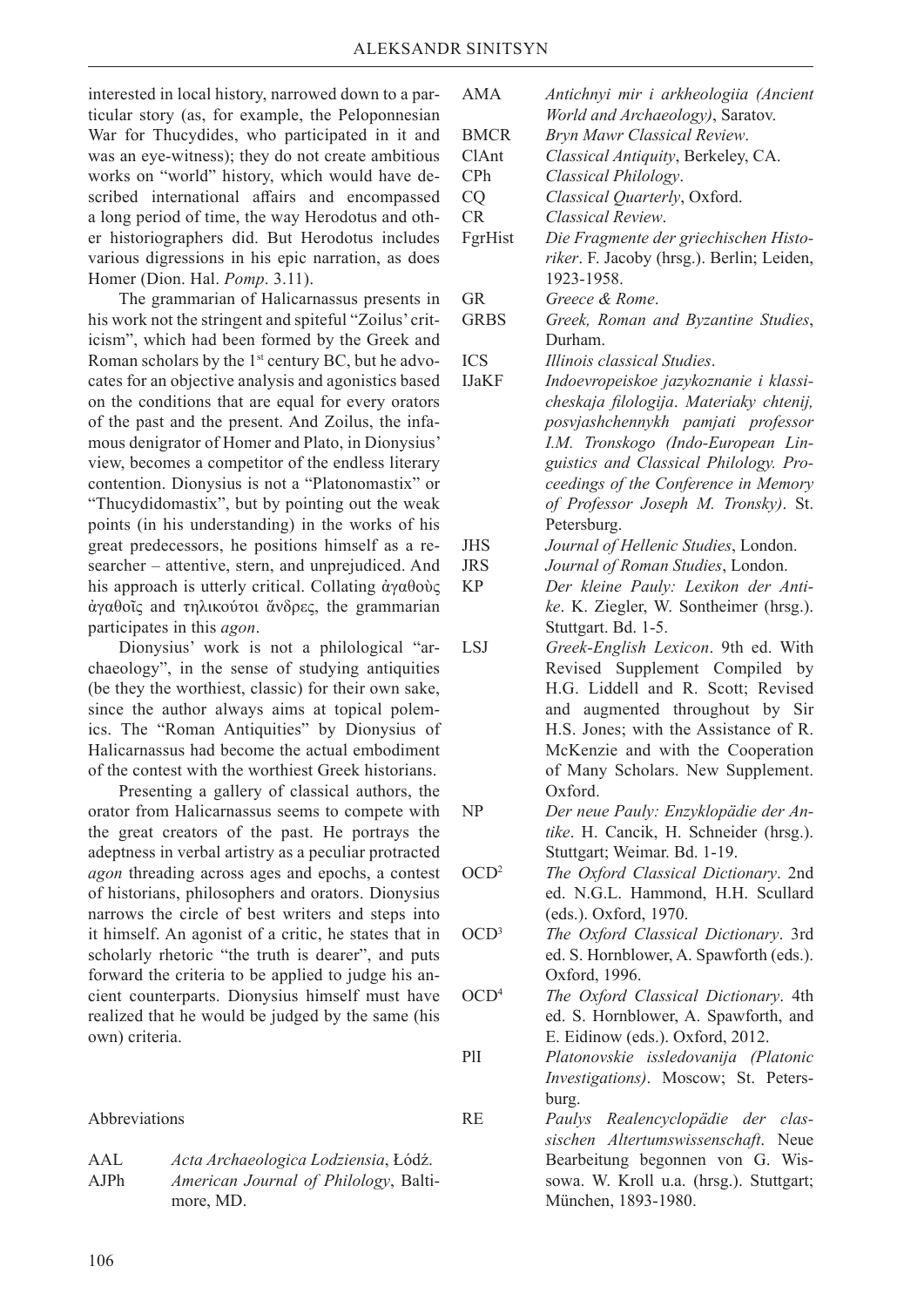interested in local history, narrowed down to a particular story (as, for example, the Peloponnesian War for Thucydides, who participated in it and was an eye-witness); they do not create ambitious works on "world" history, which would have described international affairs and encompassed a long period of time, the way Herodotus and other historiographers did. But Herodotus includes various digressions in his epic narration, as does Homer (Dion. Hal. *Pomp*. 3.11).

The grammarian of Halicarnassus presents in his work not the stringent and spiteful "Zoilus' criticism", which had been formed by the Greek and Roman scholars by the 1st century BC, but he advocates for an objective analysis and agonistics based on the conditions that are equal for every orators of the past and the present. And Zoilus, the infamous denigrator of Homer and Plato, in Dionysius' view, becomes a competitor of the endless literary contention. Dionysius is not a "Platonomastix" or "Thucydidomastix", but by pointing out the weak points (in his understanding) in the works of his great predecessors, he positions himself as a researcher – attentive, stern, and unprejudiced. And his approach is utterly critical. Collating άγαθοὺς ἀγαθοῖς and τηλικούτοι ἄνδρες, the grammarian participates in this *agon*.

Dionysius' work is not a philological "archaeology", in the sense of studying antiquities (be they the worthiest, classic) for their own sake, since the author always aims at topical polemics. The "Roman Antiquities" by Dionysius of Halicarnassus had become the actual embodiment of the contest with the worthiest Greek historians.

Presenting a gallery of classical authors, the orator from Halicarnassus seems to compete with the great creators of the past. He portrays the adeptness in verbal artistry as a peculiar protracted *agon* threading across ages and epochs, a contest of historians, philosophers and orators. Dionysius narrows the circle of best writers and steps into it himself. An agonist of a critic, he states that in scholarly rhetoric "the truth is dearer", and puts forward the criteria to be applied to judge his ancient counterparts. Dionysius himself must have realized that he would be judged by the same (his own) criteria.

Abbreviations

| AAL        | Acta Archaeologica Lodziensia, Łódź.  |
|------------|---------------------------------------|
| $A$ JP $h$ | American Journal of Philology, Balti- |
|            | more, MD.                             |

| <b>AMA</b>       | Antichnyi mir i arkheologiia (Ancient     |
|------------------|-------------------------------------------|
|                  | World and Archaeology), Saratov.          |
| <b>BMCR</b>      | Bryn Mawr Classical Review.               |
| ClAnt            | Classical Antiquity, Berkeley, CA.        |
| CPh              | Classical Philology.                      |
| CQ               | Classical Quarterly, Oxford.              |
| CR               | Classical Review.                         |
| FgrHist          | Die Fragmente der griechischen Histo-     |
|                  | riker. F. Jacoby (hrsg.). Berlin; Leiden, |
|                  | 1923-1958.                                |
| <b>GR</b>        | Greece & Rome.                            |
| <b>GRBS</b>      | Greek, Roman and Byzantine Studies,       |
|                  | Durham.                                   |
| <b>ICS</b>       | Illinois classical Studies.               |
| <b>IJaKF</b>     | Indoevropeiskoe jazykoznanie i klassi-    |
|                  | cheskaja filologija. Materiaky chtenij,   |
|                  | posvjashchennykh pamjati professor        |
|                  | I.M. Tronskogo (Indo-European Lin-        |
|                  | guistics and Classical Philology. Pro-    |
|                  | ceedings of the Conference in Memory      |
|                  | of Professor Joseph M. Tronsky). St.      |
|                  | Petersburg.                               |
| <b>JHS</b>       | Journal of Hellenic Studies, London.      |
| <b>JRS</b>       | Journal of Roman Studies, London.         |
| <b>KP</b>        | Der kleine Pauly: Lexikon der Anti-       |
|                  | ke. K. Ziegler, W. Sontheimer (hrsg.).    |
|                  | Stuttgart. Bd. 1-5.                       |
| <b>LSJ</b>       | Greek-English Lexicon. 9th ed. With       |
|                  | Revised Supplement Compiled by            |
|                  | H.G. Liddell and R. Scott; Revised        |
|                  | and augmented throughout by Sir           |
|                  | H.S. Jones; with the Assistance of R.     |
|                  | McKenzie and with the Cooperation         |
|                  | of Many Scholars. New Supplement.         |
|                  | Oxford.                                   |
| NP               | Der neue Pauly: Enzyklopädie der An-      |
|                  | tike. H. Cancik, H. Schneider (hrsg.).    |
|                  | Stuttgart; Weimar. Bd. 1-19.              |
| OCD <sup>2</sup> | The Oxford Classical Dictionary. 2nd      |
|                  | ed. N.G.L. Hammond, H.H. Scullard         |
|                  | (eds.). Oxford, 1970.                     |
| OCD <sup>3</sup> | The Oxford Classical Dictionary. 3rd      |
|                  | ed. S. Hornblower, A. Spawforth (eds.).   |
|                  | Oxford, 1996.                             |
| OCD <sup>4</sup> | The Oxford Classical Dictionary. 4th      |
|                  | ed. S. Hornblower, A. Spawforth, and      |
|                  | E. Eidinow (eds.). Oxford, 2012.          |
| PlI              | Platonovskie issledovanija (Platonic      |
|                  | Investigations). Moscow; St. Peters-      |
|                  |                                           |
| <b>RE</b>        | burg.                                     |
|                  | Paulys Realencyclopädie der clas-         |
|                  | sischen Altertumswissenschaft. Neue       |
|                  | Bearbeitung begonnen von G. Wis-          |
|                  | sowa. W. Kroll u.a. (hrsg.). Stuttgart;   |
|                  | München, 1893-1980.                       |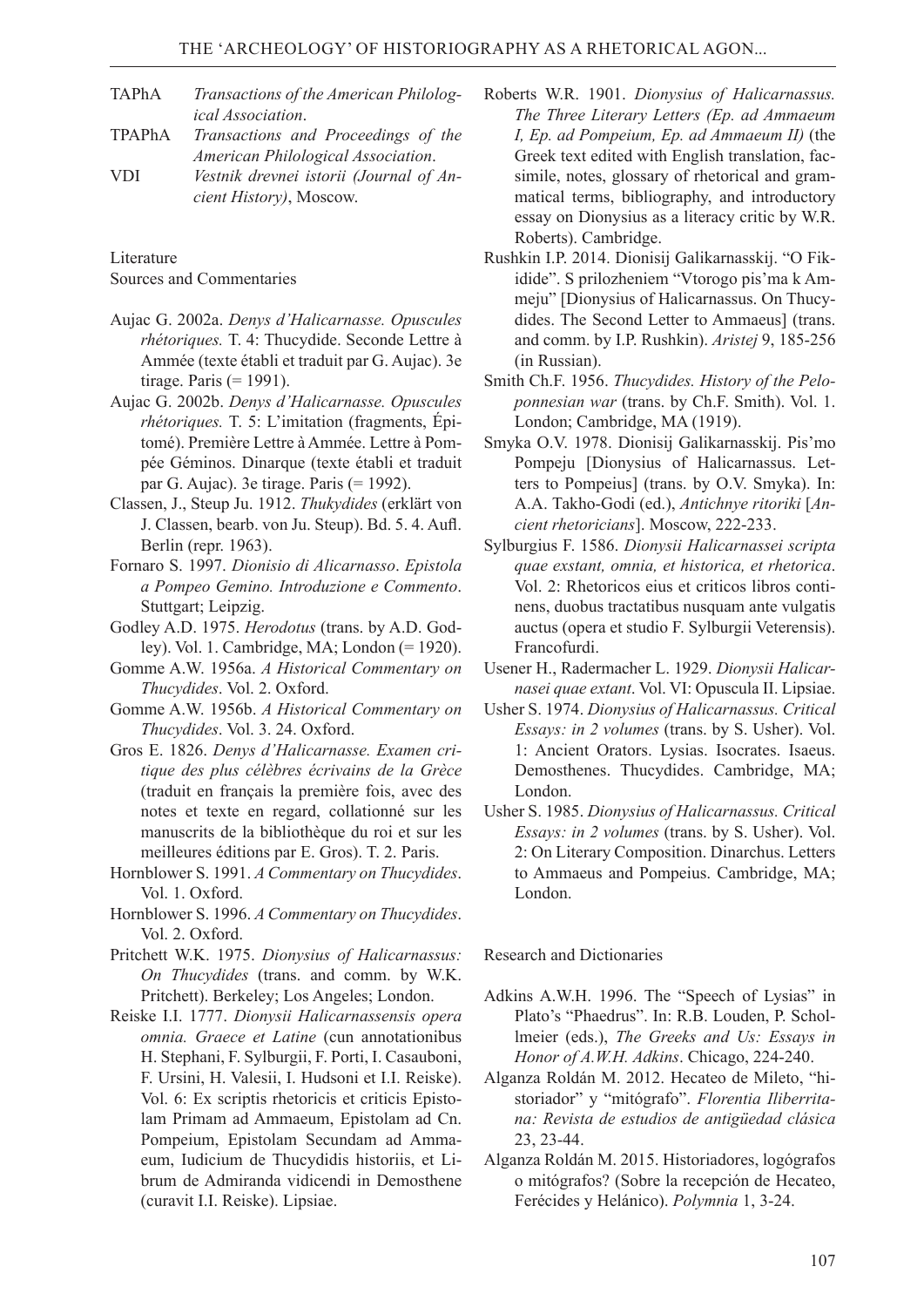- TAPhA *Transactions of the American Philological Association*.
- TPAPhA *Transactions and Proceedings of the American Philological Association*. VDI *Vestnik drevnei istorii (Journal of Ancient History)*, Moscow.

**Literature** 

Sources and Commentaries

- Aujac G. 2002a. *Denys d'Halicarnasse. Opuscules rhétoriques.* T. 4: Thucydide. Seconde Lettre à Ammée (texte établi et traduit par G. Aujac). 3e tirage. Paris (= 1991).
- Aujac G. 2002b. *Denys d'Halicarnasse. Opuscules rhétoriques.* T. 5: L'imitation (fragments, Épitomé). Première Lettre à Ammée. Lettre à Pompée Géminos. Dinarque (texte établi et traduit par G. Aujac). 3e tirage. Paris (= 1992).
- Classen, J., Steup Ju. 1912. *Thukydides* (erklärt von J. Classen, bearb. von Ju. Steup). Bd. 5. 4. Aufl. Berlin (repr. 1963).
- Fornaro S. 1997. *Dionisio di Alicarnasso*. *Epistola a Pompeo Gemino. Introduzione e Commento*. Stuttgart; Leipzig.
- Godley A.D. 1975. *Herodotus* (trans. by A.D. Godley). Vol. 1. Cambridge, MA; London (= 1920).
- Gomme A.W. 1956a. *A Historical Commentary on Thucydides*. Vol. 2. Oxford.
- Gomme A.W. 1956b. *A Historical Commentary on Thucydides*. Vol. 3. 24. Oxford.
- Gros E. 1826. *Denys d'Halicarnasse. Examen critique des plus célèbres écrivains de la Grèce*  (traduit en français la première fois, avec des notes et texte en regard, collationné sur les manuscrits de la bibliothèque du roi et sur les meilleures éditions par E. Gros). T. 2. Paris.
- Hornblower S. 1991. *A Commentary on Thucydides*. Vol. 1. Oxford.
- Hornblower S. 1996. *A Commentary on Thucydides*. Vol. 2. Oxford.
- Pritchett W.K. 1975. *Dionysius of Halicarnassus: On Thucydides* (trans. and comm. by W.K. Pritchett). Berkeley; Los Angeles; London.
- Reiske I.I. 1777. *Dionysii Halicarnassensis opera omnia. Graece et Latine* (cun annotationibus H. Stephani, F. Sylburgii, F. Porti, I. Casauboni, F. Ursini, H. Valesii, I. Hudsoni et I.I. Reiske). Vol. 6: Ex scriptis rhetoricis et criticis Epistolam Primam ad Ammaeum, Epistolam ad Cn. Pompeium, Epistolam Secundam ad Ammaeum, Iudicium de Thucydidis historiis, et Librum de Admiranda vidicendi in Demosthene (curavit I.I. Reiske). Lipsiae.
- Roberts W.R. 1901. *Dionysius of Halicarnassus. The Three Literary Letters (Ep. ad Ammaeum I, Ep. ad Pompeium, Ep. ad Ammaeum II)* (the Greek text edited with English translation, facsimile, notes, glossary of rhetorical and grammatical terms, bibliography, and introductory essay on Dionysius as a literacy critic by W.R. Roberts). Cambridge.
- Rushkin I.P. 2014. Dionisij Galikarnasskij. "O Fikidide". S prilozheniem "Vtorogo pis'ma k Ammeju" [Dionysius of Halicarnassus. On Thucydides. The Second Letter to Ammaeus] (trans. and comm. by I.P. Rushkin). *Aristej* 9, 185-256 (in Russian).
- Smith Ch.F. 1956. *Thucydides. History of the Peloponnesian war* (trans. by Ch.F. Smith). Vol. 1. London; Cambridge, MA (1919).
- Smyka O.V. 1978. Dionisij Galikarnasskij. Pis'mo Pompeju [Dionysius of Halicarnassus. Letters to Pompeius] (trans. by О.V. Smyka). In: А.А. Таkhо-Gоdi (ed.), *Аntichnye ritoriki* [*Ancient rhetoricians*]. Мoscow, 222-233.
- Sylburgius F. 1586. *Dionysii Halicarnassei scripta quae exstant, omnia, et historica, et rhetorica*. Vol. 2: Rhetoricos eius et criticos libros continens, duobus tractatibus nusquam ante vulgatis auctus (opera et studio F. Sylburgii Veterensis). Francofurdi.
- Usener H., Radermacher L. 1929. *Dionysii Halicarnasei quae extant*. Vol. VI: Opuscula II. Lipsiae.
- Usher S. 1974. *Dionysius of Halicarnassus. Critical Essays: in 2 volumes* (trans. by S. Usher). Vol. 1: Ancient Orators. Lysias. Isocrates. Isaeus. Demosthenes. Thucydides. Cambridge, MA; London.
- Usher S. 1985. *Dionysius of Halicarnassus. Critical Essays: in 2 volumes* (trans. by S. Usher). Vol. 2: On Literary Composition. Dinarchus. Letters to Ammaeus and Pompeius. Cambridge, MA; London.

Research and Dictionaries

- Adkins A.W.H. 1996. The "Speech of Lysias" in Plato's "Phaedrus". In: R.B. Louden, P. Schollmeier (eds.), *The Greeks and Us: Essays in Honor of A.W.H. Adkins*. Chicago, 224-240.
- Alganza Roldán M. 2012. Hecateo de Mileto, "historiador" y "mitógrafo". *Florentia Iliberritana: Revista de estudios de antigüedad clásica* 23, 23-44.
- Alganza Roldán M. 2015. Historiadores, logógrafos o mitógrafos? (Sobre la recepción de Hecateo, Ferécides y Helánico). *Polymnia* 1, 3-24.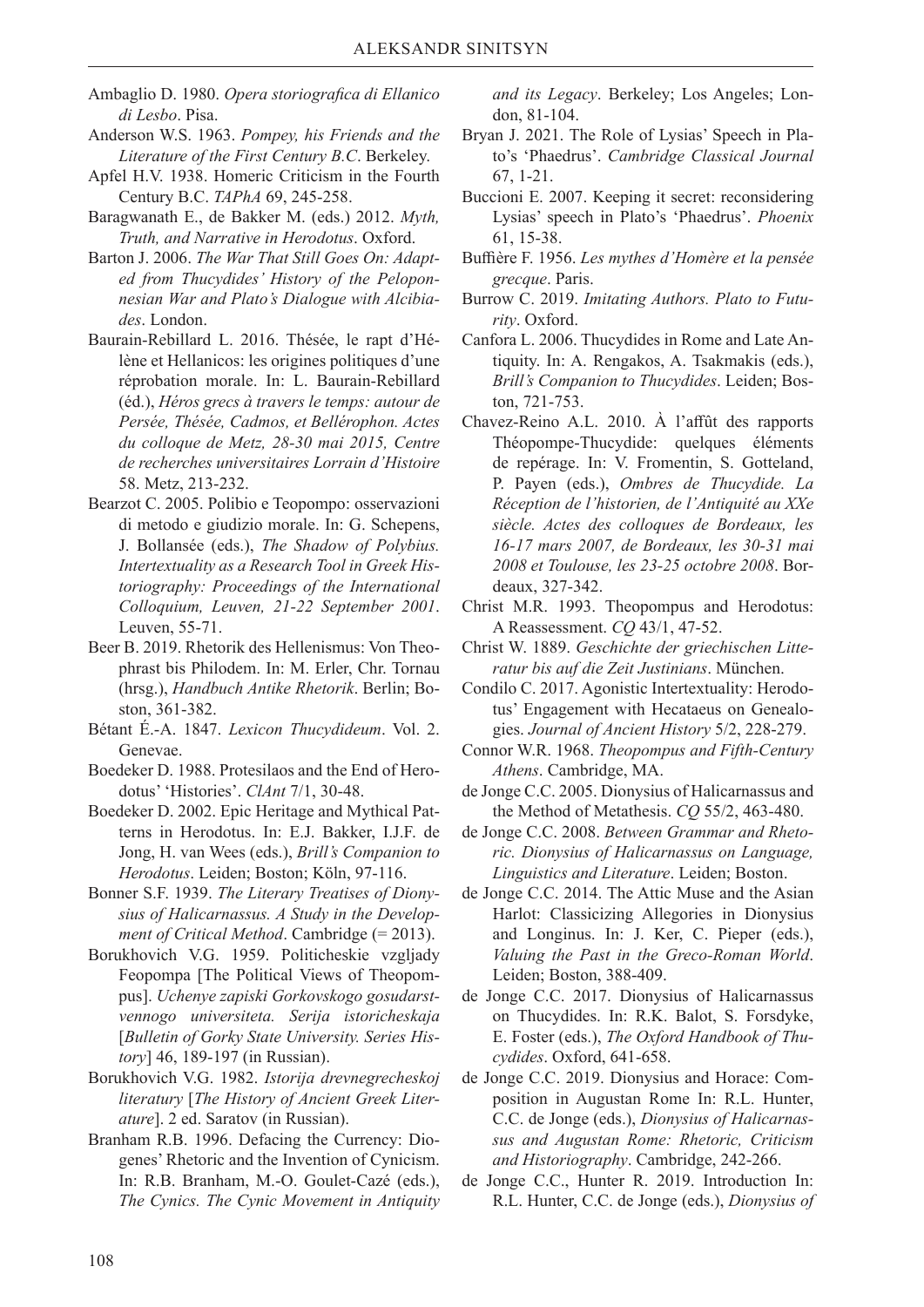- Ambaglio D. 1980. *Opera storiografica di Ellanico di Lesbo*. Pisa.
- Anderson W.S. 1963. *Pompey, his Friends and the Literature of the First Century B.C*. Berkeley.
- Apfel H.V. 1938. Homeric Criticism in the Fourth Century B.C. *TAPhA* 69, 245-258.
- Baragwanath E., de Bakker M. (eds.) 2012. *Myth, Truth, and Narrative in Herodotus*. Oxford.
- Barton J. 2006. *The War That Still Goes On: Adapted from Thucydides' History of the Peloponnesian War and Plato's Dialogue with Alcibiades*. London.
- Baurain-Rebillard L. 2016. Thésée, le rapt d'Hélène et Hellanicos: les origines politiques d'une réprobation morale. In: L. Baurain-Rebillard (éd.), *Héros grecs à travers le temps: autour de Persée, Thésée, Cadmos, et Bellérophon. Actes du colloque de Metz, 28-30 mai 2015, Centre de recherches universitaires Lorrain d'Histoire* 58. Metz, 213-232.
- Bearzot C. 2005. Polibio e Teopompo: osservazioni di metodo e giudizio morale. In: G. Schepens, J. Bollansée (eds.), *The Shadow of Polybius. Intertextuality as a Research Tool in Greek Historiography: Proceedings of the International Colloquium, Leuven, 21-22 September 2001*. Leuven, 55-71.
- Beer B. 2019. Rhetorik des Hellenismus: Von Theophrast bis Philodem. In: M. Erler, Chr. Tornau (hrsg.), *Handbuch Antike Rhetorik*. Berlin; Boston, 361-382.
- Bétant É.-A. 1847. *Lexicon Thucydideum*. Vol. 2. Genevae.
- Boedeker D. 1988. Protesilaos and the End of Herodotus' 'Histories'. *ClAnt* 7/1, 30-48.
- Boedeker D. 2002. Epic Heritage and Mythical Patterns in Herodotus. In: E.J. Bakker, I.J.F. de Jong, H. van Wees (eds.), *Brill's Companion to Herodotus*. Leiden; Boston; Köln, 97-116.
- Bonner S.F. 1939. *The Literary Treatises of Dionysius of Halicarnassus. A Study in the Development of Critical Method*. Cambridge (= 2013).
- Borukhovich V.G. 1959. Politicheskie vzgljady Feopompa [The Political Views of Theopompus]. *Uchenye zapiski Gorkovskogo gosudarstvennogo universiteta. Serija istoricheskaja*  [*Bulletin of Gorky State University. Series History*] 46, 189-197 (in Russian).
- Borukhovich V.G. 1982. *Istorija drevnegrecheskoj literatury* [*The History of Ancient Greek Literature*]. 2 ed. Saratov (in Russian).
- Branham R.B. 1996. Defacing the Currency: Diogenes' Rhetoric and the Invention of Cynicism. In: R.B. Branham, M.-O. Goulet-Cazé (eds.), *The Cynics. The Cynic Movement in Antiquity*

*and its Legacy*. Berkeley; Los Angeles; London, 81-104.

- Bryan J. 2021. The Role of Lysias' Speech in Plato's 'Phaedrus'. *Cambridge Classical Journal* 67, 1-21.
- Buccioni E. 2007. Keeping it secret: reconsidering Lysias' speech in Plato's 'Phaedrus'. *Phoenix* 61, 15-38.
- Buffière F. 1956. *Les mythes d'Homère et la pensée grecque*. Paris.
- Burrow C. 2019. *Imitating Authors. Plato to Futurity*. Oxford.
- Canfora L. 2006. Thucydides in Rome and Late Antiquity. In: A. Rengakos, A. Tsakmakis (eds.), *Brill's Companion to Thucydides*. Leiden; Boston, 721-753.
- Chavez-Reino A.L. 2010. À l'affût des rapports Théopompe-Thucydide: quelques éléments de repérage. In: V. Fromentin, S. Gotteland, P. Payen (eds.), *Ombres de Thucydide. La Réception de l'historien, de l'Antiquité au XXe siècle. Actes des colloques de Bordeaux, les 16-17 mars 2007, de Bordeaux, les 30-31 mai 2008 et Toulouse, les 23-25 octobre 2008*. Bordeaux, 327-342.
- Christ M.R. 1993. Theopompus and Herodotus: A Reassessment. *CQ* 43/1, 47-52.
- Christ W. 1889. *Geschichte der griechischen Litteratur bis auf die Zeit Justinians*. München.
- Condilo C. 2017. Agonistic Intertextuality: Herodotus' Engagement with Hecataeus on Genealogies. *Journal of Ancient History* 5/2, 228-279.
- Connor W.R. 1968. *Theopompus and Fifth-Century Athens*. Cambridge, MA.
- de Jonge C.C. 2005. Dionysius of Halicarnassus and the Method of Metathesis. *CQ* 55/2, 463-480.
- de Jonge C.C. 2008. *Between Grammar and Rhetoric. Dionysius of Halicarnassus on Language, Linguistics and Literature*. Leiden; Boston.
- de Jonge C.C. 2014. The Attic Muse and the Asian Harlot: Classicizing Allegories in Dionysius and Longinus. In: J. Ker, C. Pieper (eds.), *Valuing the Past in the Greco-Roman World*. Leiden; Boston, 388-409.
- de Jonge C.C. 2017. Dionysius of Halicarnassus on Thucydides. In: R.K. Balot, S. Forsdyke, E. Foster (eds.), *The Oxford Handbook of Thucydides*. Oxford, 641-658.
- de Jonge C.C. 2019. Dionysius and Horace: Composition in Augustan Rome In: R.L. Hunter, C.C. de Jonge (eds.), *Dionysius of Halicarnassus and Augustan Rome: Rhetoric, Criticism and Historiography*. Cambridge, 242-266.
- de Jonge C.C., Hunter R. 2019. Introduction In: R.L. Hunter, C.C. de Jonge (eds.), *Dionysius of*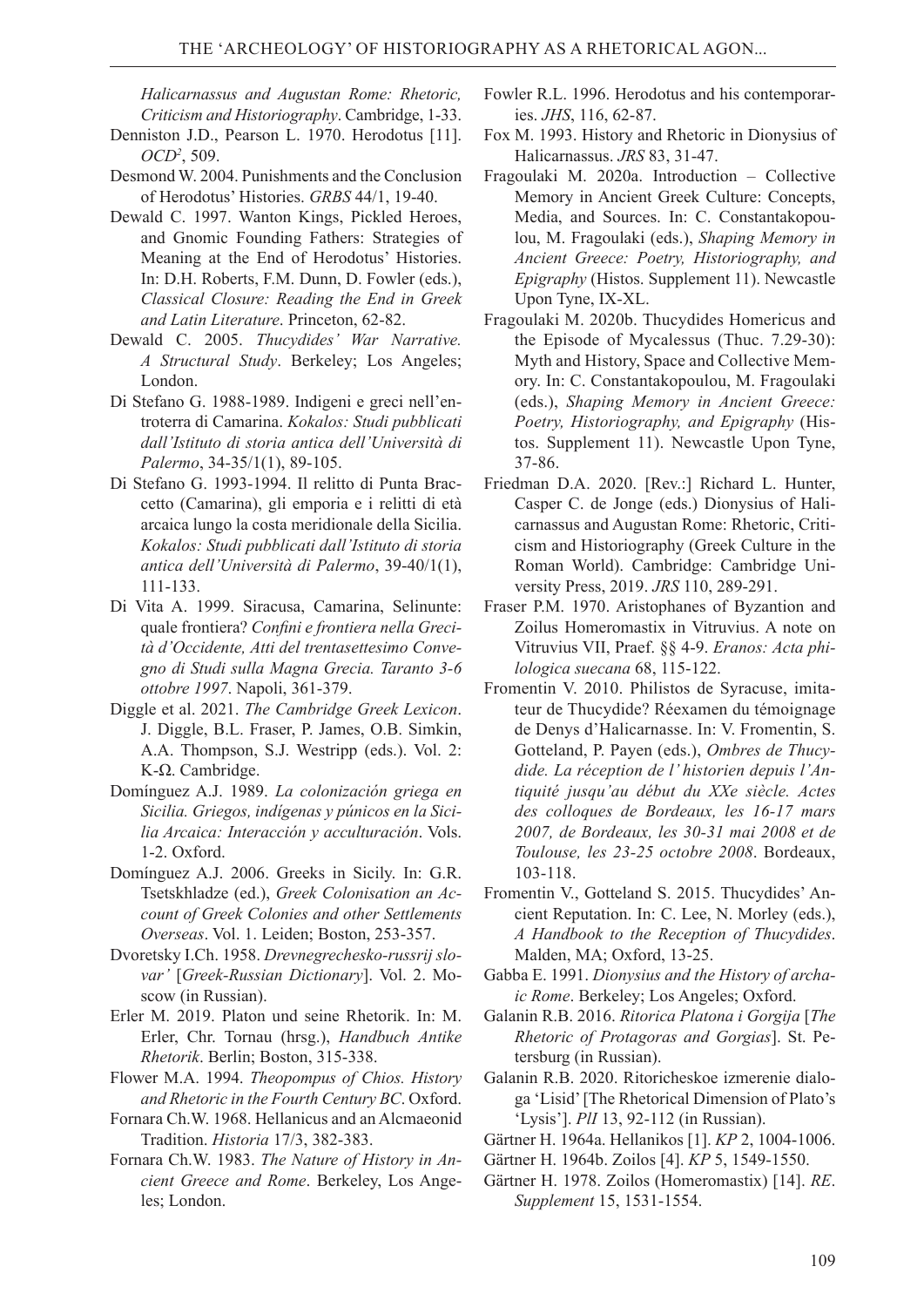*Halicarnassus and Augustan Rome: Rhetoric, Criticism and Historiography*. Cambridge, 1-33.

- Denniston J.D., Pearson L. 1970. Herodotus [11]. *OCD<sup>2</sup>* , 509.
- Desmond W. 2004. Punishments and the Conclusion of Herodotus' Histories. *GRBS* 44/1, 19-40.
- Dewald С. 1997. Wanton Kings, Pickled Heroes, and Gnomic Founding Fathers: Strategies of Meaning at the End of Herodotus' Histories. In: D.H. Roberts, F.M. Dunn, D. Fowler (eds.), *Classical Closure: Reading the End in Greek and Latin Literature*. Princeton, 62-82.
- Dewald С. 2005. *Thucydides' War Narrative. A Structural Study*. Berkeley; Los Angeles; London.
- Di Stefano G. 1988-1989. Indigeni e greci nell'entroterra di Camarina. *Kokalos: Studi pubblicati dall'Istituto di storia antica dell'Università di Palermo*, 34-35/1(1), 89-105.
- Di Stefano G. 1993-1994. Il relitto di Punta Braccetto (Camarina), gli emporia e i relitti di età arcaica lungo la costa meridionale della Sicilia. *Kokalos: Studi pubblicati dall'Istituto di storia antica dell'Università di Palermo*, 39-40/1(1), 111-133.
- Di Vita A. 1999. Siracusa, Camarina, Selinunte: quale frontiera? *Confini e frontiera nella Grecità d'Occidente, Atti del trentasettesimo Convegno di Studi sulla Magna Grecia. Taranto 3-6 ottobre 1997*. Napoli, 361-379.
- Diggle et al. 2021. *The Cambridge Greek Lexicon*. J. Diggle, B.L. Fraser, P. James, O.B. Simkin, A.A. Thompson, S.J. Westripp (eds.). Vol. 2: Κ-Ω. Cambridge.
- Domínguez A.J. 1989. *La colonización griega en Sicilia. Griegos, indígenas y púnicos en la Sicilia Arcaica: Interacción y acculturación*. Vols. 1-2. Oxford.
- Domínguez A.J. 2006. Greeks in Sicily. In: G.R. Tsetskhladze (ed.), *Greek Colonisation an Account of Greek Colonies and other Settlements Overseas*. Vol. 1. Leiden; Boston, 253-357.
- Dvoretsky I.Ch. 1958. *Drevnegrechesko-russrij slovar'* [*Greek-Russian Dictionary*]. Vol. 2. Moscow (in Russian).
- Erler M. 2019. Platon und seine Rhetorik. In: M. Erler, Chr. Tornau (hrsg.), *Handbuch Antike Rhetorik*. Berlin; Boston, 315-338.
- Flower M.A. 1994. *Theopompus of Chios. History and Rhetoric in the Fourth Century BC*. Oxford.
- Fornara Ch.W. 1968. Hellanicus and an Alcmaeonid Tradition. *Historia* 17/3, 382-383.
- Fornara Ch.W. 1983. *The Nature of History in Ancient Greece and Rome*. Berkeley, Los Angeles; London.
- Fowler R.L. 1996. Herodotus and his contemporaries. *JHS*, 116, 62-87.
- Fox M. 1993. History and Rhetoric in Dionysius of Halicarnassus. *JRS* 83, 31-47.
- Fragoulaki М. 2020a. Introduction Collective Memory in Ancient Greek Culture: Concepts, Media, and Sources. In: C. Constantakopoulou, M. Fragoulaki (eds.), *Shaping Memory in Ancient Greece: Poetry, Historiography, and Epigraphy* (Histos. Supplement 11). Newcastle Upon Tyne, IX-XL.
- Fragoulaki М. 2020b. Thucydides Homericus and the Episode of Mycalessus (Thuc. 7.29-30): Myth and History, Space and Collective Memory. In: C. Constantakopoulou, M. Fragoulaki (eds.), *Shaping Memory in Ancient Greece: Poetry, Historiography, and Epigraphy* (Histos. Supplement 11). Newcastle Upon Tyne, 37-86.
- Friedman D.A. 2020. [Rev.:] Richard L. Hunter, Casper C. de Jonge (eds.) Dionysius of Halicarnassus and Augustan Rome: Rhetoric, Criticism and Historiography (Greek Culture in the Roman World). Cambridge: Cambridge University Press, 2019. *JRS* 110, 289-291.
- Fraser P.M. 1970. Aristophanes of Byzantion and Zoilus Homeromastix in Vitruvius. A note on Vitruvius VII, Praef. §§ 4-9. *Eranos: Acta philologica suecana* 68, 115-122.
- Fromentin V. 2010. Philistos de Syracuse, imitateur de Thucydide? Réexamen du témoignage de Denys d'Halicarnasse. In: V. Fromentin, S. Gotteland, P. Payen (eds.), *Ombres de Thucydide. La réception de l' historien depuis l'Antiquité jusqu'au début du XXe siècle. Actes des colloques de Bordeaux, les 16-17 mars 2007, de Bordeaux, les 30-31 mai 2008 et de Toulouse, les 23-25 octobre 2008*. Bordeaux, 103-118.
- Fromentin V., Gotteland S. 2015. Thucydides' Ancient Reputation. In: C. Lee, N. Morley (eds.), *A Handbook to the Reception of Thucydides*. Malden, MA; Oxford, 13-25.
- Gabba E. 1991. *Dionysius and the History of archaic Rome*. Berkeley; Los Angeles; Oxford.
- Galanin R.B. 2016. *Ritorica Platona i Gorgija* [*The Rhetoric of Protagoras and Gorgias*]. St. Petersburg (in Russian).
- Galanin R.B. 2020. Ritoricheskoe izmerenie dialoga 'Lisid' [The Rhetorical Dimension of Plato's 'Lysis']. *PlI* 13, 92-112 (in Russian).
- Gärtner H. 1964a. Hellanikos [1]. *KP* 2, 1004-1006.
- Gärtner H. 1964b. Zoilos [4]. *KP* 5, 1549-1550.
- Gärtner H. 1978. Zoilos (Homeromastix) [14]. *RE*. *Supplement* 15, 1531-1554.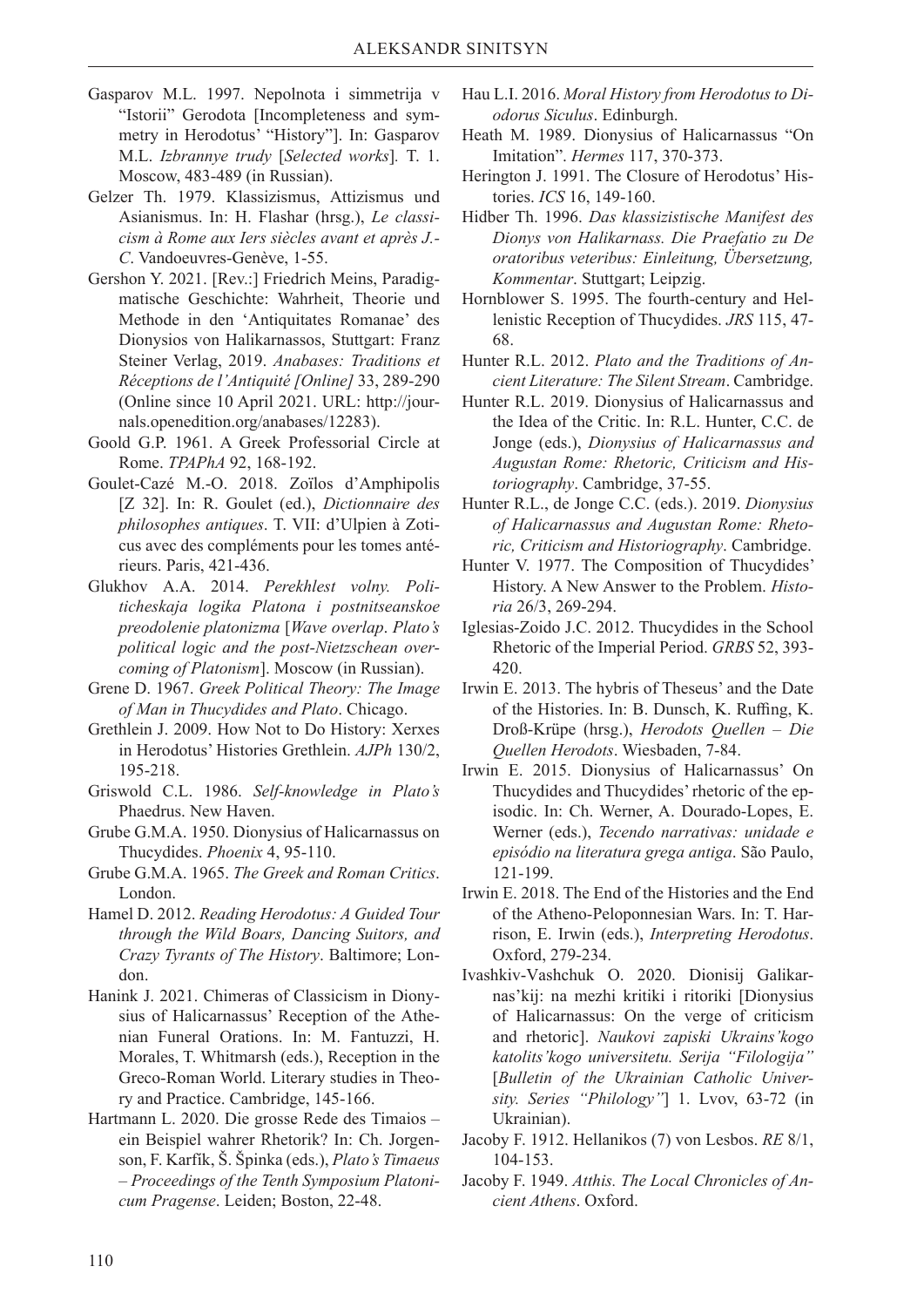- Gasparov M.L. 1997. Nepolnota i simmetrija v "Istorii" Gerodota [Incompleteness and symmetry in Herodotus' "History"]. In: Gasparov M.L. *Izbrannye trudy* [*Selected works*]*.* T. 1. Moscow, 483-489 (in Russian).
- Gelzer Th. 1979. Klassizismus, Attizismus und Asianismus. In: H. Flashar (hrsg.), *Le classicism à Rome aux Iers siècles avant et après J.- C*. Vandoeuvres-Genève, 1-55.
- Gershon Y. 2021. [Rev.:] Friedrich Meins, Paradigmatische Geschichte: Wahrheit, Theorie und Methode in den 'Antiquitates Romanae' des Dionysios von Halikarnassos, Stuttgart: Franz Steiner Verlag, 2019. *Anabases: Traditions et Réceptions de l'Antiquité [Online]* 33, 289-290 (Online since 10 April 2021. URL: http://journals.openedition.org/anabases/12283).
- Goold G.P. 1961. A Greek Professorial Circle at Rome. *TPAPhA* 92, 168-192.
- Goulet-Cazé M.-O. 2018. Zoïlos d'Amphipolis [Z 32]. In: R. Goulet (ed.), *Dictionnaire des philosophes antiques*. T. VII: d'Ulpien à Zoticus avec des compléments pour les tomes antérieurs. Paris, 421-436.
- Glukhov А.А. 2014. *Perekhlest volny. Politicheskaja logika Platona i postnitseanskoe preodolenie platonizma* [*Wave overlap*. *Plato's political logic and the post-Nietzschean overcoming of Platonism*]. Moscow (in Russian).
- Grene D. 1967. *Greek Political Theory: The Image of Man in Thucydides and Plato*. Chicago.
- Grethlein J. 2009. How Not to Do History: Xerxes in Herodotus' Histories Grethlein. *AJPh* 130/2, 195-218.
- Griswold C.L. 1986. *Self-knowledge in Plato's*  Phaedrus. New Haven.
- Grube G.M.A. 1950. Dionysius of Halicarnassus on Thucydides. *Phoenix* 4, 95-110.
- Grube G.M.A. 1965. *The Greek and Roman Critics*. London.
- Hamel D. 2012. *Reading Herodotus: A Guided Tour through the Wild Boars, Dancing Suitors, and Crazy Tyrants of The History*. Baltimore; London.
- Hanink J. 2021. Chimeras of Classicism in Dionysius of Halicarnassus' Reception of the Athenian Funeral Orations. In: M. Fantuzzi, H. Morales, T. Whitmarsh (eds.), Reception in the Greco-Roman World. Literary studies in Theory and Practice. Cambridge, 145-166.
- Hartmann L. 2020. Die grosse Rede des Timaios ein Beispiel wahrer Rhetorik? In: Ch. Jorgenson, F. Karfík, Š. Špinka (eds.), *Plato's Timaeus – Proceedings of the Tenth Symposium Platonicum Pragense*. Leiden; Boston, 22-48.
- Hau L.I. 2016. *Moral History from Herodotus to Diodorus Siculus*. Edinburgh.
- Heath M. 1989. Dionysius of Halicarnassus "On Imitation". *Hermes* 117, 370-373.
- Herington J. 1991. The Closure of Herodotus' Histories. *ICS* 16, 149-160.
- Hidber Th. 1996. *Das klassizistische Manifest des Dionys von Halikarnass. Die Praefatio zu De oratoribus veteribus: Einleitung, Übersetzung, Kommentar*. Stuttgart; Leipzig.
- Hornblower S. 1995. The fourth-century and Hellenistic Reception of Thucydides. *JRS* 115, 47- 68.
- Hunter R.L. 2012. *Plato and the Traditions of Ancient Literature: The Silent Stream*. Cambridge.
- Hunter R.L. 2019. Dionysius of Halicarnassus and the Idea of the Critic. In: R.L. Hunter, C.C. de Jonge (eds.), *Dionysius of Halicarnassus and Augustan Rome: Rhetoric, Criticism and Historiography*. Cambridge, 37-55.
- Hunter R.L., de Jonge C.C. (eds.). 2019. *Dionysius of Halicarnassus and Augustan Rome: Rhetoric, Criticism and Historiography*. Cambridge.
- Hunter V. 1977. The Composition of Thucydides' History. A New Answer to the Problem. *Historia* 26/3, 269-294.
- Iglesias-Zoido J.C. 2012. Thucydides in the School Rhetoric of the Imperial Period. *GRBS* 52, 393- 420.
- Irwin E. 2013. The hybris of Theseus' and the Date of the Histories. In: B. Dunsch, K. Ruffing, K. Droß-Krüpe (hrsg.), *Herodots Quellen – Die Quellen Herodots*. Wiesbaden, 7-84.
- Irwin E. 2015. Dionysius of Halicarnassus' On Thucydides and Thucydides' rhetoric of the episodic. In: Ch. Werner, A. Dourado-Lopes, E. Werner (eds.), *Tecendo narrativas: unidade e episódio na literatura grega antiga*. São Paulo, 121-199.
- Irwin E. 2018. The End of the Histories and the End of the Atheno-Peloponnesian Wars. In: T. Harrison, E. Irwin (eds.), *Interpreting Herodotus*. Oxford, 279-234.
- Ivashkiv-Vаshchuk O. 2020. Dіоnіsіj Gаlіkarnas'kij: na mezhi kritiki i ritoriki [Dionysius of Halicarnassus: On the verge of criticism and rhetoric]. *Naukovi zapiski Ukrains'kogo katolits'kogo universitetu. Serija "Filologija"* [*Bulletin of the Ukrainian Catholic University. Series "Philology"*] 1. Lvov, 63-72 (in Ukrainian).
- Jacoby F. 1912. Hellanikos (7) von Lesbos. *RE* 8/1, 104-153.
- Jacoby F. 1949. *Atthis. The Local Chronicles of Ancient Athens*. Oxford.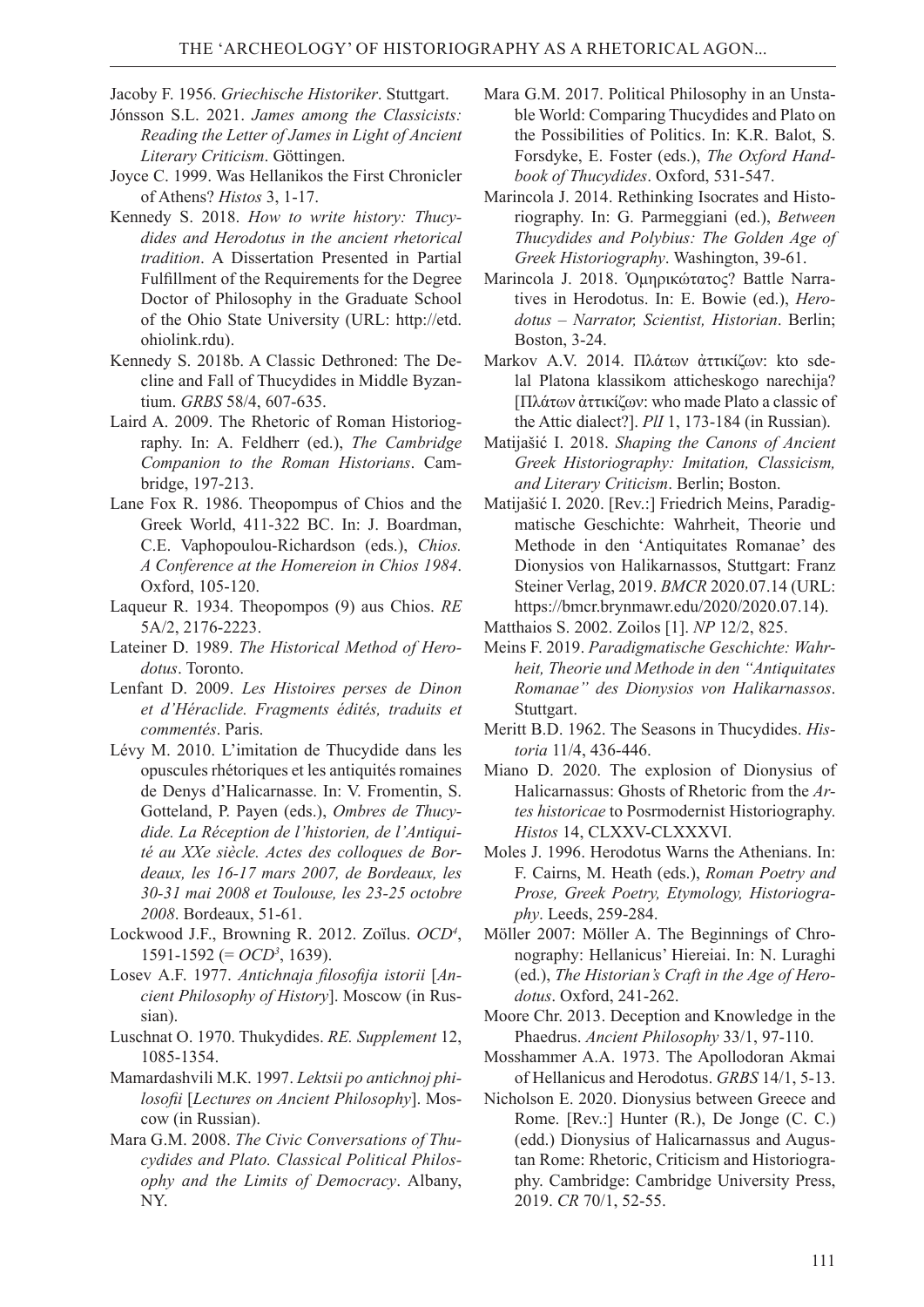Jacoby F. 1956. *Griechische Historiker*. Stuttgart.

- Jónsson S.L. 2021. *James among the Classicists: Reading the Letter of James in Light of Ancient Literary Criticism*. Göttingen.
- Joyce C. 1999. Was Hellanikos the First Chronicler of Athens? *Histos* 3, 1-17.
- Kennedy S. 2018. *How to write history: Thucydides and Herodotus in the ancient rhetorical tradition*. A Dissertation Presented in Partial Fulfillment of the Requirements for the Degree Doctor of Philosophy in the Graduate School of the Ohio State University (URL: http://etd. ohiolink.rdu).
- Kennedy S. 2018b. A Classic Dethroned: The Decline and Fall of Thucydides in Middle Byzantium. *GRBS* 58/4, 607-635.
- Laird A. 2009. The Rhetoric of Roman Historiography. In: A. Feldherr (ed.), *The Cambridge Companion to the Roman Historians*. Cambridge, 197-213.
- Lane Fox R. 1986. Theopompus of Chios and the Greek World, 411-322 BC. In: J. Boardman, C.E. Vaphopoulou-Richardson (eds.), *Chios. A Conference at the Homereion in Chios 1984*. Oxford, 105-120.
- Laqueur R. 1934. Theopompos (9) aus Chios. *RE*  5A/2, 2176-2223.
- Lateiner D. 1989. *The Historical Method of Herodotus*. Toronto.
- Lenfant D. 2009. *Les Histoires perses de Dinon et d'Héraclide. Fragments édités, traduits et commentés*. Paris.
- Lévy M. 2010. L'imitation de Thucydide dans les opuscules rhétoriques et les antiquités romaines de Denys d'Halicarnasse. In: V. Fromentin, S. Gotteland, P. Payen (eds.), *Ombres de Thucydide. La Réception de l'historien, de l'Antiquité au XXe siècle. Actes des colloques de Bordeaux, les 16-17 mars 2007, de Bordeaux, les 30-31 mai 2008 et Toulouse, les 23-25 octobre 2008*. Bordeaux, 51-61.
- Lockwood J.F., Browning R. 2012. Zoïlus. *OCD<sup>4</sup>* , 1591-1592 (= *OCD3* , 1639).
- Losev А.F. 1977. *Antichnaja filosofija istorii* [*Ancient Philosophy of History*]. Moscow (in Russian).
- Luschnat O. 1970. Thukydides. *RE. Supplement* 12, 1085-1354.
- Маmаrdashvili М.К. 1997. *Lеktsii po antichnoj philosofii* [*Lectures on Ancient Philosophy*]. Moscow (in Russian).
- Mara G.M. 2008. *The Civic Conversations of Thucydides and Plato. Classical Political Philosophy and the Limits of Democracy*. Albany, NY.
- Mara G.M. 2017. Political Philosophy in an Unstable World: Comparing Thucydides and Plato on the Possibilities of Politics. In: K.R. Balot, S. Forsdyke, E. Foster (eds.), *The Oxford Handbook of Thucydides*. Oxford, 531-547.
- Marincola J. 2014. Rethinking Isocrates and Historiography. In: G. Parmeggiani (ed.), *Between Thucydides and Polybius: The Golden Age of Greek Historiography*. Washington, 39-61.
- Marincola J. 2018. Ὁμηρικώτατος? Battle Narratives in Herodotus. In: E. Bowie (ed.), *Herodotus – Narrator, Scientist, Historian*. Berlin; Boston, 3-24.
- Маrkov А.V. 2014. Πλάτων ἀττικίζων: kto sdelal Platona klassikom atticheskogo narechija? [Πλάτων ἀττικίζων: who made Plato a classic of the Attic dialect?]. *PlI* 1, 173-184 (in Russian).
- Matijašić I. 2018. *Shaping the Canons of Ancient Greek Historiography: Imitation, Classicism, and Literary Criticism*. Berlin; Boston.
- Matijašić I. 2020. [Rev.:] Friedrich Meins, Paradigmatische Geschichte: Wahrheit, Theorie und Methode in den 'Antiquitates Romanae' des Dionysios von Halikarnassos, Stuttgart: Franz Steiner Verlag, 2019. *BMCR* 2020.07.14 (URL: https://bmcr.brynmawr.edu/2020/2020.07.14).
- Matthaios S. 2002. Zoilos [1]. *NP* 12/2, 825.
- Meins F. 2019. *Paradigmatische Geschichte: Wahrheit, Theorie und Methode in den "Antiquitates Romanae" des Dionysios von Halikarnassos*. Stuttgart.
- Meritt B.D. 1962. The Seasons in Thucydides. *Historia* 11/4, 436-446.
- Miano D. 2020. The explosion of Dionysius of Halicarnassus: Ghosts of Rhetoric from the *Artes historicae* to Posrmodernist Historiography. *Histos* 14, CLXXV-CLXXXVI.
- Moles J. 1996. Herodotus Warns the Athenians. In: F. Cairns, M. Heath (eds.), *Roman Poetry and Prose, Greek Poetry, Etymology, Historiography*. Leeds, 259-284.
- Möller 2007: Möller A. The Beginnings of Chronography: Hellanicus' Hiereiai. In: N. Luraghi (ed.), *The Historian's Craft in the Age of Herodotus*. Oxford, 241-262.
- Moore Chr. 2013. Deception and Knowledge in the Phaedrus. *Ancient Philosophy* 33/1, 97-110.
- Mosshammer A.A. 1973. The Apollodoran Akmai of Hellanicus and Herodotus. *GRBS* 14/1, 5-13.
- Nicholson E. 2020. Dionysius between Greece and Rome. [Rev.:] Hunter (R.), De Jonge (C. C.) (edd.) Dionysius of Halicarnassus and Augustan Rome: Rhetoric, Criticism and Historiography. Cambridge: Cambridge University Press, 2019. *CR* 70/1, 52-55.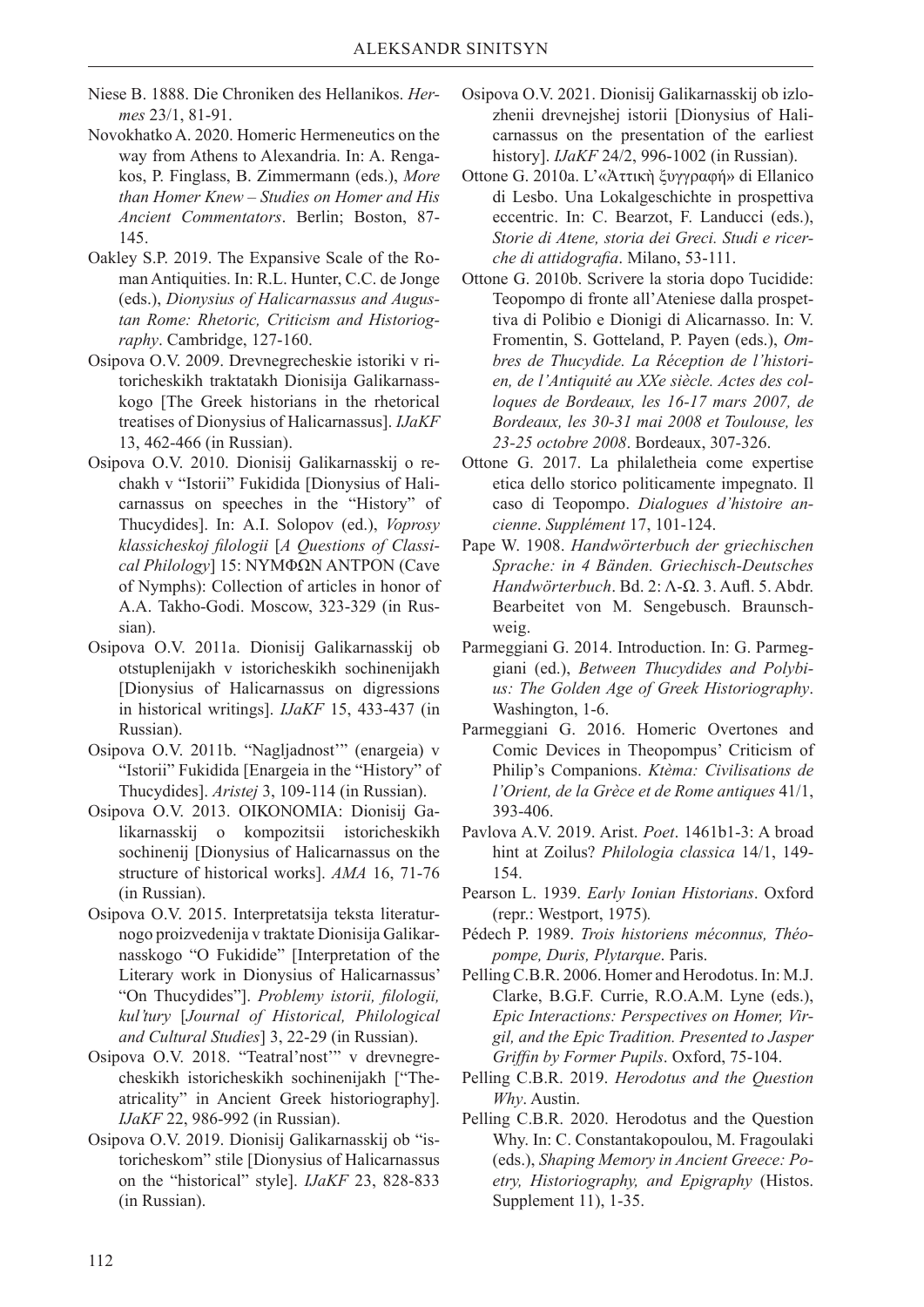- Niese B. 1888. Die Chroniken des Hellanikos. *Hermes* 23/1, 81-91.
- Novokhatko A. 2020. Homeric Hermeneutics on the way from Athens to Alexandria. In: A. Rengakos, P. Finglass, B. Zimmermann (eds.), *More than Homer Knew – Studies on Homer and His Ancient Commentators*. Berlin; Boston, 87- 145.
- Oakley S.P. 2019. The Expansive Scale of the Roman Antiquities. In: R.L. Hunter, C.C. de Jonge (eds.), *Dionysius of Halicarnassus and Augustan Rome: Rhetoric, Criticism and Historiography*. Cambridge, 127-160.
- Osipova О.V. 2009. Drevnegrecheskie istoriki v ritoricheskikh traktatakh Dionisija Galikarnasskogo [The Greek historians in the rhetorical treatises of Dionysius of Halicarnassus]. *IJaKF* 13, 462-466 (in Russian).
- Оsipova О.V. 2010. Dionisij Galikarnasskij о rechakh v "Istorii" Fukidida [Dionysius of Halicarnassus on speeches in the "History" of Thucydides]. In: А.I. Solopov (ed.), *Voprosy klassicheskoj filologii* [*A Questions of Classical Philology*] 15: ΝΥΜΦΩΝ ΑΝΤΡΟΝ (Cave of Nymphs): Collection of articles in honor of A.A. Takho-Godi. Moscow, 323-329 (in Russian).
- Оsipova О.V. 2011a. Dionisij Galikarnasskij оb otstuplenijakh v istoricheskikh sochinenijakh [Dionysius of Halicarnassus on digressions in historical writings]. *IJaKF* 15, 433-437 (in Russian).
- Оsipova О.V. 2011b. "Nagljadnost'" (enargeia) v "Istorii" Fukidida [Enargeia in the "History" of Thucydides]. *Aristej* 3, 109-114 (in Russian).
- Оsipova О.V. 2013. ΟΙΚΟΝΟΜΙΑ: Dionisij Galikarnasskij о kompozitsii istoricheskikh sochinenij [Dionysius of Halicarnassus on the structure of historical works]. *АMА* 16, 71-76 (in Russian).
- Оsipova О.V. 2015. Interpretatsija teksta literaturnogo proizvedenija v traktate Dionisija Galikarnasskogo "O Fukidide" [Interpretation of the Literary work in Dionysius of Halicarnassus' "On Thucydides"]. *Problemy istorii, filologii, kul'tury* [*Journal of Historical, Philological and Cultural Studies*] 3, 22-29 (in Russian).
- Оsipova О.V. 2018. "Teatral'nost'" v drevnegrecheskikh istoricheskikh sochinenijakh ["Theatricality" in Ancient Greek historiography]. *IJaKF* 22, 986-992 (in Russian).
- Оsipova О.V. 2019. Dionisij Galikarnasskij ob "istoricheskom" stile [Dionysius of Halicarnassus on the "historical" style]. *IJaKF* 23, 828-833 (in Russian).
- Оsipova О.V. 2021. Dionisij Galikarnasskij ob izlozhenii drevnejshej istorii [Dionysius of Halicarnassus on the presentation of the earliest history]. *IJaKF* 24/2, 996-1002 (in Russian).
- Ottone G. 2010a. L'«Ἀττικὴ ξυγγραφή» di Ellanico di Lesbo. Una Lokalgeschichte in prospettiva eccentric. In: C. Bearzot, F. Landucci (eds.), *Storie di Atene, storia dei Greci. Studi e ricerche di attidografia*. Milano, 53-111.
- Ottone G. 2010b. Scrivere la storia dopo Tucidide: Teopompo di fronte all'Ateniese dalla prospettiva di Polibio e Dionigi di Alicarnasso. In: V. Fromentin, S. Gotteland, P. Payen (eds.), *Ombres de Thucydide. La Réception de l'historien, de l'Antiquité au XXe siècle. Actes des colloques de Bordeaux, les 16-17 mars 2007, de Bordeaux, les 30-31 mai 2008 et Toulouse, les 23-25 octobre 2008*. Bordeaux, 307-326.
- Ottone G. 2017. La philaletheia come expertise etica dello storico politicamente impegnato. Il caso di Teopompo. *Dialogues d'histoire ancienne*. *Supplément* 17, 101-124.
- Pape W. 1908. *Handwörterbuch der griechischen Sprache: in 4 Bänden. Griechisch-Deutsches Handwörterbuch*. Bd. 2: Λ-Ω. 3. Aufl. 5. Abdr. Bearbeitet von M. Sengebusch. Braunschweig.
- Parmeggiani G. 2014. Introduction. In: G. Parmeggiani (ed.), *Between Thucydides and Polybius: The Golden Age of Greek Historiography*. Washington, 1-6.
- Parmeggiani G. 2016. Homeric Overtones and Comic Devices in Theopompus' Criticism of Philip's Companions. *Ktèma: Civilisations de l'Orient, de la Grèce et de Rome antiques* 41/1, 393-406.
- Pavlova A.V. 2019. Arist. *Poet*. 1461b1-3: A broad hint at Zoilus? *Philologia classica* 14/1, 149- 154.
- Pearson L. 1939. *Early Ionian Historians*. Oxford (repr.: Westport, 1975)*.*
- Pédech P. 1989. *Trois historiens méconnus, Théopompe, Duris, Plytarque*. Paris.
- Pelling C.B.R. 2006. Homer and Herodotus. In: M.J. Clarke, B.G.F. Currie, R.O.A.M. Lyne (eds.), *Epic Interactions: Perspectives on Homer, Virgil, and the Epic Tradition. Presented to Jasper Griffin by Former Pupils*. Oxford, 75-104.
- Pelling C.B.R. 2019. *Herodotus and the Question Why*. Austin.
- Pelling C.B.R. 2020. Herodotus and the Question Why. In: C. Constantakopoulou, M. Fragoulaki (eds.), *Shaping Memory in Ancient Greece: Poetry, Historiography, and Epigraphy* (Histos. Supplement 11), 1-35.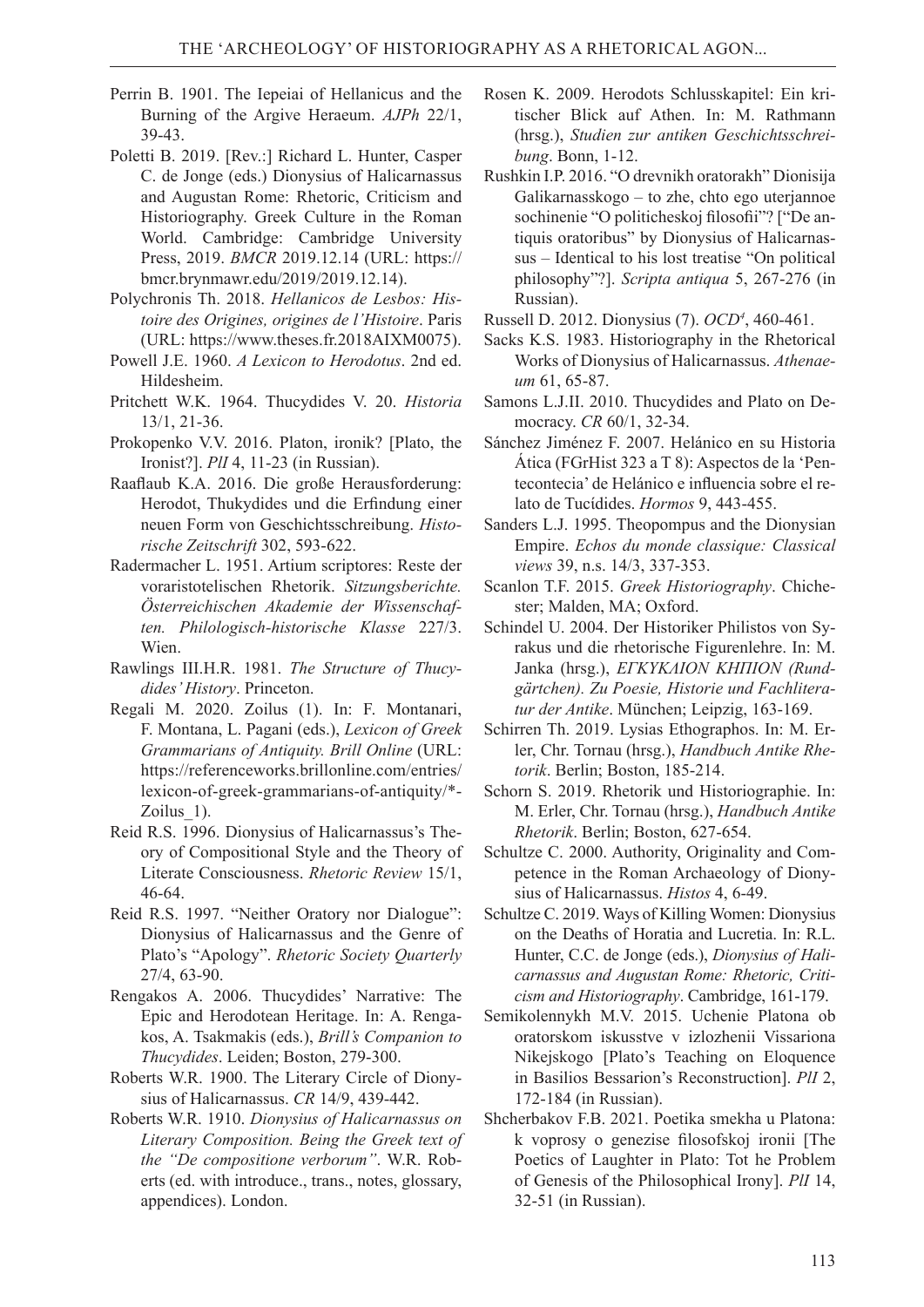- Perrin B. 1901. The Iepeiai of Hellanicus and the Burning of the Argive Heraeum. *AJPh* 22/1, 39-43.
- Poletti B. 2019. [Rev.:] Richard L. Hunter, Casper C. de Jonge (eds.) Dionysius of Halicarnassus and Augustan Rome: Rhetoric, Criticism and Historiography. Greek Culture in the Roman World. Cambridge: Cambridge University Press, 2019. *BMCR* 2019.12.14 (URL: https:// bmcr.brynmawr.edu/2019/2019.12.14).
- Polychronis Th. 2018. *Hellanicos de Lesbos: Histoire des Origines, origines de l'Histoire*. Paris (URL: https://www.theses.fr.2018AIXM0075).
- Powell J.E. 1960. *A Lexicon to Herodotus*. 2nd ed. Hildesheim.
- Pritchett W.K. 1964. Thucydides V. 20. *Historia* 13/1, 21-36.
- Prokopenko V.V. 2016. Platon, ironik? [Plato, the Ironist?]. *PlI* 4, 11-23 (in Russian).
- Raaflaub K.A. 2016. Die große Herausforderung: Herodot, Thukydides und die Erfindung einer neuen Form von Geschichtsschreibung. *Historische Zeitschrift* 302, 593-622.
- Radermacher L. 1951. Artium scriptores: Reste der voraristotelischen Rhetorik. *Sitzungsberichte. Österreichischen Akademie der Wissenschaften. Philologisch-historische Klasse* 227/3. Wien.
- Rawlings III.H.R. 1981. *The Structure of Thucydides' History*. Princeton.
- Regali M. 2020. Zoilus (1). In: F. Montanari, F. Montana, L. Pagani (eds.), *Lexicon of Greek Grammarians of Antiquity. Brill Online* (URL: https://referenceworks.brillonline.com/entries/ lexicon-of-greek-grammarians-of-antiquity/\*- Zoilus\_1).
- Reid R.S. 1996. Dionysius of Halicarnassus's Theory of Compositional Style and the Theory of Literate Consciousness. *Rhetoric Review* 15/1, 46-64.
- Reid R.S. 1997. "Neither Oratory nor Dialogue": Dionysius of Halicarnassus and the Genre of Plato's "Apology". *Rhetoric Society Quarterly* 27/4, 63-90.
- Rengakos A. 2006. Thucydides' Narrative: The Epic and Herodotean Heritage. In: A. Rengakos, A. Tsakmakis (eds.), *Brill's Companion to Thucydides*. Leiden; Boston, 279-300.
- Roberts W.R. 1900. The Literary Circle of Dionysius of Halicarnassus. *CR* 14/9, 439-442.
- Roberts W.R. 1910. *Dionysius of Halicarnassus on Literary Composition. Being the Greek text of the "De compositione verborum"*. W.R. Roberts (ed. with introduce., trans., notes, glossary, appendices). London.
- Rosen K. 2009. Herodots Schlusskapitel: Ein kritischer Blick auf Athen. In: M. Rathmann (hrsg.), *Studien zur antiken Geschichtsschreibung*. Bonn, 1-12.
- Rushkin I.P. 2016. "O drevnikh oratorakh" Dionisija Galikarnasskogo – tо zhе, chtо еgо uterjannoe sochinenie "О pоliticheskoj filosofii"? ["De antiquis oratoribus" by Dionysius of Halicarnassus – Identical to his lost treatise "On political philosophy"?]. *Scripta antiqua* 5, 267-276 (in Russian).
- Russell D. 2012. Dionysius (7). *OCD<sup>4</sup>* , 460-461.
- Sacks K.S. 1983. Historiography in the Rhetorical Works of Dionysius of Halicarnassus. *Athenaeum* 61, 65-87.
- Samons L.J.II. 2010. Thucydides and Plato on Democracy. *CR* 60/1, 32-34.
- Sánchez Jiménez F. 2007. Helánico en su Historia Ática (FGrHist 323 a T 8): Aspectos de la 'Pentecontecia' de Helánico e influencia sobre el relato de Tucίdides. *Hormos* 9, 443-455.
- Sanders L.J. 1995. Theopompus and the Dionysian Empire. *Echos du monde classique: Classical views* 39, n.s. 14/3, 337-353.
- Scanlon T.F. 2015. *Greek Historiography*. Chichester; Malden, MA; Oxford.
- Schindel U. 2004. Der Historiker Philistos von Syrakus und die rhetorische Figurenlehre. In: M. Janka (hrsg.), *ΕΓΚΥΚΛΙΟΝ ΚΗΠΙΟΝ (Rundgärtchen). Zu Poesie, Historie und Fachliteratur der Antike*. München; Leipzig, 163-169.
- Schirren Th. 2019. Lysias Ethographos. In: M. Erler, Chr. Tornau (hrsg.), *Handbuch Antike Rhetorik*. Berlin; Boston, 185-214.
- Schorn S. 2019. Rhetorik und Historiographie. In: M. Erler, Chr. Tornau (hrsg.), *Handbuch Antike Rhetorik*. Berlin; Boston, 627-654.
- Schultze C. 2000. Authority, Originality and Competence in the Roman Archaeology of Dionysius of Halicarnassus. *Histos* 4, 6-49.
- Schultze C. 2019. Ways of Killing Women: Dionysius on the Deaths of Horatia and Lucretia. In: R.L. Hunter, C.C. de Jonge (eds.), *Dionysius of Halicarnassus and Augustan Rome: Rhetoric, Criticism and Historiography*. Cambridge, 161-179.
- Semikolennykh М.V. 2015. Uchenie Platona ob oratorskom iskusstve v izlozhenii Vissariona Nikejskogo [Plato's Teaching on Eloquence in Basilios Bessarion's Reconstruction]. *PlI* 2, 172-184 (in Russian).
- Shcherbakov F.B. 2021. Poetika smekha u Platona: k voprosy o genezise filosofskoj ironii [The Poetics of Laughter in Plato: Tot he Problem of Genesis of the Philosophical Irony]. *PlI* 14, 32-51 (in Russian).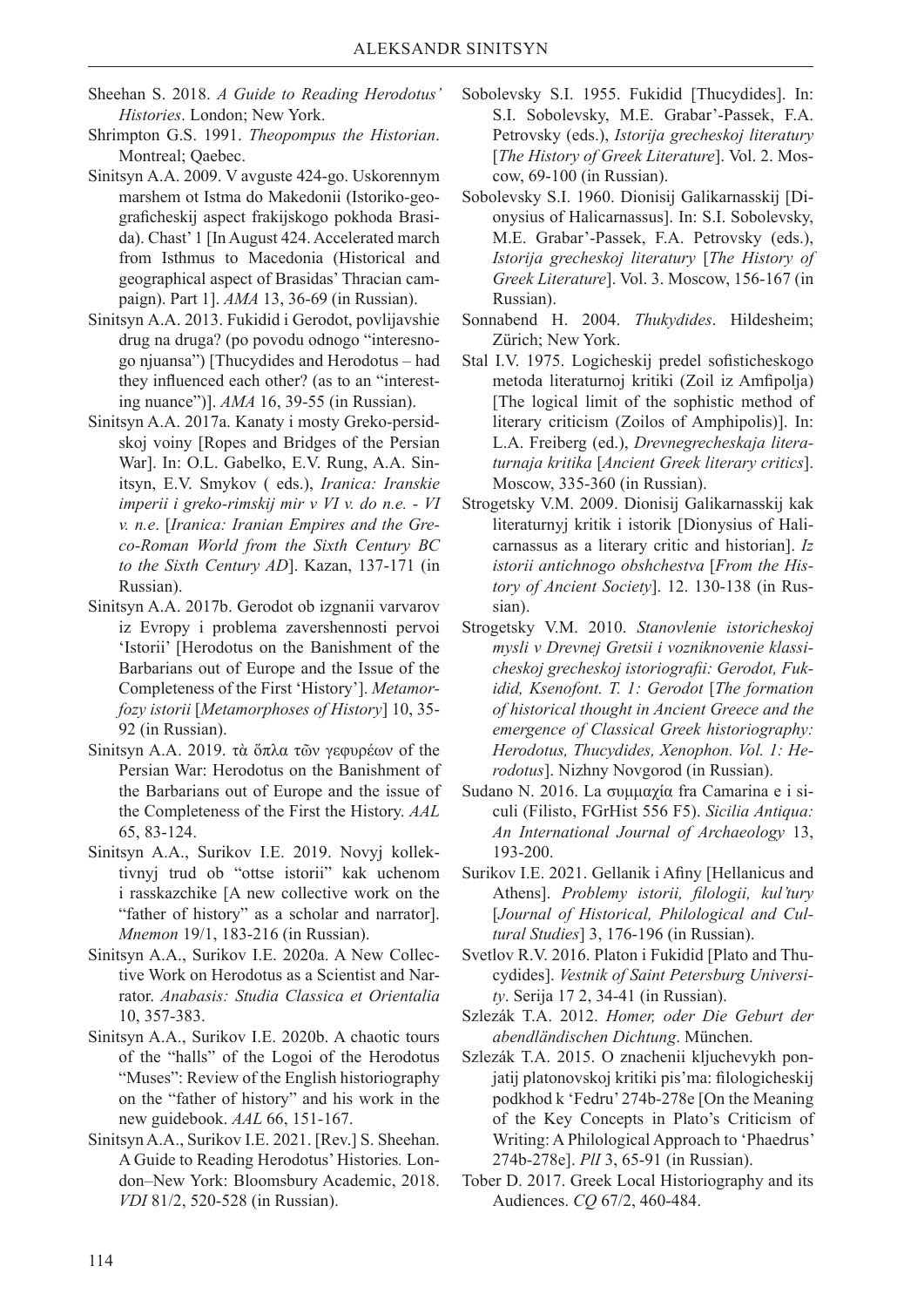- Sheehan S. 2018. *A Guide to Reading Herodotus' Histories*. London; New York.
- Shrimpton G.S. 1991. *Theopompus the Historian*. Montreal; Qaebec.
- Sinitsyn А.А. 2009. V avguste 424-gо. Uskorennym marshem ot Istma do Makedonii (Istoriko-gеоgraficheskij aspect frakijskogo pokhoda Brasida). Chast' 1 [In August 424. Accelerated march from Isthmus to Macedonia (Historical and geographical aspect of Brasidas' Thracian campaign). Part 1]. *АМА* 13, 36-69 (in Russian).
- Sinitsyn А.А. 2013. Fukidid i Gerodot, povlijavshie drug na druga? (po povodu odnogo "interesnogo njuansa") [Thucydides and Herodotus – had they influenced each other? (as to an "interesting nuance")]. *AMA* 16, 39-55 (in Russian).
- Sinitsyn A.A. 2017a. Kanaty i mosty Greko-persidskoj voiny [Ropes and Bridges of the Persian War]. In: O.L. Gabelko, E.V. Rung, A.A. Sinitsyn, E.V. Smykov ( eds.), *Iranica: Iranskie imperii i greko-rimskij mir v VI v. do n.e. - VI v. n.e*. [*Iranica: Iranian Empires and the Greco-Roman World from the Sixth Century BC to the Sixth Century AD*]. Kazan, 137-171 (in Russian).
- Sinitsyn A.A. 2017b. Gerodot ob izgnanii varvarov iz Evropy i problema zavershennosti pervoi 'Istorii' [Herodotus on the Banishment of the Barbarians out of Europe and the Issue of the Completeness of the First 'History']. *Metamorfozy istorii* [*Metamorphoses of History*] 10, 35- 92 (in Russian).
- Sinitsyn A.A. 2019. τὰ ὅπλα τῶν γεφυρέων of the Persian War: Herodotus on the Banishment of the Barbarians out of Europe and the issue of the Completeness of the First the History. *AAL* 65, 83-124.
- Sinitsyn A.A., Surikov I.E. 2019. Novyj kollektivnyj trud ob "ottse istorii" kak uchenom i rasskazchike [A new collective work on the "father of history" as a scholar and narrator]. *Mnemon* 19/1, 183-216 (in Russian).
- Sinitsyn A.A., Surikov I.E. 2020a. A New Collective Work on Herodotus as a Scientist and Narrator. *Anabasis: Studia Classica et Orientalia* 10, 357-383.
- Sinitsyn A.A., Surikov I.E. 2020b. A chaotic tours of the "halls" of the Logoi of the Herodotus "Muses": Review of the English historiography on the "father of history" and his work in the new guidebook. *AAL* 66, 151-167.
- Sinitsyn A.A., Surikov I.E. 2021. [Rev.] S. Sheehan. A Guide to Reading Herodotus' Histories*.* London–New York: Bloomsbury Academic, 2018. *VDI* 81/2, 520-528 (in Russian).
- Sobolevsky S.I. 1955. Fukidid [Thucydides]. In: S.I. Sobolevsky, М.Е. Grabar'-Passek, F.А. Petrovsky (eds.), *Istorija grecheskoj literatury* [*The History of Greek Literature*]. Vol. 2. Moscow, 69-100 (in Russian).
- Sobolevsky S.I. 1960. Dionisij Galikarnasskij [Dionysius of Halicarnassus]. In: S.I. Sobolevsky, М.Е. Grabar'-Passek, F.А. Petrovsky (eds.), *Istorija grecheskoj literatury* [*The History of Greek Literature*]. Vol. 3. Moscow, 156-167 (in Russian).
- Sonnabend H. 2004. *Thukydides*. Hildesheim; Zürich; New York.
- Stal I.V. 1975. Logicheskij predel sofisticheskogo metoda literaturnoj kritiki (Zoil iz Amfipolja) [The logical limit of the sophistic method of literary criticism (Zoilos of Amphipolis)]. In: L.А. Freiberg (ed.), *Drevnegrecheskaja literaturnaja kritika* [*Ancient Greek literary critics*]. Moscow, 335-360 (in Russian).
- Strogetsky V.М. 2009. Dionisij Galikarnasskij kak literaturnyj kritik i istorik [Dionysius of Halicarnassus as a literary critic and historian]. *Iz istorii antichnogo obshchestva* [*From the History of Ancient Society*]. 12. 130-138 (in Russian).
- Strogetsky V.М. 2010. *Stanovlenie istoricheskoj mysli v Drevnej Gretsii i vozniknovenie klassicheskoj grecheskoj istoriografii: Gerodot, Fukidid, Ksenofont. T. 1: Gerodot* [*The formation of historical thought in Ancient Greece and the emergence of Classical Greek historiography: Herodotus, Thucydides, Xenophon. Vol. 1: Herodotus*]. Nizhny Novgorod (in Russian).
- Sudano N. 2016. La συμμαχία fra Camarina e i siculi (Filisto, FGrHist 556 F5). *Sicilia Antiqua: An International Journal of Archaeology* 13, 193-200.
- Surikov I.E. 2021. Gellanik i Afiny [Hellanicus and Athens]. *Problemy istorii, filologii, kul'tury*  [*Journal of Historical, Philological and Cultural Studies*] 3, 176-196 (in Russian).
- Svetlov R.V. 2016. Platon i Fukidid [Plato and Thucydides]. *Vestnik of Saint Petersburg University*. Serija 17 2, 34-41 (in Russian).
- Szlezák T.A. 2012. *Homer, oder Die Geburt der abendländischen Dichtung*. München.
- Szlezák Т.А. 2015. О znachenii kljuchevykh ponjatij platonovskoj kritiki pis'ma: filologicheskij podkhod k 'Fedru' 274b-278e [On the Meaning of the Key Concepts in Plato's Criticism of Writing: A Philological Approach to 'Phaedrus' 274b-278e]. *PlI* 3, 65-91 (in Russian).
- Tober D. 2017. Greek Local Historiography and its Audiences. *CQ* 67/2, 460-484.